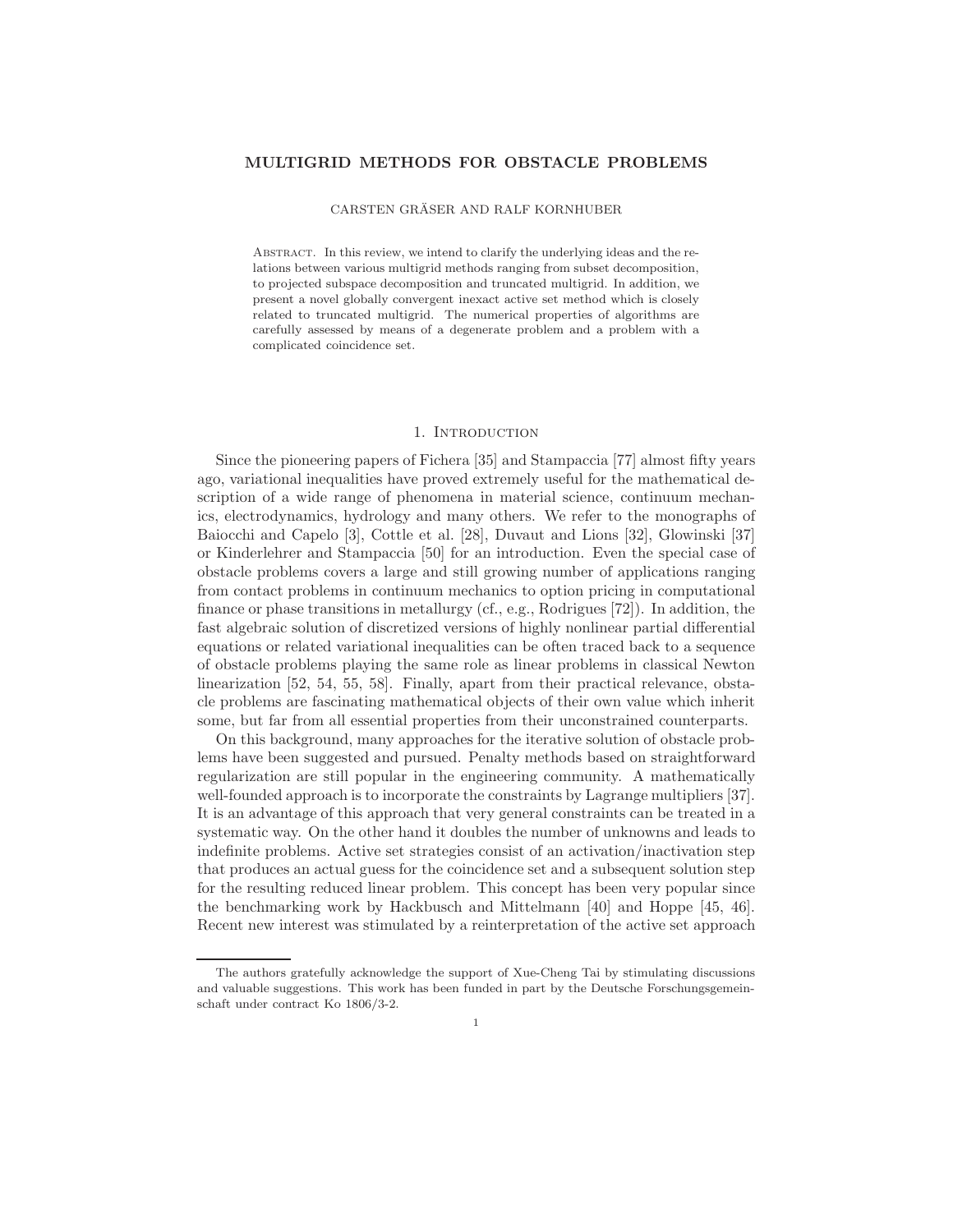# MULTIGRID METHODS FOR OBSTACLE PROBLEMS

### CARSTEN GRÄSER AND RALF KORNHUBER

Abstract. In this review, we intend to clarify the underlying ideas and the relations between various multigrid methods ranging from subset decomposition, to projected subspace decomposition and truncated multigrid. In addition, we present a novel globally convergent inexact active set method which is closely related to truncated multigrid. The numerical properties of algorithms are carefully assessed by means of a degenerate problem and a problem with a complicated coincidence set.

# 1. INTRODUCTION

Since the pioneering papers of Fichera [35] and Stampaccia [77] almost fifty years ago, variational inequalities have proved extremely useful for the mathematical description of a wide range of phenomena in material science, continuum mechanics, electrodynamics, hydrology and many others. We refer to the monographs of Baiocchi and Capelo [3], Cottle et al. [28], Duvaut and Lions [32], Glowinski [37] or Kinderlehrer and Stampaccia [50] for an introduction. Even the special case of obstacle problems covers a large and still growing number of applications ranging from contact problems in continuum mechanics to option pricing in computational finance or phase transitions in metallurgy (cf., e.g., Rodrigues [72]). In addition, the fast algebraic solution of discretized versions of highly nonlinear partial differential equations or related variational inequalities can be often traced back to a sequence of obstacle problems playing the same role as linear problems in classical Newton linearization [52, 54, 55, 58]. Finally, apart from their practical relevance, obstacle problems are fascinating mathematical objects of their own value which inherit some, but far from all essential properties from their unconstrained counterparts.

On this background, many approaches for the iterative solution of obstacle problems have been suggested and pursued. Penalty methods based on straightforward regularization are still popular in the engineering community. A mathematically well-founded approach is to incorporate the constraints by Lagrange multipliers [37]. It is an advantage of this approach that very general constraints can be treated in a systematic way. On the other hand it doubles the number of unknowns and leads to indefinite problems. Active set strategies consist of an activation/inactivation step that produces an actual guess for the coincidence set and a subsequent solution step for the resulting reduced linear problem. This concept has been very popular since the benchmarking work by Hackbusch and Mittelmann [40] and Hoppe [45, 46]. Recent new interest was stimulated by a reinterpretation of the active set approach

The authors gratefully acknowledge the support of Xue-Cheng Tai by stimulating discussions and valuable suggestions. This work has been funded in part by the Deutsche Forschungsgemeinschaft under contract Ko 1806/3-2.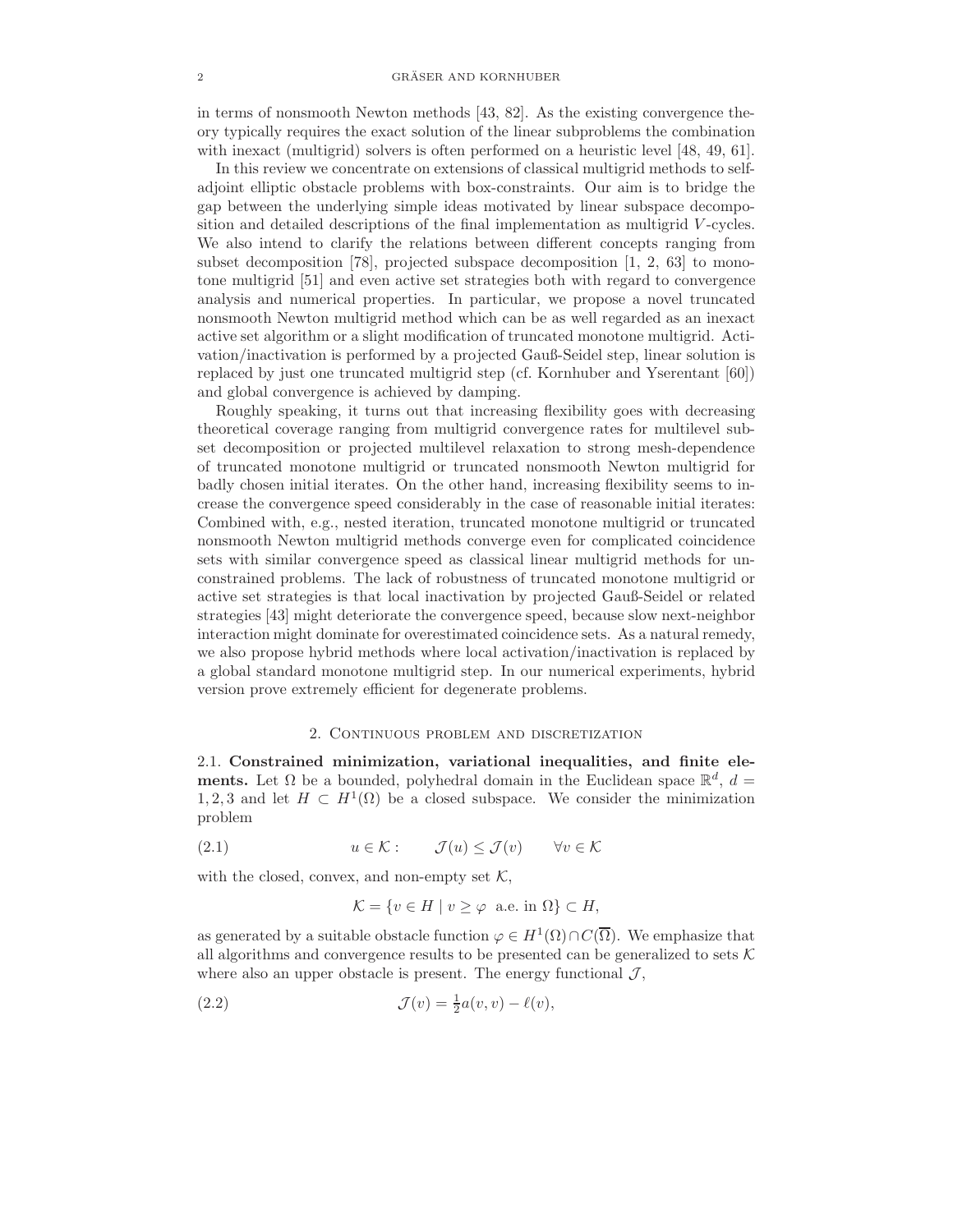in terms of nonsmooth Newton methods [43, 82]. As the existing convergence theory typically requires the exact solution of the linear subproblems the combination with inexact (multigrid) solvers is often performed on a heuristic level [48, 49, 61].

In this review we concentrate on extensions of classical multigrid methods to selfadjoint elliptic obstacle problems with box-constraints. Our aim is to bridge the gap between the underlying simple ideas motivated by linear subspace decomposition and detailed descriptions of the final implementation as multigrid V -cycles. We also intend to clarify the relations between different concepts ranging from subset decomposition [78], projected subspace decomposition [1, 2, 63] to monotone multigrid [51] and even active set strategies both with regard to convergence analysis and numerical properties. In particular, we propose a novel truncated nonsmooth Newton multigrid method which can be as well regarded as an inexact active set algorithm or a slight modification of truncated monotone multigrid. Activation/inactivation is performed by a projected Gauß-Seidel step, linear solution is replaced by just one truncated multigrid step (cf. Kornhuber and Yserentant [60]) and global convergence is achieved by damping.

Roughly speaking, it turns out that increasing flexibility goes with decreasing theoretical coverage ranging from multigrid convergence rates for multilevel subset decomposition or projected multilevel relaxation to strong mesh-dependence of truncated monotone multigrid or truncated nonsmooth Newton multigrid for badly chosen initial iterates. On the other hand, increasing flexibility seems to increase the convergence speed considerably in the case of reasonable initial iterates: Combined with, e.g., nested iteration, truncated monotone multigrid or truncated nonsmooth Newton multigrid methods converge even for complicated coincidence sets with similar convergence speed as classical linear multigrid methods for unconstrained problems. The lack of robustness of truncated monotone multigrid or active set strategies is that local inactivation by projected Gauß-Seidel or related strategies [43] might deteriorate the convergence speed, because slow next-neighbor interaction might dominate for overestimated coincidence sets. As a natural remedy, we also propose hybrid methods where local activation/inactivation is replaced by a global standard monotone multigrid step. In our numerical experiments, hybrid version prove extremely efficient for degenerate problems.

## 2. Continuous problem and discretization

2.1. Constrained minimization, variational inequalities, and finite elements. Let  $\Omega$  be a bounded, polyhedral domain in the Euclidean space  $\mathbb{R}^d$ ,  $d =$ 1, 2, 3 and let  $H \subset H^1(\Omega)$  be a closed subspace. We consider the minimization problem

(2.1) 
$$
u \in \mathcal{K}
$$
:  $\mathcal{J}(u) \leq \mathcal{J}(v) \quad \forall v \in \mathcal{K}$ 

with the closed, convex, and non-empty set  $K$ ,

$$
\mathcal{K} = \{ v \in H \mid v \ge \varphi \text{ a.e. in } \Omega \} \subset H,
$$

as generated by a suitable obstacle function  $\varphi \in H^1(\Omega) \cap C(\overline{\Omega})$ . We emphasize that all algorithms and convergence results to be presented can be generalized to sets  $K$ where also an upper obstacle is present. The energy functional  $\mathcal{J},$ 

(2.2) 
$$
\mathcal{J}(v) = \frac{1}{2}a(v, v) - \ell(v),
$$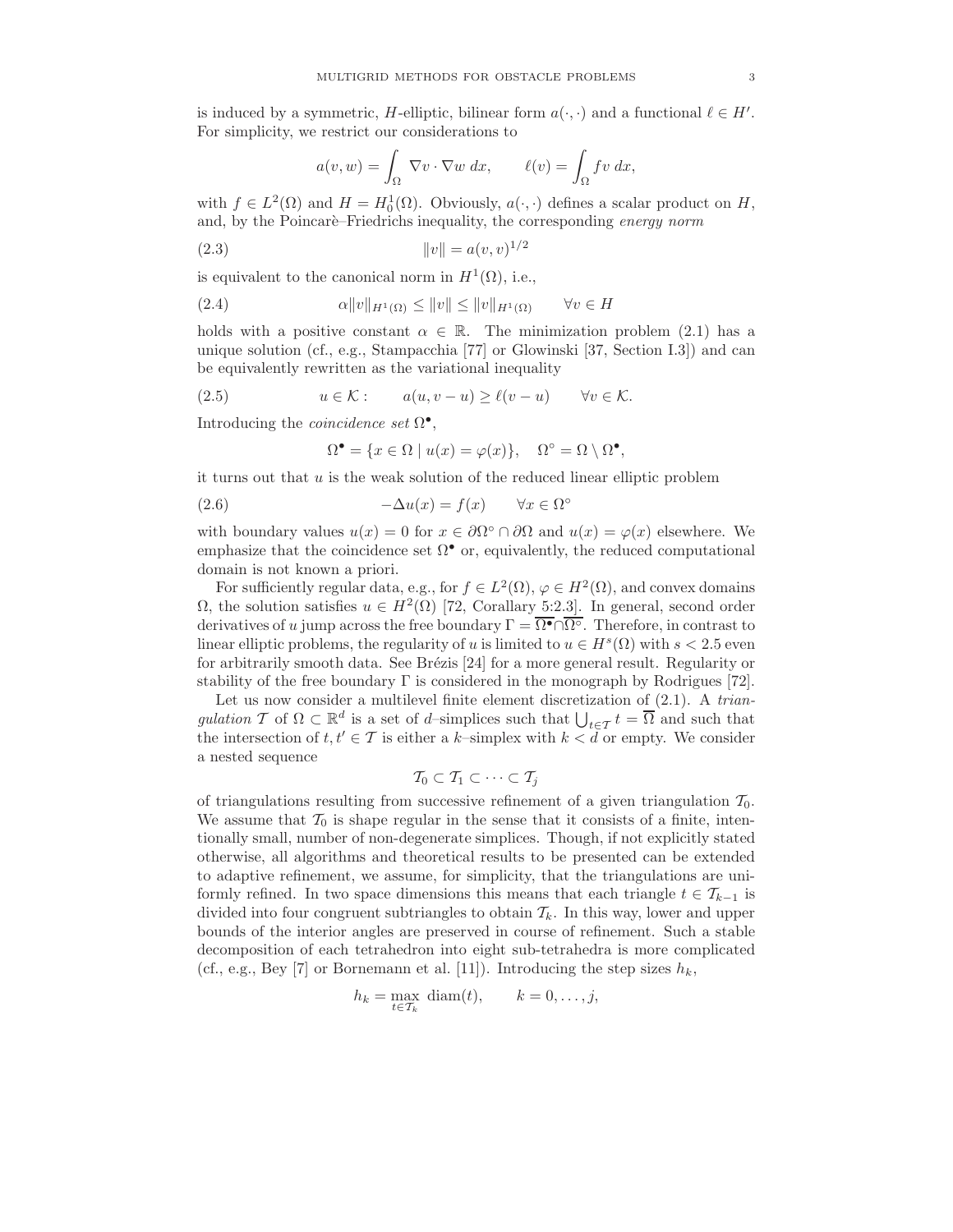is induced by a symmetric, H-elliptic, bilinear form  $a(\cdot, \cdot)$  and a functional  $\ell \in H'$ . For simplicity, we restrict our considerations to

$$
a(v, w) = \int_{\Omega} \nabla v \cdot \nabla w \, dx, \qquad \ell(v) = \int_{\Omega} fv \, dx,
$$

with  $f \in L^2(\Omega)$  and  $H = H_0^1(\Omega)$ . Obviously,  $a(\cdot, \cdot)$  defines a scalar product on H, and, by the Poincare–Friedrichs inequality, the corresponding energy norm

(2.3) 
$$
||v|| = a(v, v)^{1/2}
$$

is equivalent to the canonical norm in  $H^1(\Omega)$ , i.e.,

$$
(2.4) \qquad \alpha \|v\|_{H^1(\Omega)} \le \|v\| \le \|v\|_{H^1(\Omega)} \qquad \forall v \in H
$$

holds with a positive constant  $\alpha \in \mathbb{R}$ . The minimization problem (2.1) has a unique solution (cf., e.g., Stampacchia [77] or Glowinski [37, Section I.3]) and can be equivalently rewritten as the variational inequality

(2.5) 
$$
u \in \mathcal{K}
$$
:  $a(u, v - u) \ge \ell(v - u) \quad \forall v \in \mathcal{K}$ .

Introducing the *coincidence* set  $\Omega^{\bullet}$ ,

$$
\Omega^{\bullet} = \{ x \in \Omega \mid u(x) = \varphi(x) \}, \quad \Omega^{\circ} = \Omega \setminus \Omega^{\bullet},
$$

it turns out that  $u$  is the weak solution of the reduced linear elliptic problem

(2.6) 
$$
-\Delta u(x) = f(x) \qquad \forall x \in \Omega^{\circ}
$$

with boundary values  $u(x) = 0$  for  $x \in \partial \Omega^{\circ} \cap \partial \Omega$  and  $u(x) = \varphi(x)$  elsewhere. We emphasize that the coincidence set  $\Omega^{\bullet}$  or, equivalently, the reduced computational domain is not known a priori.

For sufficiently regular data, e.g., for  $f \in L^2(\Omega)$ ,  $\varphi \in H^2(\Omega)$ , and convex domains  $\Omega$ , the solution satisfies  $u \in H^2(\Omega)$  [72, Corallary 5:2.3]. In general, second order derivatives of u jump across the free boundary  $\Gamma = \overline{\Omega^{\bullet}} \cap \overline{\Omega^{\circ}}$ . Therefore, in contrast to linear elliptic problems, the regularity of u is limited to  $u \in H^s(\Omega)$  with  $s < 2.5$  even for arbitrarily smooth data. See Brézis  $[24]$  for a more general result. Regularity or stability of the free boundary  $\Gamma$  is considered in the monograph by Rodrigues [72].

Let us now consider a multilevel finite element discretization of  $(2.1)$ . A triangulation T of  $\Omega \subset \mathbb{R}^d$  is a set of d-simplices such that  $\bigcup_{t \in \mathcal{T}} t = \overline{\Omega}$  and such that the intersection of  $t, t' \in \mathcal{T}$  is either a k–simplex with  $k < d$  or empty. We consider a nested sequence

$$
\mathcal{T}_0 \subset \mathcal{T}_1 \subset \cdots \subset \mathcal{T}_j
$$

of triangulations resulting from successive refinement of a given triangulation  $\mathcal{T}_0$ . We assume that  $\mathcal{T}_0$  is shape regular in the sense that it consists of a finite, intentionally small, number of non-degenerate simplices. Though, if not explicitly stated otherwise, all algorithms and theoretical results to be presented can be extended to adaptive refinement, we assume, for simplicity, that the triangulations are uniformly refined. In two space dimensions this means that each triangle  $t \in \mathcal{T}_{k-1}$  is divided into four congruent subtriangles to obtain  $\mathcal{T}_k$ . In this way, lower and upper bounds of the interior angles are preserved in course of refinement. Such a stable decomposition of each tetrahedron into eight sub-tetrahedra is more complicated (cf., e.g., Bey [7] or Bornemann et al. [11]). Introducing the step sizes  $h_k$ ,

$$
h_k = \max_{t \in \mathcal{T}_k} \text{diam}(t), \qquad k = 0, \dots, j,
$$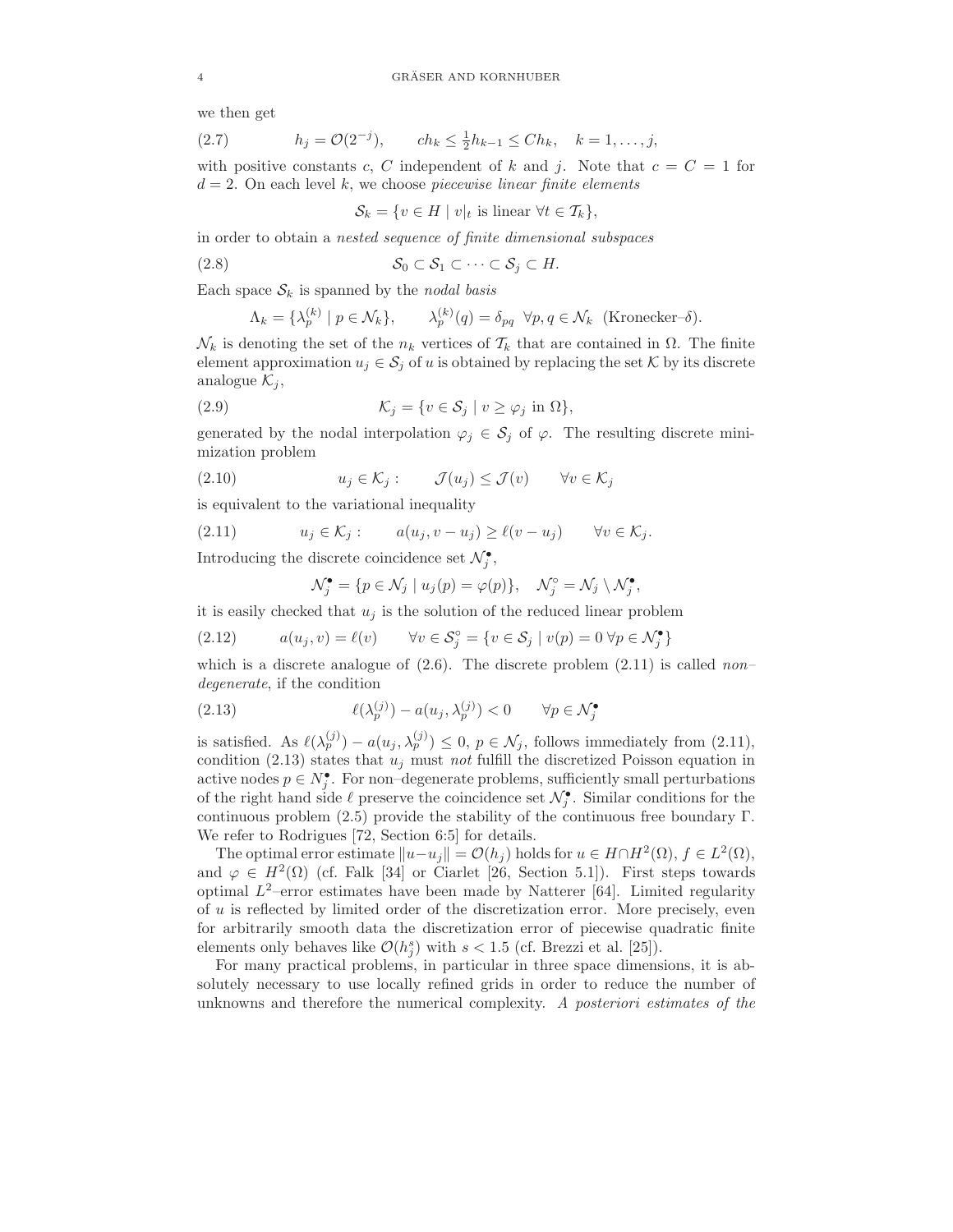we then get

(2.7) 
$$
h_j = \mathcal{O}(2^{-j}), \qquad ch_k \leq \frac{1}{2}h_{k-1} \leq Ch_k, \quad k = 1, ..., j,
$$

with positive constants c, C independent of k and j. Note that  $c = C = 1$  for  $d = 2$ . On each level k, we choose piecewise linear finite elements

$$
\mathcal{S}_k = \{ v \in H \mid v|_t \text{ is linear } \forall t \in \mathcal{T}_k \},
$$

in order to obtain a nested sequence of finite dimensional subspaces

$$
(2.8) \tS_0 \subset S_1 \subset \cdots \subset S_j \subset H.
$$

Each space  $S_k$  is spanned by the *nodal basis* 

$$
\Lambda_k = \{\lambda_p^{(k)} \mid p \in \mathcal{N}_k\}, \qquad \lambda_p^{(k)}(q) = \delta_{pq} \quad \forall p, q \in \mathcal{N}_k \quad \text{(Kronecker- $\delta\text{)}}.$
$$

 $\mathcal{N}_k$  is denoting the set of the  $n_k$  vertices of  $\mathcal{T}_k$  that are contained in  $\Omega$ . The finite element approximation  $u_j \in \mathcal{S}_j$  of u is obtained by replacing the set K by its discrete analogue  $\mathcal{K}_j$ ,

(2.9) 
$$
\mathcal{K}_j = \{ v \in \mathcal{S}_j \mid v \ge \varphi_j \text{ in } \Omega \},
$$

generated by the nodal interpolation  $\varphi_j \in \mathcal{S}_j$  of  $\varphi$ . The resulting discrete minimization problem

(2.10) 
$$
u_j \in \mathcal{K}_j: \qquad \mathcal{J}(u_j) \leq \mathcal{J}(v) \qquad \forall v \in \mathcal{K}_j
$$

is equivalent to the variational inequality

$$
(2.11) \t u_j \in \mathcal{K}_j: \t a(u_j, v - u_j) \ge \ell(v - u_j) \quad \forall v \in \mathcal{K}_j.
$$

Introducing the discrete coincidence set  $\mathcal{N}^{\bullet}_j,$ 

$$
\mathcal{N}_j^{\bullet} = \{ p \in \mathcal{N}_j \mid u_j(p) = \varphi(p) \}, \quad \mathcal{N}_j^{\circ} = \mathcal{N}_j \setminus \mathcal{N}_j^{\bullet},
$$

it is easily checked that  $u_j$  is the solution of the reduced linear problem

(2.12) 
$$
a(u_j, v) = \ell(v) \qquad \forall v \in \mathcal{S}_j^\circ = \{v \in \mathcal{S}_j \mid v(p) = 0 \,\forall p \in \mathcal{N}_j^\bullet\}
$$

which is a discrete analogue of  $(2.6)$ . The discrete problem  $(2.11)$  is called non– degenerate, if the condition

(2.13) 
$$
\ell(\lambda_p^{(j)}) - a(u_j, \lambda_p^{(j)}) < 0 \qquad \forall p \in \mathcal{N}_j^{\bullet}
$$

is satisfied. As  $\ell(\lambda_p^{(j)}) - a(u_j, \lambda_p^{(j)}) \leq 0$ ,  $p \in \mathcal{N}_j$ , follows immediately from (2.11), condition (2.13) states that  $u_j$  must not fulfill the discretized Poisson equation in active nodes  $p \in N_j^{\bullet}$ . For non-degenerate problems, sufficiently small perturbations of the right hand side  $\ell$  preserve the coincidence set  $\mathcal{N}_{j}^{\bullet}$ . Similar conditions for the continuous problem  $(2.5)$  provide the stability of the continuous free boundary Γ. We refer to Rodrigues [72, Section 6:5] for details.

The optimal error estimate  $||u-u_j|| = \mathcal{O}(h_j)$  holds for  $u \in H \cap H^2(\Omega)$ ,  $f \in L^2(\Omega)$ , and  $\varphi \in H^2(\Omega)$  (cf. Falk [34] or Ciarlet [26, Section 5.1]). First steps towards optimal  $L^2$ -error estimates have been made by Natterer [64]. Limited regularity of u is reflected by limited order of the discretization error. More precisely, even for arbitrarily smooth data the discretization error of piecewise quadratic finite elements only behaves like  $\mathcal{O}(h_j^s)$  with  $s < 1.5$  (cf. Brezzi et al. [25]).

For many practical problems, in particular in three space dimensions, it is absolutely necessary to use locally refined grids in order to reduce the number of unknowns and therefore the numerical complexity. A posteriori estimates of the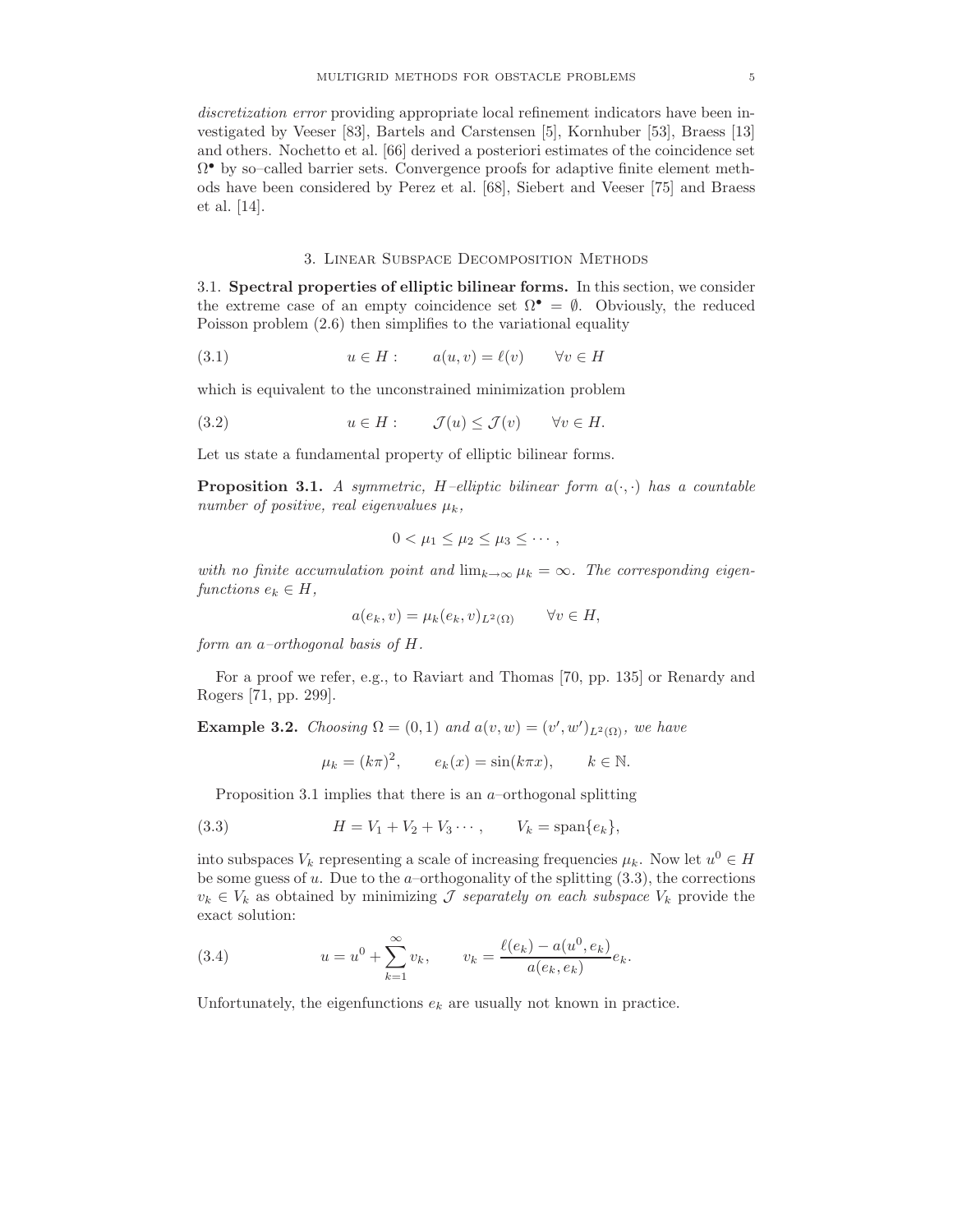discretization error providing appropriate local refinement indicators have been investigated by Veeser [83], Bartels and Carstensen [5], Kornhuber [53], Braess [13] and others. Nochetto et al. [66] derived a posteriori estimates of the coincidence set Ω • by so–called barrier sets. Convergence proofs for adaptive finite element methods have been considered by Perez et al. [68], Siebert and Veeser [75] and Braess et al. [14].

# 3. Linear Subspace Decomposition Methods

3.1. Spectral properties of elliptic bilinear forms. In this section, we consider the extreme case of an empty coincidence set  $\Omega^{\bullet} = \emptyset$ . Obviously, the reduced Poisson problem (2.6) then simplifies to the variational equality

(3.1) 
$$
u \in H: \qquad a(u, v) = \ell(v) \qquad \forall v \in H
$$

which is equivalent to the unconstrained minimization problem

(3.2) 
$$
u \in H: \qquad \mathcal{J}(u) \leq \mathcal{J}(v) \qquad \forall v \in H.
$$

Let us state a fundamental property of elliptic bilinear forms.

**Proposition 3.1.** A symmetric, H–elliptic bilinear form  $a(\cdot, \cdot)$  has a countable number of positive, real eigenvalues  $\mu_k$ ,

$$
0<\mu_1\leq \mu_2\leq \mu_3\leq \cdots,
$$

with no finite accumulation point and  $\lim_{k\to\infty} \mu_k = \infty$ . The corresponding eigenfunctions  $e_k \in H$ ,

$$
a(e_k, v) = \mu_k(e_k, v)_{L^2(\Omega)} \qquad \forall v \in H,
$$

form an a–orthogonal basis of H.

For a proof we refer, e.g., to Raviart and Thomas [70, pp. 135] or Renardy and Rogers [71, pp. 299].

**Example 3.2.** Choosing  $\Omega = (0,1)$  and  $a(v, w) = (v', w')_{L^2(\Omega)}$ , we have

$$
\mu_k = (k\pi)^2, \qquad e_k(x) = \sin(k\pi x), \qquad k \in \mathbb{N}.
$$

Proposition 3.1 implies that there is an  $a$ –orthogonal splitting

(3.3) 
$$
H = V_1 + V_2 + V_3 \cdots, \qquad V_k = \text{span}\{e_k\},
$$

into subspaces  $V_k$  representing a scale of increasing frequencies  $\mu_k$ . Now let  $u^0 \in H$ be some guess of  $u$ . Due to the  $a$ –orthogonality of the splitting  $(3.3)$ , the corrections  $v_k \in V_k$  as obtained by minimizing *J separately on each subspace*  $V_k$  provide the exact solution:

(3.4) 
$$
u = u^{0} + \sum_{k=1}^{\infty} v_{k}, \qquad v_{k} = \frac{\ell(e_{k}) - a(u^{0}, e_{k})}{a(e_{k}, e_{k})} e_{k}.
$$

Unfortunately, the eigenfunctions  $e_k$  are usually not known in practice.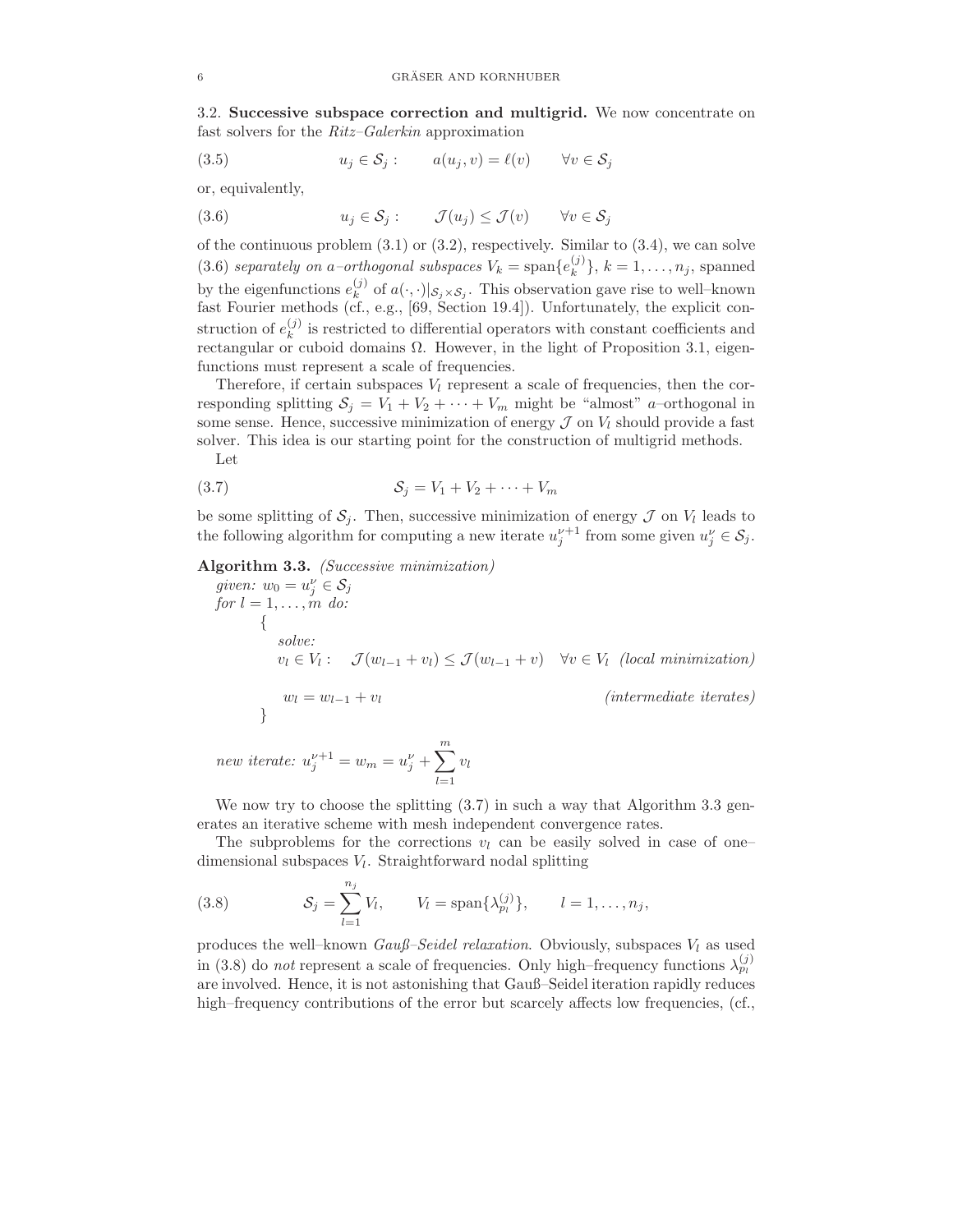3.2. Successive subspace correction and multigrid. We now concentrate on fast solvers for the Ritz–Galerkin approximation

(3.5) 
$$
u_j \in \mathcal{S}_j: \qquad a(u_j, v) = \ell(v) \qquad \forall v \in \mathcal{S}_j
$$

or, equivalently,

(3.6)  $u_j \in \mathcal{S}_j : \qquad \mathcal{J}(u_j) \leq \mathcal{J}(v) \qquad \forall v \in \mathcal{S}_j$ 

of the continuous problem  $(3.1)$  or  $(3.2)$ , respectively. Similar to  $(3.4)$ , we can solve (3.6) separately on a–orthogonal subspaces  $V_k = \text{span}\{e_k^{(j)}\}$  ${k \choose k}, k = 1, \ldots, n_j$ , spanned by the eigenfunctions  $e_k^{(j)}$  $\mathcal{L}_{k}^{(j)}$  of  $a(\cdot, \cdot)|_{\mathcal{S}_{j} \times \mathcal{S}_{j}}$ . This observation gave rise to well–known fast Fourier methods (cf., e.g., [69, Section 19.4]). Unfortunately, the explicit construction of  $e_k^{(j)}$  $\binom{1}{k}$  is restricted to differential operators with constant coefficients and rectangular or cuboid domains Ω. However, in the light of Proposition 3.1, eigenfunctions must represent a scale of frequencies.

Therefore, if certain subspaces  $V_l$  represent a scale of frequencies, then the corresponding splitting  $S_j = V_1 + V_2 + \cdots + V_m$  might be "almost" a–orthogonal in some sense. Hence, successive minimization of energy  $\mathcal J$  on  $V_l$  should provide a fast solver. This idea is our starting point for the construction of multigrid methods.

Let

$$
(3.7) \tSj = V1 + V2 + \cdots + Vm
$$

be some splitting of  $S_j$ . Then, successive minimization of energy  $\mathcal J$  on  $V_l$  leads to the following algorithm for computing a new iterate  $u_j^{\nu+1}$  from some given  $u_j^{\nu} \in \mathcal{S}_j$ .

Algorithm 3.3. (Successive minimization)

given:  $w_0 = u_j^{\nu} \in \mathcal{S}_j$ for  $l = 1, \ldots, m$  do: { solve:  $v_l \in V_l: \quad \mathcal{J}(w_{l-1} + v_l) \leq \mathcal{J}(w_{l-1} + v) \quad \forall v \in V_l \text{ (local minimization)}$  $w_l = w_{l-1} + v_l$  (intermediate iterates) }

new iterate:  $u_j^{\nu+1} = w_m = u_j^{\nu} + \sum_{j=1}^{m}$  $_{l=1}$  $v_l$ 

We now try to choose the splitting  $(3.7)$  in such a way that Algorithm 3.3 generates an iterative scheme with mesh independent convergence rates.

The subproblems for the corrections  $v_l$  can be easily solved in case of one– dimensional subspaces  $V_l$ . Straightforward nodal splitting

(3.8) 
$$
\mathcal{S}_j = \sum_{l=1}^{n_j} V_l, \qquad V_l = \text{span}\{\lambda_{p_l}^{(j)}\}, \qquad l = 1, ..., n_j,
$$

produces the well–known  $Gau\beta$ –Seidel relaxation. Obviously, subspaces  $V_l$  as used in (3.8) do *not* represent a scale of frequencies. Only high–frequency functions  $\lambda_{p_l}^{(j)}$ are involved. Hence, it is not astonishing that Gauß–Seidel iteration rapidly reduces high–frequency contributions of the error but scarcely affects low frequencies, (cf.,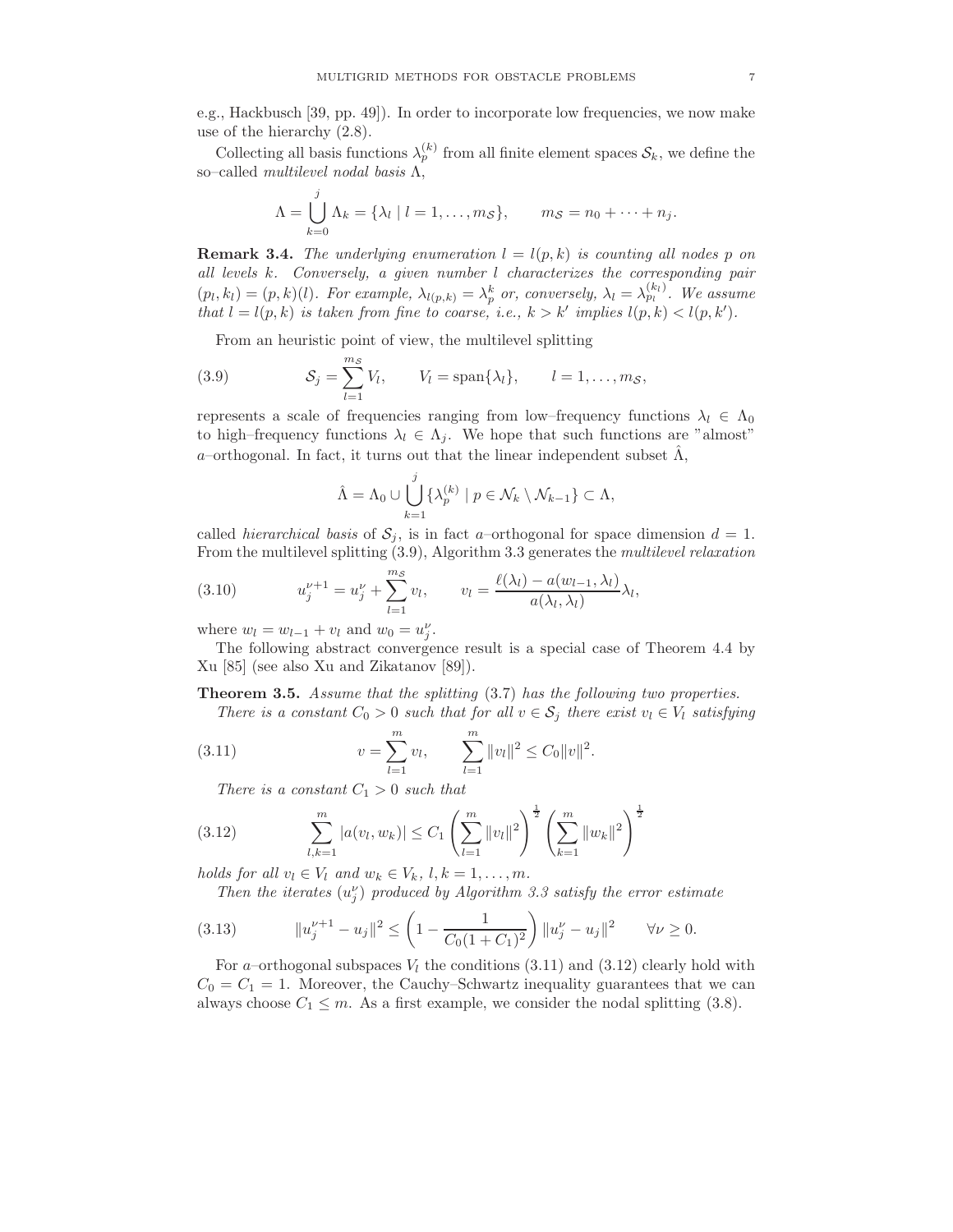e.g., Hackbusch [39, pp. 49]). In order to incorporate low frequencies, we now make use of the hierarchy (2.8).

Collecting all basis functions  $\lambda_p^{(k)}$  from all finite element spaces  $S_k$ , we define the so–called multilevel nodal basis  $\Lambda$ ,

$$
\Lambda = \bigcup_{k=0}^{j} \Lambda_k = \{\lambda_l \mid l=1,\ldots,m_{\mathcal{S}}\}, \qquad m_{\mathcal{S}} = n_0 + \cdots + n_j.
$$

**Remark 3.4.** The underlying enumeration  $l = l(p, k)$  is counting all nodes p on all levels k. Conversely, a given number l characterizes the corresponding pair  $(p_l, k_l) = (p, k)(l)$ . For example,  $\lambda_{l(p,k)} = \lambda_p^k$  or, conversely,  $\lambda_l = \lambda_{p_l}^{(k_l)}$ . We assume that  $l = l(p, k)$  is taken from fine to coarse, i.e.,  $k > k'$  implies  $l(p, k) < l(p, k')$ .

From an heuristic point of view, the multilevel splitting

(3.9) 
$$
\mathcal{S}_j = \sum_{l=1}^{m_{\mathcal{S}}} V_l, \qquad V_l = \text{span}\{\lambda_l\}, \qquad l = 1, \ldots, m_{\mathcal{S}},
$$

represents a scale of frequencies ranging from low–frequency functions  $\lambda_l \in \Lambda_0$ to high–frequency functions  $\lambda_l \in \Lambda_j$ . We hope that such functions are "almost" a–orthogonal. In fact, it turns out that the linear independent subset  $\hat{\Lambda}$ ,

$$
\hat{\Lambda} = \Lambda_0 \cup \bigcup_{k=1}^j {\{\lambda_p^{(k)} \mid p \in \mathcal{N}_k \setminus \mathcal{N}_{k-1}\}} \subset \Lambda,
$$

called *hierarchical basis* of  $S_j$ , is in fact a–orthogonal for space dimension  $d = 1$ . From the multilevel splitting  $(3.9)$ , Algorithm 3.3 generates the *multilevel relaxation* 

(3.10) 
$$
u_j^{\nu+1} = u_j^{\nu} + \sum_{l=1}^{m_{\mathcal{S}}} v_l, \qquad v_l = \frac{\ell(\lambda_l) - a(w_{l-1}, \lambda_l)}{a(\lambda_l, \lambda_l)} \lambda_l,
$$

where  $w_l = w_{l-1} + v_l$  and  $w_0 = u_j^{\nu}$ .

The following abstract convergence result is a special case of Theorem 4.4 by Xu [85] (see also Xu and Zikatanov [89]).

Theorem 3.5. Assume that the splitting (3.7) has the following two properties.

There is a constant  $C_0 > 0$  such that for all  $v \in S_i$  there exist  $v_i \in V_i$  satisfying

(3.11) 
$$
v = \sum_{l=1}^{m} v_l, \qquad \sum_{l=1}^{m} ||v_l||^2 \leq C_0 ||v||^2.
$$

There is a constant  $C_1 > 0$  such that

(3.12) 
$$
\sum_{l,k=1}^{m} |a(v_l, w_k)| \leq C_1 \left(\sum_{l=1}^{m} ||v_l||^2\right)^{\frac{1}{2}} \left(\sum_{k=1}^{m} ||w_k||^2\right)^{\frac{1}{2}}
$$

holds for all  $v_l \in V_l$  and  $w_k \in V_k$ ,  $l, k = 1, \ldots, m$ .

Then the iterates  $(u_j^{\nu})$  produced by Algorithm 3.3 satisfy the error estimate

$$
(3.13) \t\t ||u_j^{\nu+1} - u_j||^2 \le \left(1 - \frac{1}{C_0(1+C_1)^2}\right) ||u_j^{\nu} - u_j||^2 \quad \forall \nu \ge 0.
$$

For a–orthogonal subspaces  $V_l$  the conditions (3.11) and (3.12) clearly hold with  $C_0 = C_1 = 1$ . Moreover, the Cauchy–Schwartz inequality guarantees that we can always choose  $C_1 \leq m$ . As a first example, we consider the nodal splitting (3.8).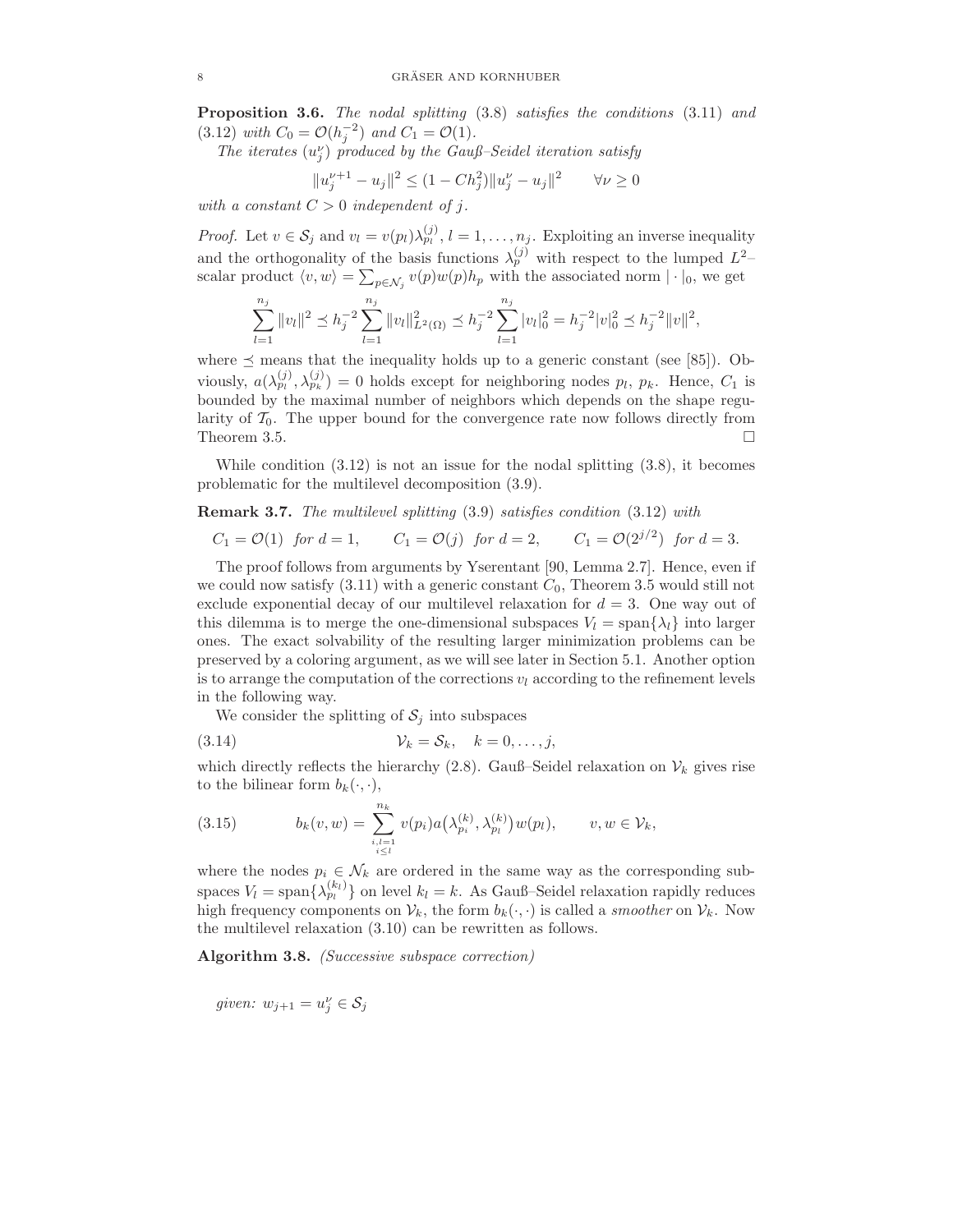Proposition 3.6. The nodal splitting (3.8) satisfies the conditions (3.11) and (3.12) with  $C_0 = \mathcal{O}(h_j^{-2})$  and  $C_1 = \mathcal{O}(1)$ .

The iterates  $(u_j^{\nu})$  produced by the Gauß–Seidel iteration satisfy

$$
||u_j^{\nu+1} - u_j||^2 \le (1 - Ch_j^2) ||u_j^{\nu} - u_j||^2 \qquad \forall \nu \ge 0
$$

with a constant  $C > 0$  independent of j.

*Proof.* Let  $v \in S_j$  and  $v_l = v(p_l)\lambda_{p_l}^{(j)}$ ,  $l = 1, \ldots, n_j$ . Exploiting an inverse inequality and the orthogonality of the basis functions  $\lambda_p^{(j)}$  with respect to the lumped  $L^2$ scalar product  $\langle v, w \rangle = \sum_{p \in \mathcal{N}_j} v(p) w(p) h_p$  with the associated norm  $| \cdot |_0$ , we get

$$
\sum_{l=1}^{n_j} \|v_l\|^2 \le h_j^{-2} \sum_{l=1}^{n_j} \|v_l\|_{L^2(\Omega)}^2 \le h_j^{-2} \sum_{l=1}^{n_j} |v_l|_0^2 = h_j^{-2} |v|_0^2 \le h_j^{-2} \|v\|^2,
$$

where  $\preceq$  means that the inequality holds up to a generic constant (see [85]). Obviously,  $a(\lambda_{p_l}^{(j)}, \lambda_{p_k}^{(j)}) = 0$  holds except for neighboring nodes  $p_l, p_k$ . Hence,  $C_1$  is bounded by the maximal number of neighbors which depends on the shape regularity of  $\mathcal{T}_0$ . The upper bound for the convergence rate now follows directly from Theorem 3.5. Theorem 3.5.

While condition  $(3.12)$  is not an issue for the nodal splitting  $(3.8)$ , it becomes problematic for the multilevel decomposition (3.9).

Remark 3.7. The multilevel splitting (3.9) satisfies condition (3.12) with

 $C_1 = \mathcal{O}(1)$  for  $d = 1$ ,  $C_1 = \mathcal{O}(j)$  for  $d = 2$ ,  $C_1 = \mathcal{O}(2^{j/2})$  for  $d = 3$ .

The proof follows from arguments by Yserentant [90, Lemma 2.7]. Hence, even if we could now satisfy  $(3.11)$  with a generic constant  $C_0$ , Theorem 3.5 would still not exclude exponential decay of our multilevel relaxation for  $d = 3$ . One way out of this dilemma is to merge the one-dimensional subspaces  $V_l = \text{span}\{\lambda_l\}$  into larger ones. The exact solvability of the resulting larger minimization problems can be preserved by a coloring argument, as we will see later in Section 5.1. Another option is to arrange the computation of the corrections  $v_l$  according to the refinement levels in the following way.

We consider the splitting of  $S_j$  into subspaces

$$
(3.14) \t\t\t\t V_k = S_k, \t k = 0, \ldots, j,
$$

which directly reflects the hierarchy (2.8). Gauß–Seidel relaxation on  $\mathcal{V}_k$  gives rise to the bilinear form  $b_k(\cdot, \cdot)$ ,

(3.15) 
$$
b_k(v, w) = \sum_{\substack{i, l=1 \ i \leq l}}^{n_k} v(p_i) a(\lambda_{p_i}^{(k)}, \lambda_{p_l}^{(k)}) w(p_l), \qquad v, w \in \mathcal{V}_k,
$$

where the nodes  $p_i \in \mathcal{N}_k$  are ordered in the same way as the corresponding subspaces  $V_l = \text{span}\{\lambda_{p_l}^{(k_l)}\}$  on level  $k_l = k$ . As Gauß–Seidel relaxation rapidly reduces high frequency components on  $V_k$ , the form  $b_k(\cdot, \cdot)$  is called a *smoother* on  $V_k$ . Now the multilevel relaxation (3.10) can be rewritten as follows.

Algorithm 3.8. (Successive subspace correction)

given:  $w_{j+1} = u_j^{\nu} \in \mathcal{S}_j$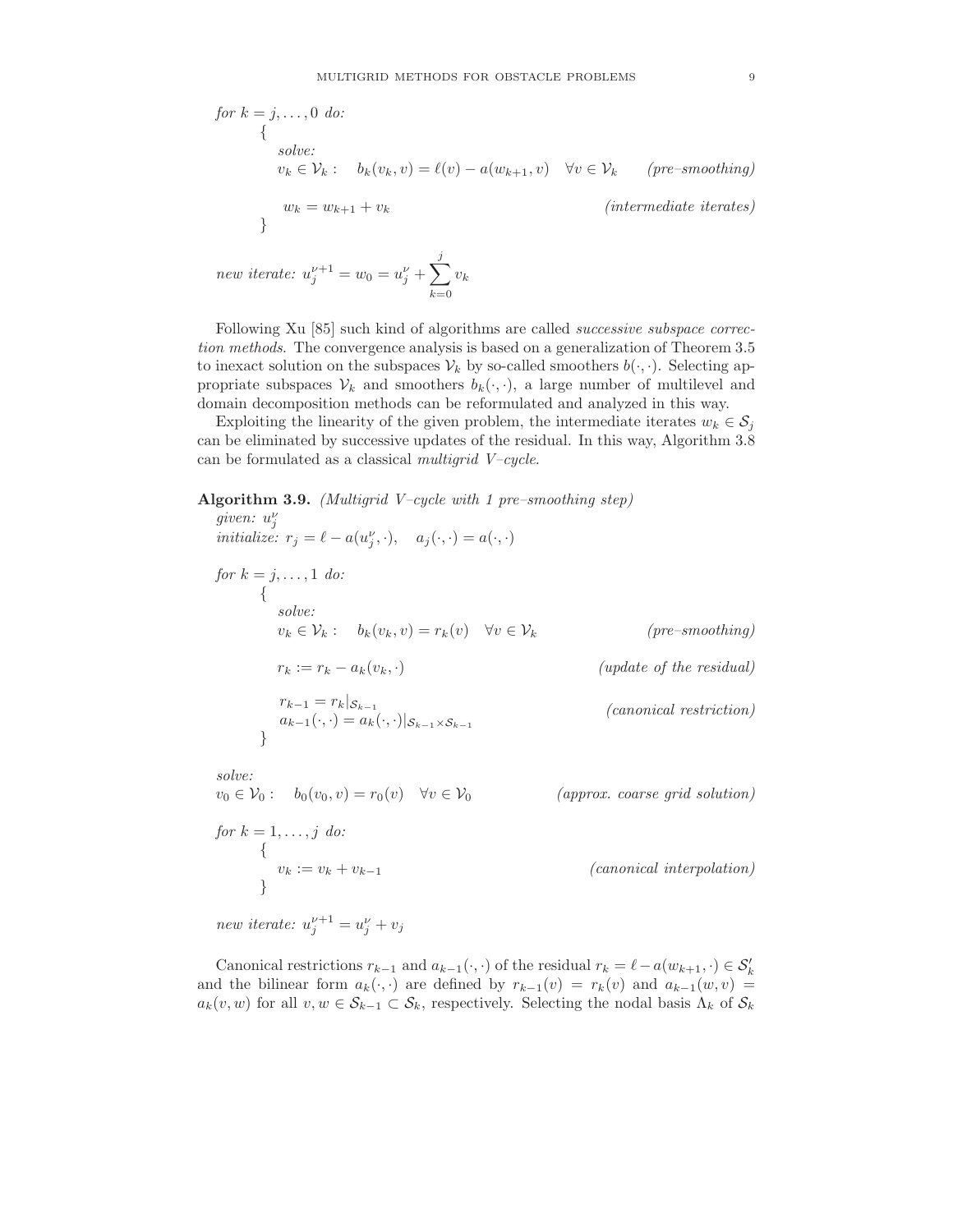for 
$$
k = j, ..., 0
$$
 do:  
\n
$$
\{ \begin{aligned}\n &\text{solve:} \\
 &v_k \in \mathcal{V}_k : b_k(v_k, v) = \ell(v) - a(w_{k+1}, v) \quad \forall v \in \mathcal{V}_k \quad (pre-smoothing) \\
 &w_k = w_{k+1} + v_k \quad \text{(intermediate iterates)}\n \end{aligned}
$$

new iterate:  $u_j^{\nu+1} = w_0 = u_j^{\nu} + \sum$  $k=0$  $v_k$ 

Following Xu [85] such kind of algorithms are called *successive subspace correc*tion methods. The convergence analysis is based on a generalization of Theorem 3.5 to inexact solution on the subspaces  $V_k$  by so-called smoothers  $b(\cdot, \cdot)$ . Selecting appropriate subspaces  $V_k$  and smoothers  $b_k(\cdot, \cdot)$ , a large number of multilevel and domain decomposition methods can be reformulated and analyzed in this way.

Exploiting the linearity of the given problem, the intermediate iterates  $w_k \in S_i$ can be eliminated by successive updates of the residual. In this way, Algorithm 3.8 can be formulated as a classical multigrid  $V$ –cycle.

Algorithm 3.9. (Multigrid V–cycle with 1 pre–smoothing step) given:  $u_j^{\nu}$ 

initialize:  $r_j = \ell - a(u_j^{\nu}, \cdot), \quad a_j(\cdot, \cdot) = a(\cdot, \cdot)$ 

for  $k = j, \ldots, 1$  do: { solve:  $v_k \in \mathcal{V}_k: b_k(v_k, v) = r_k(v) \quad \forall v \in \mathcal{V}_k$  (pre–smoothing)  $r_k := r_k - a_k(v_k, \cdot)$  (update of the residual)  $r_{k-1} = r_k |_{\mathcal{S}_{k-1}}$  $a_{k-1}(\cdot,\cdot)=a_k(\cdot,\cdot)|_{\mathcal{S}_{k-1}\times\mathcal{S}_{k-1}}$ (canonical restriction) }

solve:

 $v_0 \in V_0: b_0(v_0, v) = r_0(v) \quad \forall v \in V_0$  (approx. coarse grid solution)

for  $k = 1, \ldots, j$  do: {  $(canonical\ interpolation)$ }

new iterate:  $u_j^{\nu+1} = u_j^{\nu} + v_j$ 

Canonical restrictions  $r_{k-1}$  and  $a_{k-1}(\cdot, \cdot)$  of the residual  $r_k = \ell - a(w_{k+1}, \cdot) \in S'_k$ and the bilinear form  $a_k(\cdot, \cdot)$  are defined by  $r_{k-1}(v) = r_k(v)$  and  $a_{k-1}(w, v) =$  $a_k(v, w)$  for all  $v, w \in \mathcal{S}_{k-1} \subset \mathcal{S}_k$ , respectively. Selecting the nodal basis  $\Lambda_k$  of  $\mathcal{S}_k$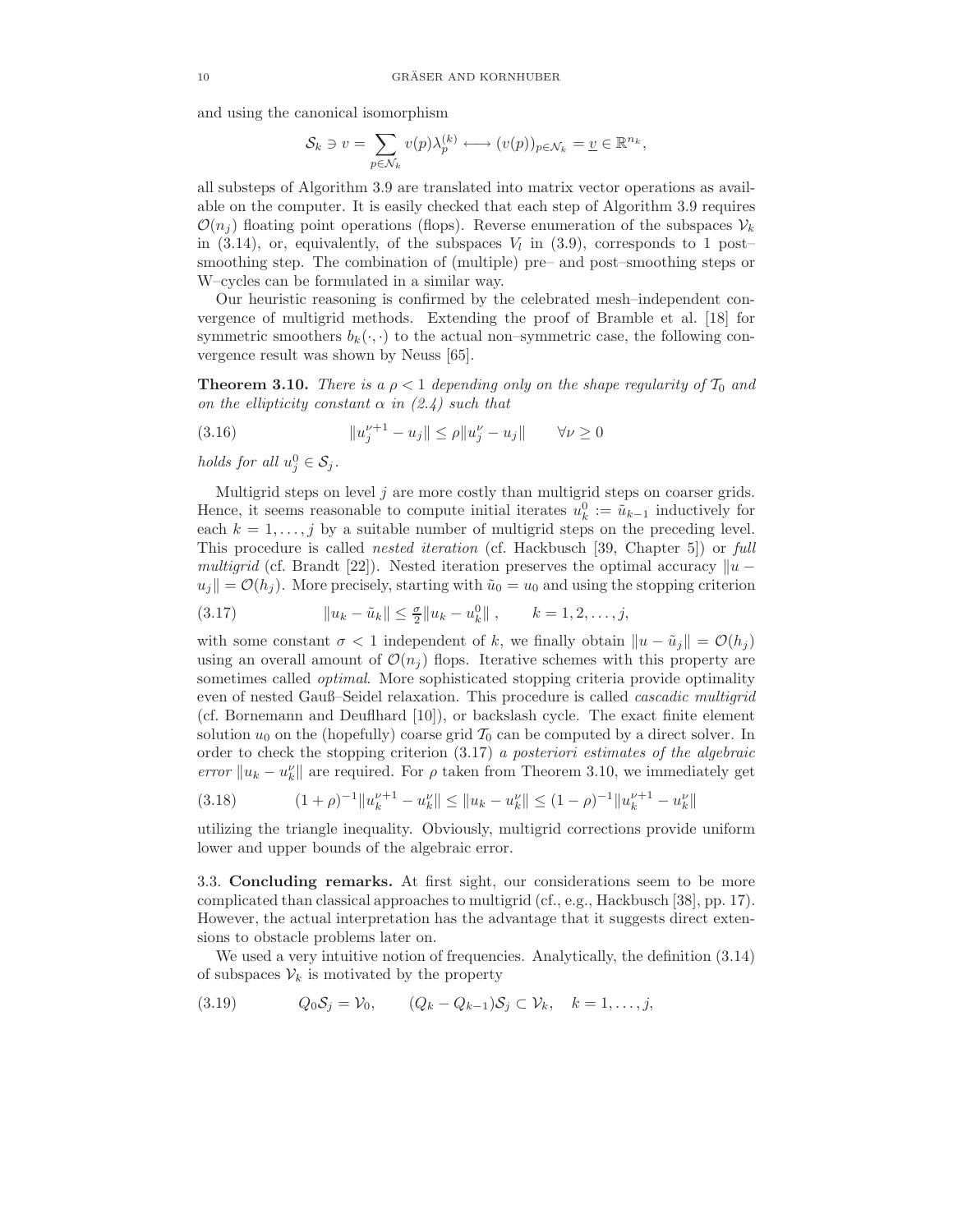and using the canonical isomorphism

$$
\mathcal{S}_k \ni v = \sum_{p \in \mathcal{N}_k} v(p) \lambda_p^{(k)} \longleftrightarrow (v(p))_{p \in \mathcal{N}_k} = \underline{v} \in \mathbb{R}^{n_k},
$$

all substeps of Algorithm 3.9 are translated into matrix vector operations as available on the computer. It is easily checked that each step of Algorithm 3.9 requires  $\mathcal{O}(n_i)$  floating point operations (flops). Reverse enumeration of the subspaces  $\mathcal{V}_k$ in  $(3.14)$ , or, equivalently, of the subspaces  $V_l$  in  $(3.9)$ , corresponds to 1 postsmoothing step. The combination of (multiple) pre– and post–smoothing steps or W–cycles can be formulated in a similar way.

Our heuristic reasoning is confirmed by the celebrated mesh–independent convergence of multigrid methods. Extending the proof of Bramble et al. [18] for symmetric smoothers  $b_k(\cdot, \cdot)$  to the actual non–symmetric case, the following convergence result was shown by Neuss [65].

**Theorem 3.10.** There is a  $\rho < 1$  depending only on the shape regularity of  $T_0$  and on the ellipticity constant  $\alpha$  in (2.4) such that

(3.16) 
$$
||u_j^{\nu+1} - u_j|| \le \rho ||u_j^{\nu} - u_j|| \qquad \forall \nu \ge 0
$$

holds for all  $u_j^0 \in S_j$ .

Multigrid steps on level  $j$  are more costly than multigrid steps on coarser grids. Hence, it seems reasonable to compute initial iterates  $u_k^0 := \tilde{u}_{k-1}$  inductively for each  $k = 1, \ldots, j$  by a suitable number of multigrid steps on the preceding level. This procedure is called nested iteration (cf. Hackbusch [39, Chapter 5]) or full multigrid (cf. Brandt [22]). Nested iteration preserves the optimal accuracy  $||u |u_j| = \mathcal{O}(h_j)$ . More precisely, starting with  $\tilde{u}_0 = u_0$  and using the stopping criterion

(3.17) 
$$
||u_k - \tilde{u}_k|| \leq \frac{\sigma}{2} ||u_k - u_k^0||, \qquad k = 1, 2, ..., j,
$$

with some constant  $\sigma < 1$  independent of k, we finally obtain  $||u - \tilde{u}_j|| = \mathcal{O}(h_j)$ using an overall amount of  $\mathcal{O}(n_i)$  flops. Iterative schemes with this property are sometimes called *optimal*. More sophisticated stopping criteria provide optimality even of nested Gauß–Seidel relaxation. This procedure is called cascadic multigrid (cf. Bornemann and Deuflhard [10]), or backslash cycle. The exact finite element solution  $u_0$  on the (hopefully) coarse grid  $\mathcal{T}_0$  can be computed by a direct solver. In order to check the stopping criterion (3.17) a posteriori estimates of the algebraic error  $||u_k - u_k||$  are required. For  $\rho$  taken from Theorem 3.10, we immediately get

$$
(3.18) \t(1+\rho)^{-1} \|u_k^{\nu+1} - u_k^{\nu}\| \le \|u_k - u_k^{\nu}\| \le (1-\rho)^{-1} \|u_k^{\nu+1} - u_k^{\nu}\|
$$

utilizing the triangle inequality. Obviously, multigrid corrections provide uniform lower and upper bounds of the algebraic error.

3.3. Concluding remarks. At first sight, our considerations seem to be more complicated than classical approaches to multigrid (cf., e.g., Hackbusch [38], pp. 17). However, the actual interpretation has the advantage that it suggests direct extensions to obstacle problems later on.

We used a very intuitive notion of frequencies. Analytically, the definition (3.14) of subspaces  $\mathcal{V}_k$  is motivated by the property

$$
(3.19) \tQ_0S_j = V_0, \t(Q_k - Q_{k-1})S_j \subset V_k, \t k = 1, ..., j,
$$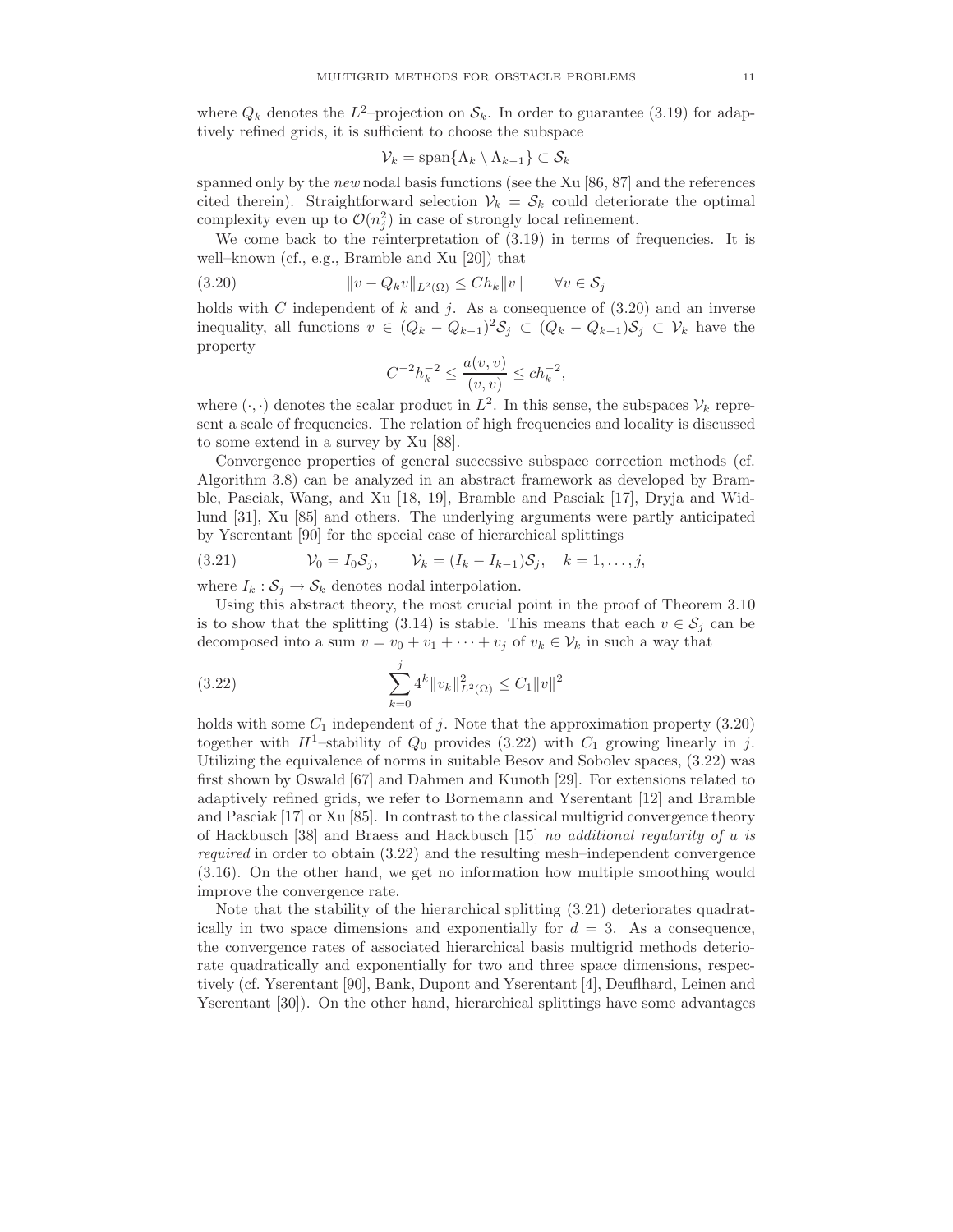where  $Q_k$  denotes the  $L^2$ -projection on  $S_k$ . In order to guarantee (3.19) for adaptively refined grids, it is sufficient to choose the subspace

$$
\mathcal{V}_k = \mathrm{span}\{\Lambda_k \setminus \Lambda_{k-1}\} \subset \mathcal{S}_k
$$

spanned only by the new nodal basis functions (see the Xu [86, 87] and the references cited therein). Straightforward selection  $V_k = S_k$  could deteriorate the optimal complexity even up to  $\mathcal{O}(n_j^2)$  in case of strongly local refinement.

We come back to the reinterpretation of (3.19) in terms of frequencies. It is well–known (cf., e.g., Bramble and Xu [20]) that

(3.20) 
$$
||v - Q_k v||_{L^2(\Omega)} \leq Ch_k ||v|| \quad \forall v \in S_j
$$

holds with C independent of k and j. As a consequence of  $(3.20)$  and an inverse inequality, all functions  $v \in (Q_k - Q_{k-1})^2 S_j \subset (Q_k - Q_{k-1}) S_j \subset V_k$  have the property

$$
C^{-2}h_k^{-2} \le \frac{a(v,v)}{(v,v)} \le ch_k^{-2},
$$

where  $(\cdot, \cdot)$  denotes the scalar product in  $L^2$ . In this sense, the subspaces  $\mathcal{V}_k$  represent a scale of frequencies. The relation of high frequencies and locality is discussed to some extend in a survey by Xu [88].

Convergence properties of general successive subspace correction methods (cf. Algorithm 3.8) can be analyzed in an abstract framework as developed by Bramble, Pasciak, Wang, and Xu [18, 19], Bramble and Pasciak [17], Dryja and Widlund [31], Xu [85] and others. The underlying arguments were partly anticipated by Yserentant [90] for the special case of hierarchical splittings

(3.21) 
$$
\mathcal{V}_0 = I_0 \mathcal{S}_j, \qquad \mathcal{V}_k = (I_k - I_{k-1}) \mathcal{S}_j, \quad k = 1, ..., j,
$$

where  $I_k : \mathcal{S}_j \to \mathcal{S}_k$  denotes nodal interpolation.

Using this abstract theory, the most crucial point in the proof of Theorem 3.10 is to show that the splitting (3.14) is stable. This means that each  $v \in \mathcal{S}_j$  can be decomposed into a sum  $v = v_0 + v_1 + \cdots + v_j$  of  $v_k \in V_k$  in such a way that

(3.22) 
$$
\sum_{k=0}^{j} 4^{k} ||v_{k}||^{2}_{L^{2}(\Omega)} \leq C_{1} ||v||^{2}
$$

holds with some  $C_1$  independent of j. Note that the approximation property (3.20) together with  $H^1$ -stability of  $Q_0$  provides (3.22) with  $C_1$  growing linearly in j. Utilizing the equivalence of norms in suitable Besov and Sobolev spaces, (3.22) was first shown by Oswald [67] and Dahmen and Kunoth [29]. For extensions related to adaptively refined grids, we refer to Bornemann and Yserentant [12] and Bramble and Pasciak [17] or Xu [85]. In contrast to the classical multigrid convergence theory of Hackbusch [38] and Braess and Hackbusch [15] no additional regularity of u is required in order to obtain (3.22) and the resulting mesh–independent convergence (3.16). On the other hand, we get no information how multiple smoothing would improve the convergence rate.

Note that the stability of the hierarchical splitting (3.21) deteriorates quadratically in two space dimensions and exponentially for  $d = 3$ . As a consequence, the convergence rates of associated hierarchical basis multigrid methods deteriorate quadratically and exponentially for two and three space dimensions, respectively (cf. Yserentant [90], Bank, Dupont and Yserentant [4], Deuflhard, Leinen and Yserentant [30]). On the other hand, hierarchical splittings have some advantages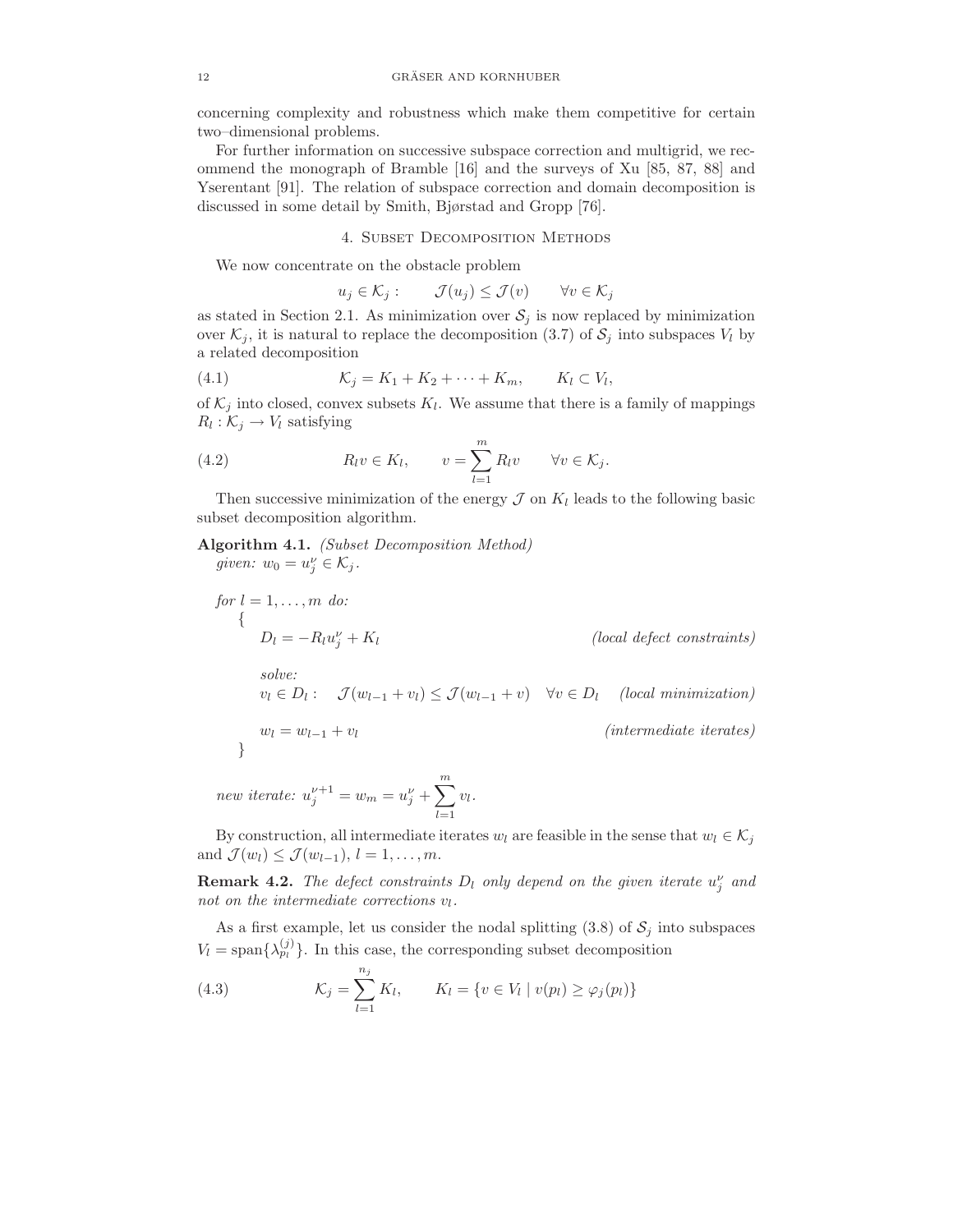concerning complexity and robustness which make them competitive for certain two–dimensional problems.

For further information on successive subspace correction and multigrid, we recommend the monograph of Bramble [16] and the surveys of Xu [85, 87, 88] and Yserentant [91]. The relation of subspace correction and domain decomposition is discussed in some detail by Smith, Bjørstad and Gropp [76].

## 4. Subset Decomposition Methods

We now concentrate on the obstacle problem

$$
u_j \in \mathcal{K}_j: \qquad \mathcal{J}(u_j) \leq \mathcal{J}(v) \qquad \forall v \in \mathcal{K}_j
$$

as stated in Section 2.1. As minimization over  $S_j$  is now replaced by minimization over  $\mathcal{K}_j$ , it is natural to replace the decomposition (3.7) of  $\mathcal{S}_j$  into subspaces  $V_l$  by a related decomposition

$$
(4.1) \t\t\t\t\mathcal{K}_j = K_1 + K_2 + \cdots + K_m, \t\t K_l \subset V_l,
$$

of  $\mathcal{K}_j$  into closed, convex subsets  $K_l$ . We assume that there is a family of mappings  $R_l: \mathcal{K}_j \to V_l$  satisfying

(4.2) 
$$
R_l v \in K_l, \qquad v = \sum_{l=1}^m R_l v \qquad \forall v \in \mathcal{K}_j.
$$

Then successive minimization of the energy  $\mathcal J$  on  $K_l$  leads to the following basic subset decomposition algorithm.

Algorithm 4.1. (Subset Decomposition Method) given:  $w_0 = u_j^{\nu} \in \mathcal{K}_j$ .

for 
$$
l = 1, ..., m
$$
 do:  
\n
$$
\{D_l = -R_l u_j^{\nu} + K_l
$$
 (local defect constraints)  
\nsolve:  
\n $v_l \in D_l: \quad \mathcal{J}(w_{l-1} + v_l) \leq \mathcal{J}(w_{l-1} + v) \quad \forall v \in D_l$  (local minimization)  
\n $w_l = w_{l-1} + v_l$  (intermediate iterates)  
\n $m$ 

new iterate:  $u_j^{\nu+1} = w_m = u_j^{\nu} + \sum_{j=1}^{m}$  $_{l=1}$  $v_l$ .

By construction, all intermediate iterates  $w_l$  are feasible in the sense that  $w_l \in \mathcal{K}_j$ and  $\mathcal{J}(w_l) \leq \mathcal{J}(w_{l-1}), l = 1, \ldots, m.$ 

**Remark 4.2.** The defect constraints  $D_l$  only depend on the given iterate  $u_j^{\nu}$  and not on the intermediate corrections  $v_l$ .

As a first example, let us consider the nodal splitting  $(3.8)$  of  $S_j$  into subspaces  $V_l = \text{span}\{\lambda_{p_l}^{(j)}\}\.$  In this case, the corresponding subset decomposition

(4.3) 
$$
\mathcal{K}_j = \sum_{l=1}^{n_j} K_l, \qquad K_l = \{ v \in V_l \mid v(p_l) \ge \varphi_j(p_l) \}
$$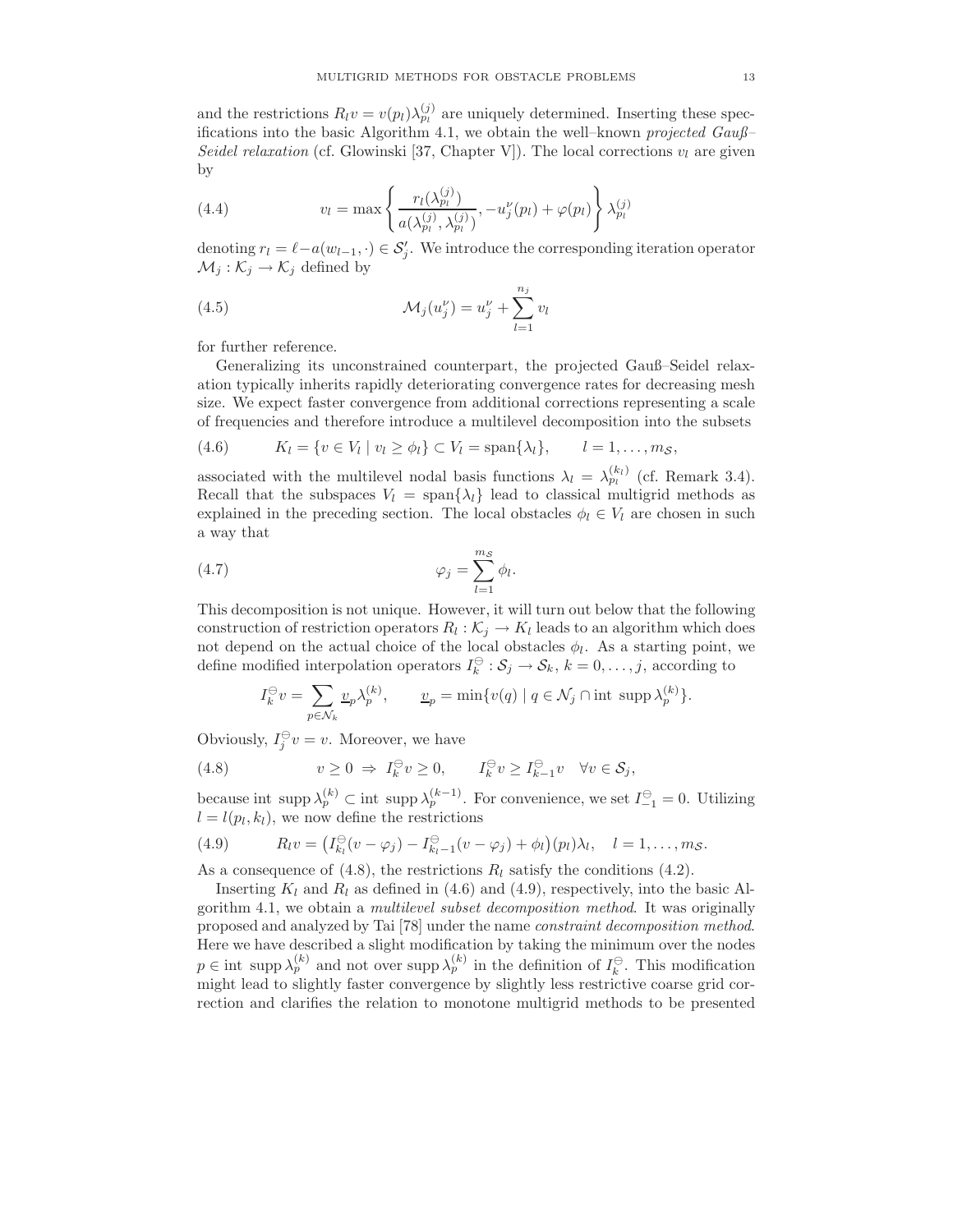and the restrictions  $R_l v = v(p_l) \lambda_{p_l}^{(j)}$  are uniquely determined. Inserting these specifications into the basic Algorithm 4.1, we obtain the well–known projected Gauß– Seidel relaxation (cf. Glowinski [37, Chapter V]). The local corrections  $v_l$  are given by

(4.4) 
$$
v_l = \max \left\{ \frac{r_l(\lambda_{p_l}^{(j)})}{a(\lambda_{p_l}^{(j)}, \lambda_{p_l}^{(j)})}, -u_j^{\nu}(p_l) + \varphi(p_l) \right\} \lambda_{p_l}^{(j)}
$$

denoting  $r_l = \ell - a(w_{l-1}, \cdot) \in \mathcal{S}'_j$ . We introduce the corresponding iteration operator  $\mathcal{M}_j : \mathcal{K}_j \to \mathcal{K}_j$  defined by

(4.5) 
$$
\mathcal{M}_j(u_j^{\nu}) = u_j^{\nu} + \sum_{l=1}^{n_j} v_l
$$

for further reference.

Generalizing its unconstrained counterpart, the projected Gauß–Seidel relaxation typically inherits rapidly deteriorating convergence rates for decreasing mesh size. We expect faster convergence from additional corrections representing a scale of frequencies and therefore introduce a multilevel decomposition into the subsets

(4.6) 
$$
K_l = \{v \in V_l \mid v_l \ge \phi_l\} \subset V_l = \text{span}\{\lambda_l\}, \qquad l = 1, \ldots, m_S,
$$

associated with the multilevel nodal basis functions  $\lambda_l = \lambda_{pl}^{(k_l)}$  (cf. Remark 3.4). Recall that the subspaces  $V_l = \text{span}\{\lambda_l\}$  lead to classical multigrid methods as explained in the preceding section. The local obstacles  $\phi_l \in V_l$  are chosen in such a way that

.

$$
\varphi_j = \sum_{l=1}^{m_S} \phi_l
$$

This decomposition is not unique. However, it will turn out below that the following construction of restriction operators  $R_l: \mathcal{K}_j \to \mathcal{K}_l$  leads to an algorithm which does not depend on the actual choice of the local obstacles  $\phi_l$ . As a starting point, we define modified interpolation operators  $I_k^{\ominus}$  :  $S_j \to S_k$ ,  $k = 0, \ldots, j$ , according to

$$
I_k^{\ominus} v = \sum_{p \in \mathcal{N}_k} \underline{v}_p \lambda_p^{(k)}, \qquad \underline{v}_p = \min \{ v(q) \mid q \in \mathcal{N}_j \cap \text{int } \operatorname{supp} \lambda_p^{(k)} \}.
$$

Obviously,  $I_j^{\ominus} v = v$ . Moreover, we have

(4.8) 
$$
v \ge 0 \Rightarrow I_k^{\ominus} v \ge 0, \qquad I_k^{\ominus} v \ge I_{k-1}^{\ominus} v \quad \forall v \in \mathcal{S}_j,
$$

because int supp  $\lambda_p^{(k)} \subset \text{int}$  supp  $\lambda_p^{(k-1)}$ . For convenience, we set  $I_{-1}^{\ominus} = 0$ . Utilizing  $l = l(p_l, k_l)$ , we now define the restrictions

(4.9) 
$$
R_l v = \left(I_{k_l}^{\ominus}(v - \varphi_j) - I_{k_l-1}^{\ominus}(v - \varphi_j) + \phi_l\right)(p_l)\lambda_l, \quad l = 1, \ldots, m_S.
$$

As a consequence of (4.8), the restrictions  $R_l$  satisfy the conditions (4.2).

Inserting  $K_l$  and  $R_l$  as defined in (4.6) and (4.9), respectively, into the basic Algorithm 4.1, we obtain a multilevel subset decomposition method. It was originally proposed and analyzed by Tai [78] under the name constraint decomposition method. Here we have described a slight modification by taking the minimum over the nodes  $p \in \text{int } \text{supp } \lambda_p^{(k)}$  and not over supp  $\lambda_p^{(k)}$  in the definition of  $I_k^{\ominus}$ . This modification might lead to slightly faster convergence by slightly less restrictive coarse grid correction and clarifies the relation to monotone multigrid methods to be presented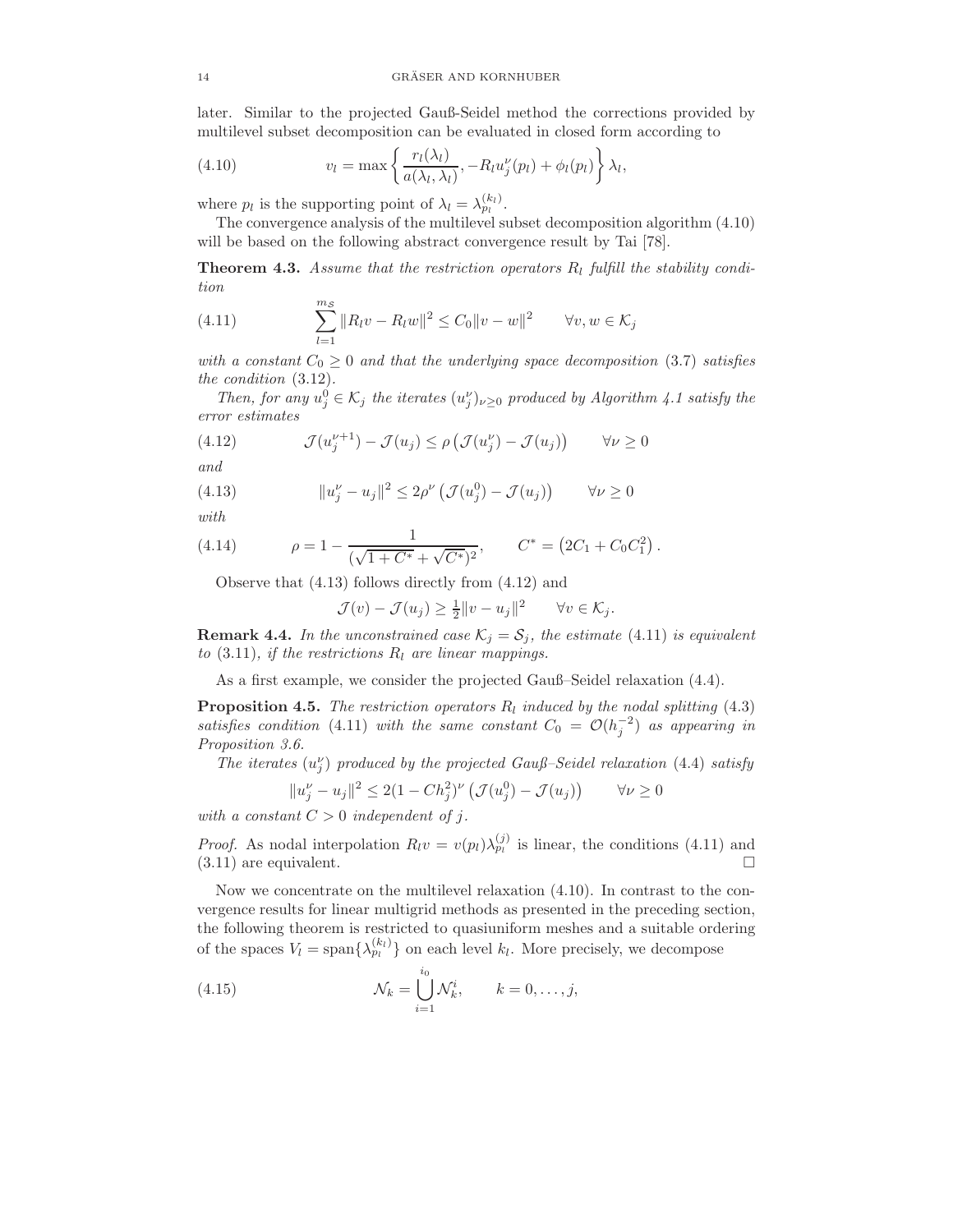later. Similar to the projected Gauß-Seidel method the corrections provided by multilevel subset decomposition can be evaluated in closed form according to

(4.10) 
$$
v_l = \max \left\{ \frac{r_l(\lambda_l)}{a(\lambda_l, \lambda_l)}, -R_l u_j^{\nu}(p_l) + \phi_l(p_l) \right\} \lambda_l,
$$

where  $p_l$  is the supporting point of  $\lambda_l = \lambda_{p_l}^{(k_l)}$ .

The convergence analysis of the multilevel subset decomposition algorithm (4.10) will be based on the following abstract convergence result by Tai [78].

**Theorem 4.3.** Assume that the restriction operators  $R_l$  fulfill the stability condition

(4.11) 
$$
\sum_{l=1}^{m_S} ||R_l v - R_l w||^2 \le C_0 ||v - w||^2 \quad \forall v, w \in \mathcal{K}_j
$$

with a constant  $C_0 \geq 0$  and that the underlying space decomposition (3.7) satisfies the condition (3.12).

Then, for any  $u_j^0 \in \mathcal{K}_j$  the iterates  $(u_j^{\nu})_{\nu \geq 0}$  produced by Algorithm 4.1 satisfy the error estimates

(4.12) 
$$
\mathcal{J}(u_j^{\nu+1}) - \mathcal{J}(u_j) \le \rho \left( \mathcal{J}(u_j^{\nu}) - \mathcal{J}(u_j) \right) \qquad \forall \nu \ge 0
$$

and

(4.13) 
$$
||u_j^{\nu} - u_j||^2 \le 2\rho^{\nu} \left( \mathcal{J}(u_j^0) - \mathcal{J}(u_j) \right) \qquad \forall \nu \ge 0
$$

with

(4.14) 
$$
\rho = 1 - \frac{1}{(\sqrt{1 + C^*} + \sqrt{C^*})^2}, \qquad C^* = (2C_1 + C_0 C_1^2).
$$

Observe that (4.13) follows directly from (4.12) and

$$
\mathcal{J}(v) - \mathcal{J}(u_j) \ge \frac{1}{2} ||v - u_j||^2 \quad \forall v \in \mathcal{K}_j.
$$

**Remark 4.4.** In the unconstrained case  $\mathcal{K}_j = \mathcal{S}_j$ , the estimate (4.11) is equivalent to  $(3.11)$ , if the restrictions  $R_l$  are linear mappings.

As a first example, we consider the projected Gauß–Seidel relaxation (4.4).

**Proposition 4.5.** The restriction operators  $R_l$  induced by the nodal splitting (4.3) satisfies condition (4.11) with the same constant  $C_0 = \mathcal{O}(h_j^{-2})$  as appearing in Proposition 3.6.

The iterates  $(u_j^{\nu})$  produced by the projected Gauß–Seidel relaxation (4.4) satisfy

$$
||u_j^{\nu} - u_j||^2 \le 2(1 - Ch_j^2)^{\nu} \left( \mathcal{J}(u_j^0) - \mathcal{J}(u_j) \right) \qquad \forall \nu \ge 0
$$

with a constant  $C > 0$  independent of j.

*Proof.* As nodal interpolation  $R_l v = v(p_l) \lambda_{p_l}^{(j)}$  is linear, the conditions (4.11) and  $(3.11)$  are equivalent.

Now we concentrate on the multilevel relaxation (4.10). In contrast to the convergence results for linear multigrid methods as presented in the preceding section, the following theorem is restricted to quasiuniform meshes and a suitable ordering of the spaces  $V_l = \text{span}\{\lambda_{pi}^{(k_l)}\}\$  on each level  $k_l$ . More precisely, we decompose

(4.15) 
$$
\mathcal{N}_k = \bigcup_{i=1}^{i_0} \mathcal{N}_k^i, \qquad k = 0, \ldots, j,
$$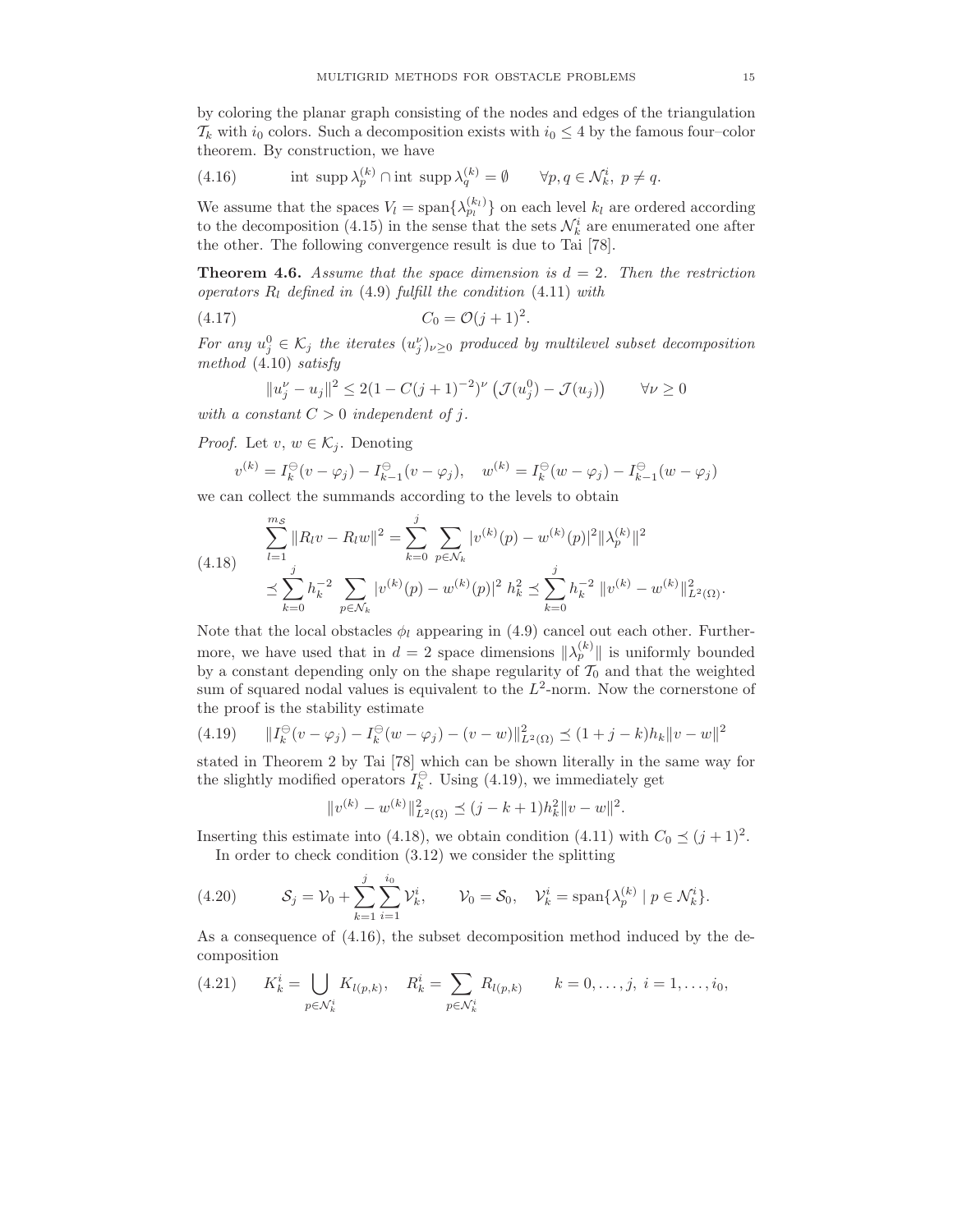by coloring the planar graph consisting of the nodes and edges of the triangulation  $\mathcal{T}_k$  with  $i_0$  colors. Such a decomposition exists with  $i_0 \leq 4$  by the famous four–color theorem. By construction, we have

(4.16) 
$$
\text{int } \operatorname{supp} \lambda_p^{(k)} \cap \text{int } \operatorname{supp} \lambda_q^{(k)} = \emptyset \qquad \forall p, q \in \mathcal{N}_k^i, \ p \neq q.
$$

We assume that the spaces  $V_l = \text{span}\{\lambda_{p_l}^{(k_l)}\}$  on each level  $k_l$  are ordered according to the decomposition (4.15) in the sense that the sets  $\mathcal{N}_k^i$  are enumerated one after the other. The following convergence result is due to Tai [78].

**Theorem 4.6.** Assume that the space dimension is  $d = 2$ . Then the restriction operators  $R_l$  defined in (4.9) fulfill the condition (4.11) with

(4.17) 
$$
C_0 = \mathcal{O}(j+1)^2.
$$

For any  $u_j^0 \in \mathcal{K}_j$  the iterates  $(u_j^{\nu})_{\nu \geq 0}$  produced by multilevel subset decomposition method (4.10) satisfy

$$
||u_j^{\nu} - u_j||^2 \le 2(1 - C(j+1)^{-2})^{\nu} \left( \mathcal{J}(u_j^0) - \mathcal{J}(u_j) \right) \qquad \forall \nu \ge 0
$$

with a constant  $C > 0$  independent of j.

*Proof.* Let  $v, w \in \mathcal{K}_j$ . Denoting

$$
v^{(k)} = I_k^{\ominus}(v - \varphi_j) - I_{k-1}^{\ominus}(v - \varphi_j), \quad w^{(k)} = I_k^{\ominus}(w - \varphi_j) - I_{k-1}^{\ominus}(w - \varphi_j)
$$

we can collect the summands according to the levels to obtain

$$
\sum_{l=1}^{m_S} ||R_l v - R_l w||^2 = \sum_{k=0}^{j} \sum_{p \in \mathcal{N}_k} |v^{(k)}(p) - w^{(k)}(p)|^2 ||\lambda_p^{(k)}||^2
$$
  

$$
\leq \sum_{k=0}^{j} h_k^{-2} \sum_{p \in \mathcal{N}_k} |v^{(k)}(p) - w^{(k)}(p)|^2 h_k^2 \leq \sum_{k=0}^{j} h_k^{-2} ||v^{(k)} - w^{(k)}||_{L^2(\Omega)}^2.
$$

Note that the local obstacles  $\phi_l$  appearing in (4.9) cancel out each other. Furthermore, we have used that in  $d = 2$  space dimensions  $\|\lambda_p^{(k)}\|$  is uniformly bounded by a constant depending only on the shape regularity of  $T_0$  and that the weighted sum of squared nodal values is equivalent to the  $L^2$ -norm. Now the cornerstone of the proof is the stability estimate

(4.19) 
$$
||I_k^{\ominus}(v - \varphi_j) - I_k^{\ominus}(w - \varphi_j) - (v - w)||_{L^2(\Omega)}^2 \le (1 + j - k)h_k||v - w||^2
$$

stated in Theorem 2 by Tai [78] which can be shown literally in the same way for the slightly modified operators  $I_k^{\ominus}$ . Using (4.19), we immediately get

$$
||v^{(k)} - w^{(k)}||_{L^2(\Omega)}^2 \le (j - k + 1)h_k^2 ||v - w||^2.
$$

Inserting this estimate into (4.18), we obtain condition (4.11) with  $C_0 \preceq (j + 1)^2$ .

In order to check condition (3.12) we consider the splitting

(4.20) 
$$
\mathcal{S}_j = \mathcal{V}_0 + \sum_{k=1}^j \sum_{i=1}^{i_0} \mathcal{V}_k^i, \qquad \mathcal{V}_0 = \mathcal{S}_0, \quad \mathcal{V}_k^i = \text{span}\{\lambda_p^{(k)} \mid p \in \mathcal{N}_k^i\}.
$$

As a consequence of (4.16), the subset decomposition method induced by the decomposition

$$
(4.21) \t K_k^i = \bigcup_{p \in \mathcal{N}_k^i} K_{l(p,k)}, \t R_k^i = \sum_{p \in \mathcal{N}_k^i} R_{l(p,k)} \t k = 0, \ldots, j, \ i = 1, \ldots, i_0,
$$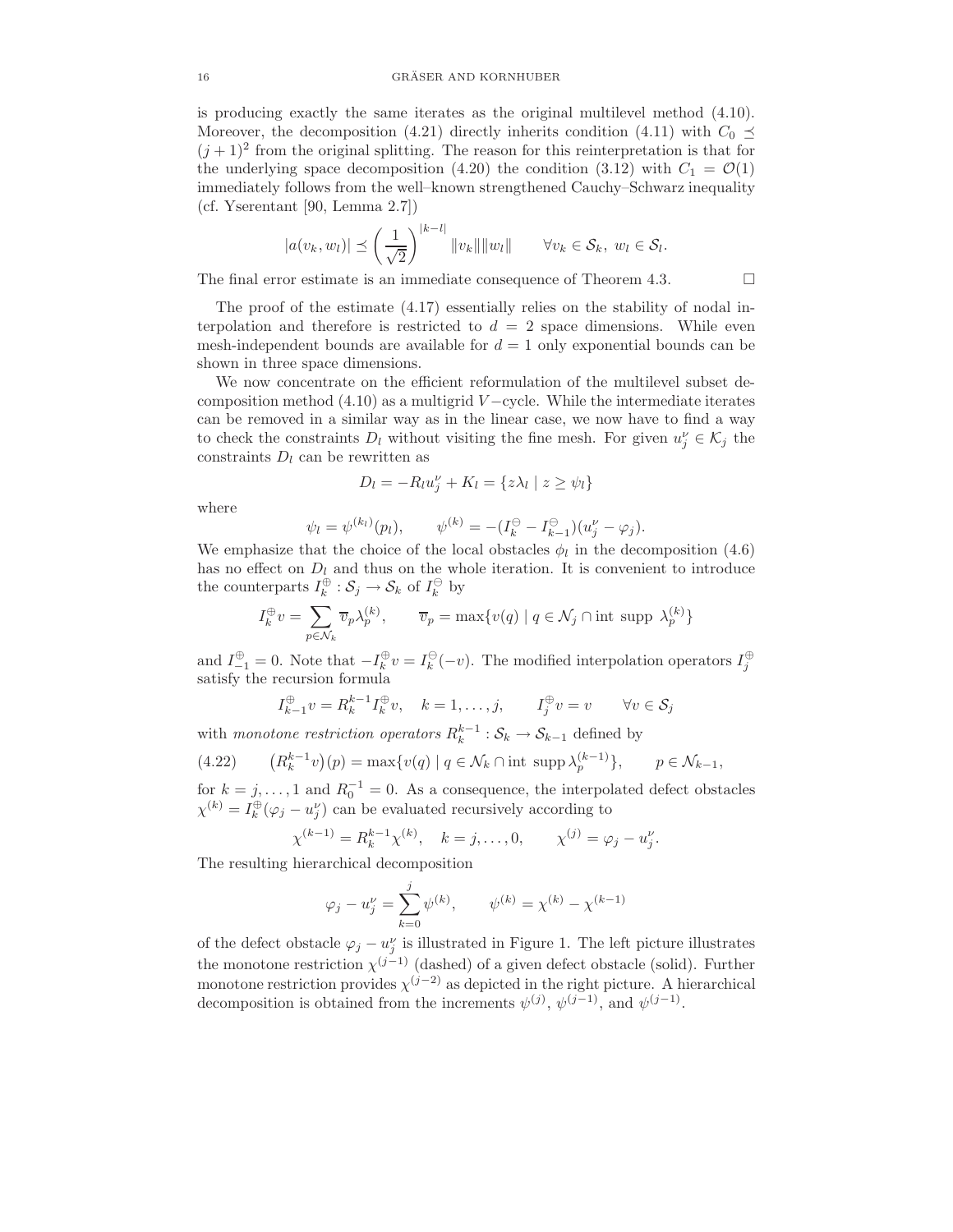is producing exactly the same iterates as the original multilevel method (4.10). Moreover, the decomposition (4.21) directly inherits condition (4.11) with  $C_0 \preceq$  $(j+1)^2$  from the original splitting. The reason for this reinterpretation is that for the underlying space decomposition (4.20) the condition (3.12) with  $C_1 = \mathcal{O}(1)$ immediately follows from the well–known strengthened Cauchy–Schwarz inequality (cf. Yserentant [90, Lemma 2.7])

$$
|a(v_k, w_l)| \preceq \left(\frac{1}{\sqrt{2}}\right)^{|k-l|} ||v_k|| ||w_l|| \qquad \forall v_k \in \mathcal{S}_k, w_l \in \mathcal{S}_l.
$$

The final error estimate is an immediate consequence of Theorem 4.3.  $\Box$ 

The proof of the estimate (4.17) essentially relies on the stability of nodal interpolation and therefore is restricted to  $d = 2$  space dimensions. While even mesh-independent bounds are available for  $d = 1$  only exponential bounds can be shown in three space dimensions.

We now concentrate on the efficient reformulation of the multilevel subset decomposition method  $(4.10)$  as a multigrid  $V$  –cycle. While the intermediate iterates can be removed in a similar way as in the linear case, we now have to find a way to check the constraints  $D_l$  without visiting the fine mesh. For given  $u_j^{\nu} \in \mathcal{K}_j$  the constraints  $D_l$  can be rewritten as

$$
D_l = -R_l u_j^{\nu} + K_l = \{ z \lambda_l \mid z \ge \psi_l \}
$$

where

$$
\psi_l = \psi^{(k_l)}(p_l), \qquad \psi^{(k)} = -(I_k^{\ominus} - I_{k-1}^{\ominus})(u_j^{\nu} - \varphi_j).
$$

We emphasize that the choice of the local obstacles  $\phi_l$  in the decomposition (4.6) has no effect on  $D_l$  and thus on the whole iteration. It is convenient to introduce the counterparts  $I_k^{\oplus} : \mathcal{S}_j \to \mathcal{S}_k$  of  $I_k^{\ominus}$  by

$$
I_k^{\oplus} v = \sum_{p \in \mathcal{N}_k} \overline{v}_p \lambda_p^{(k)}, \qquad \overline{v}_p = \max \{ v(q) \mid q \in \mathcal{N}_j \cap \text{int } \text{supp } \lambda_p^{(k)} \}
$$

and  $I_{-1}^{\oplus} = 0$ . Note that  $-I_k^{\oplus} v = I_k^{\ominus}(-v)$ . The modified interpolation operators  $I_j^{\oplus}$  satisfy the recursion formula

$$
I_{k-1}^{\oplus}v = R_k^{k-1}I_k^{\oplus}v, \quad k = 1, \dots, j, \qquad I_j^{\oplus}v = v \qquad \forall v \in \mathcal{S}_j
$$

with monotone restriction operators  $R_k^{k-1}$  :  $S_k \to S_{k-1}$  defined by

(4.22) 
$$
(R_k^{k-1}v)(p) = \max\{v(q) \mid q \in \mathcal{N}_k \cap \text{int } \operatorname{supp} \lambda_p^{(k-1)}\}, \quad p \in \mathcal{N}_{k-1},
$$

for  $k = j, ..., 1$  and  $R_0^{-1} = 0$ . As a consequence, the interpolated defect obstacles  $\chi^{(k)} = I_k^{\oplus}(\varphi_j - u_j^{\nu})$  can be evaluated recursively according to

$$
\chi^{(k-1)} = R_k^{k-1} \chi^{(k)}, \quad k = j, \dots, 0, \qquad \chi^{(j)} = \varphi_j - u_j^{\nu}.
$$

The resulting hierarchical decomposition

$$
\varphi_j - u_j^{\nu} = \sum_{k=0}^j \psi^{(k)}, \qquad \psi^{(k)} = \chi^{(k)} - \chi^{(k-1)}
$$

of the defect obstacle  $\varphi_j - u_j^{\nu}$  is illustrated in Figure 1. The left picture illustrates the monotone restriction  $\chi^{(j-1)}$  (dashed) of a given defect obstacle (solid). Further monotone restriction provides  $\chi^{(j-2)}$  as depicted in the right picture. A hierarchical decomposition is obtained from the increments  $\psi^{(j)}$ ,  $\psi^{(j-1)}$ , and  $\psi^{(j-1)}$ .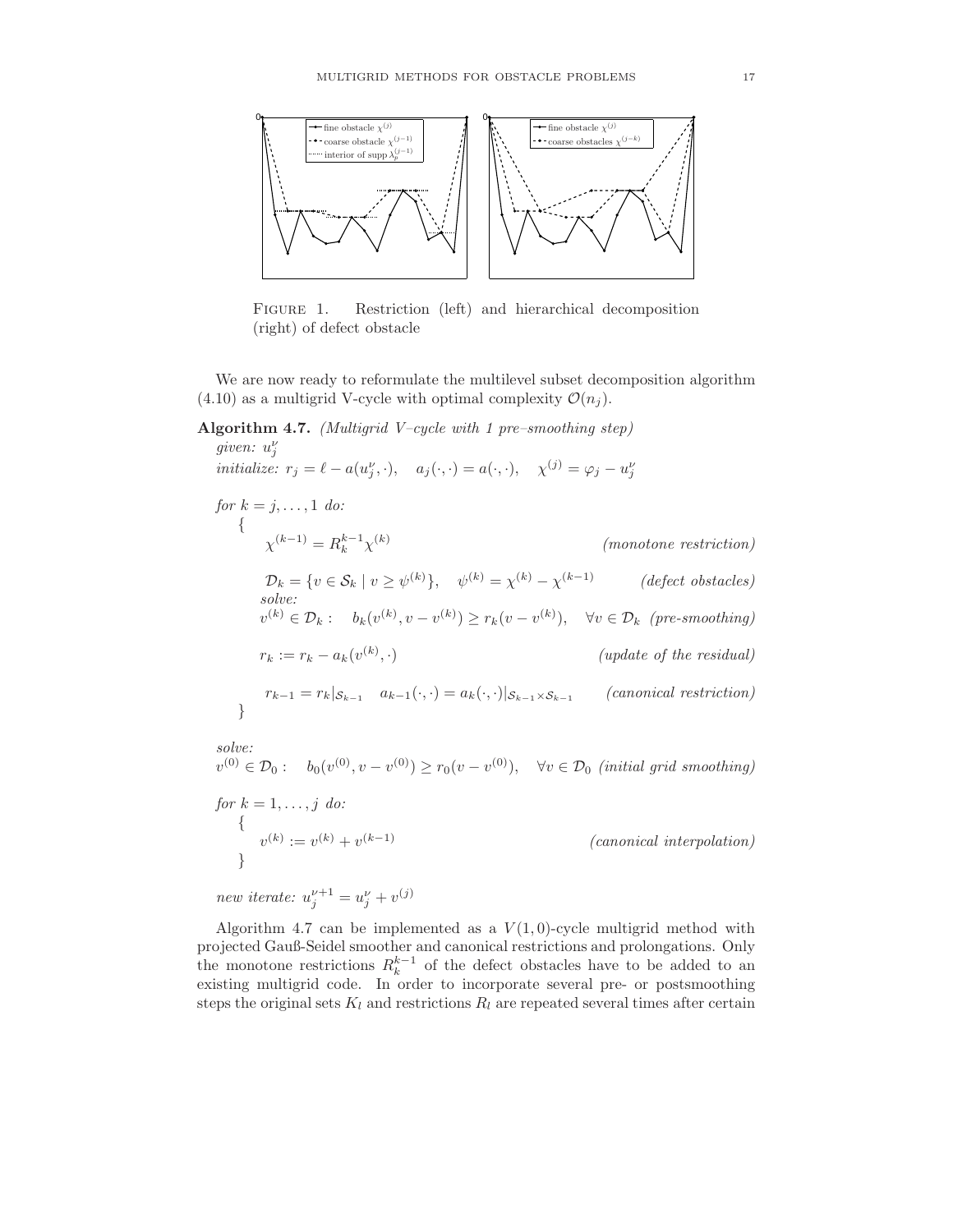

FIGURE 1. Restriction (left) and hierarchical decomposition (right) of defect obstacle

We are now ready to reformulate the multilevel subset decomposition algorithm (4.10) as a multigrid V-cycle with optimal complexity  $\mathcal{O}(n_i)$ .

# Algorithm 4.7. (Multigrid V–cycle with 1 pre–smoothing step)

given:  $u_j^{\nu}$ initialize:  $r_j = \ell - a(u_j^{\nu}, \cdot), \quad a_j(\cdot, \cdot) = a(\cdot, \cdot), \quad \chi^{(j)} = \varphi_j - u_j^{\nu}$ for  $k = j, \ldots, 1$  do: {  $\chi^{(k-1)} = R_k^{k-1} \chi^{(k)}$ (monotone restriction)  $\mathcal{D}_k = \{v \in \mathcal{S}_k \mid v \ge \psi^{(k)}\}, \quad \psi^{(k)} = \chi^{(k)} - \chi^{(k-1)}$  (defect obstacles) solve:  $v^{(k)} \in \mathcal{D}_k: \quad b_k(v^{(k)}, v - v^{(k)}) \ge r_k(v - v^{(k)}), \quad \forall v \in \mathcal{D}_k \ \ (pre-smoothing)$  $r_k := r_k - a_k(v^{(k)})$  $(update \ of \ the \ residual)$  $r_{k-1} = r_k |_{S_{k-1}} \quad a_{k-1}(\cdot, \cdot) = a_k(\cdot, \cdot)|_{S_{k-1} \times S_{k-1}}$  (canonical restriction) } solve:

 $v^{(0)} \in \mathcal{D}_0: \quad b_0(v^{(0)}, v - v^{(0)}) \ge r_0(v - v^{(0)}), \quad \forall v \in \mathcal{D}_0 \text{ (initial grid smoothing)}$ 

for  $k = 1, \ldots, j$  do: {  $v^{(k)} := v^{(k)} + v$  $(canonical\ interpolation)$ }

new iterate:  $u_j^{\nu+1} = u_j^{\nu} + v^{(j)}$ 

Algorithm 4.7 can be implemented as a  $V(1,0)$ -cycle multigrid method with projected Gauß-Seidel smoother and canonical restrictions and prolongations. Only the monotone restrictions  $R_k^{k-1}$  of the defect obstacles have to be added to an existing multigrid code. In order to incorporate several pre- or postsmoothing steps the original sets  $K_l$  and restrictions  $R_l$  are repeated several times after certain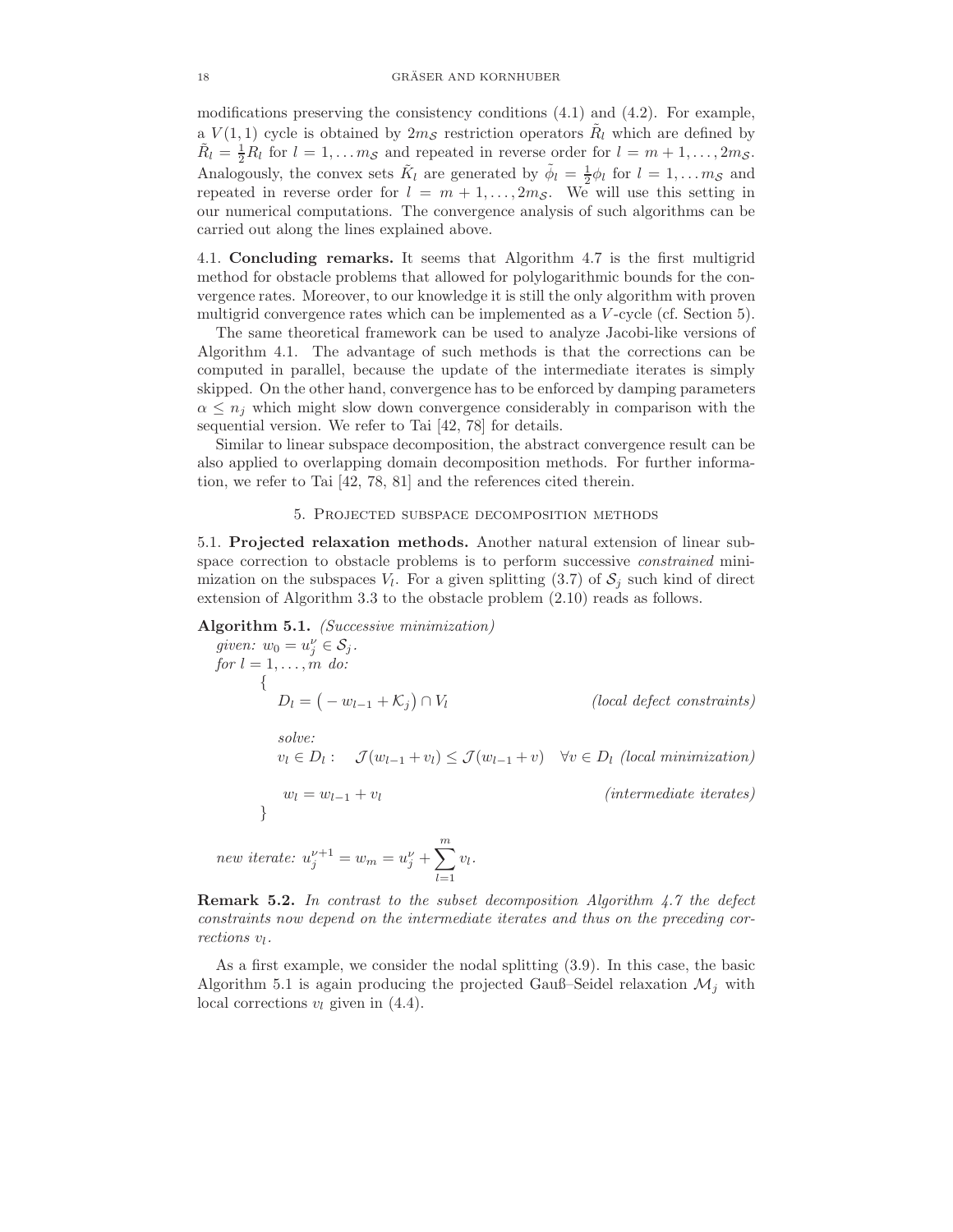modifications preserving the consistency conditions  $(4.1)$  and  $(4.2)$ . For example, a  $V(1,1)$  cycle is obtained by  $2m<sub>S</sub>$  restriction operators  $R̃<sub>l</sub>$  which are defined by  $\tilde{R}_l = \frac{1}{2}R_l$  for  $l = 1, \ldots m_{\mathcal{S}}$  and repeated in reverse order for  $l = m + 1, \ldots, 2m_{\mathcal{S}}$ . Analogously, the convex sets  $\tilde{K}_l$  are generated by  $\tilde{\phi}_l = \frac{1}{2} \phi_l$  for  $l = 1, \ldots m_S$  and repeated in reverse order for  $l = m + 1, \ldots, 2m_S$ . We will use this setting in our numerical computations. The convergence analysis of such algorithms can be carried out along the lines explained above.

4.1. Concluding remarks. It seems that Algorithm 4.7 is the first multigrid method for obstacle problems that allowed for polylogarithmic bounds for the convergence rates. Moreover, to our knowledge it is still the only algorithm with proven multigrid convergence rates which can be implemented as a V -cycle (cf. Section 5).

The same theoretical framework can be used to analyze Jacobi-like versions of Algorithm 4.1. The advantage of such methods is that the corrections can be computed in parallel, because the update of the intermediate iterates is simply skipped. On the other hand, convergence has to be enforced by damping parameters  $\alpha \leq n_i$  which might slow down convergence considerably in comparison with the sequential version. We refer to Tai [42, 78] for details.

Similar to linear subspace decomposition, the abstract convergence result can be also applied to overlapping domain decomposition methods. For further information, we refer to Tai [42, 78, 81] and the references cited therein.

### 5. Projected subspace decomposition methods

5.1. Projected relaxation methods. Another natural extension of linear subspace correction to obstacle problems is to perform successive *constrained* minimization on the subspaces  $V_l$ . For a given splitting (3.7) of  $S_j$  such kind of direct extension of Algorithm 3.3 to the obstacle problem (2.10) reads as follows.

Algorithm 5.1. (Successive minimization)

given: 
$$
w_0 = u_j^{\nu} \in S_j
$$
.  
\nfor  $l = 1, ..., m$  do:  
\n
$$
\{D_l = (-w_{l-1} + K_j) \cap V_l \qquad \qquad (local defect constraints)
$$
\n
$$
solve:
$$
\n
$$
v_l \in D_l: \quad \mathcal{J}(w_{l-1} + v_l) \leq \mathcal{J}(w_{l-1} + v) \quad \forall v \in D_l \text{ (local minimization)}
$$
\n
$$
w_l = w_{l-1} + v_l \qquad \qquad (intermediate iterates)
$$
\n
$$
new iterate: u_j^{\nu+1} = w_m = u_j^{\nu} + \sum_{i=1}^{m} v_i.
$$

**Remark 5.2.** In contrast to the subset decomposition Algorithm  $4.7$  the defect constraints now depend on the intermediate iterates and thus on the preceding corrections  $v_l$ .

 $\sum_{l=1}$ 

As a first example, we consider the nodal splitting (3.9). In this case, the basic Algorithm 5.1 is again producing the projected Gauß–Seidel relaxation  $\mathcal{M}_i$  with local corrections  $v_l$  given in (4.4).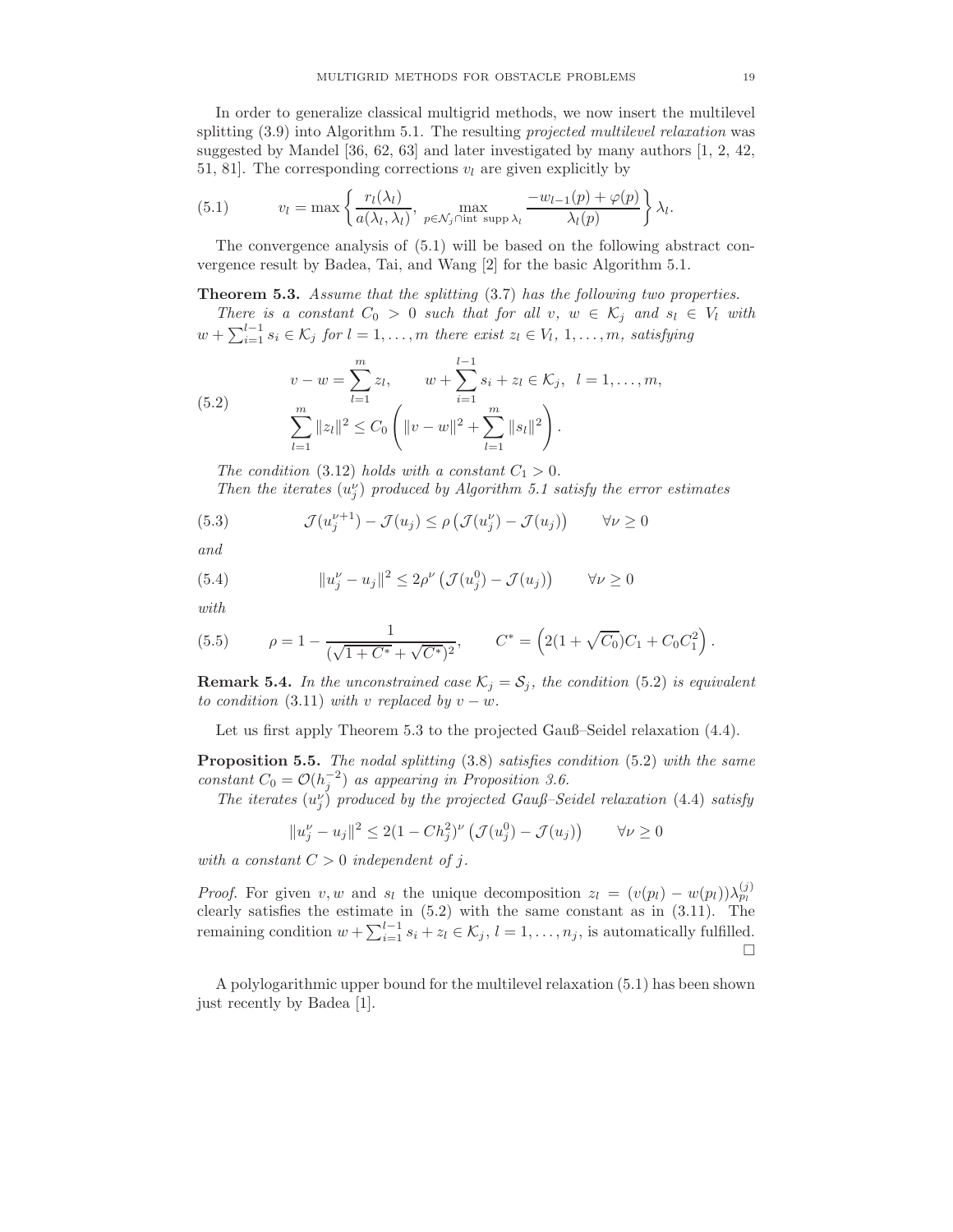In order to generalize classical multigrid methods, we now insert the multilevel splitting  $(3.9)$  into Algorithm 5.1. The resulting projected multilevel relaxation was suggested by Mandel [36, 62, 63] and later investigated by many authors [1, 2, 42, 51, 81. The corresponding corrections  $v_l$  are given explicitly by

(5.1) 
$$
v_l = \max \left\{ \frac{r_l(\lambda_l)}{a(\lambda_l, \lambda_l)}, \max_{p \in \mathcal{N}_j \cap \text{int } \text{ supp } \lambda_l} \frac{-w_{l-1}(p) + \varphi(p)}{\lambda_l(p)} \right\} \lambda_l.
$$

The convergence analysis of (5.1) will be based on the following abstract convergence result by Badea, Tai, and Wang [2] for the basic Algorithm 5.1.

### **Theorem 5.3.** Assume that the splitting (3.7) has the following two properties.

There is a constant  $C_0 > 0$  such that for all  $v, w \in \mathcal{K}_j$  and  $s_l \in V_l$  with  $w + \sum_{i=1}^{l-1} s_i \in \mathcal{K}_j$  for  $l = 1, \ldots, m$  there exist  $z_l \in V_l, 1, \ldots, m$ , satisfying

(5.2) 
$$
v - w = \sum_{l=1}^{m} z_l, \qquad w + \sum_{i=1}^{l-1} s_i + z_l \in \mathcal{K}_j, \quad l = 1, ..., m,
$$

$$
\sum_{l=1}^{m} ||z_l||^2 \leq C_0 \left( ||v - w||^2 + \sum_{l=1}^{m} ||s_l||^2 \right).
$$

The condition (3.12) holds with a constant  $C_1 > 0$ .

Then the iterates  $(u_j^{\nu})$  produced by Algorithm 5.1 satisfy the error estimates

(5.3) 
$$
\mathcal{J}(u_j^{\nu+1}) - \mathcal{J}(u_j) \le \rho \left( \mathcal{J}(u_j^{\nu}) - \mathcal{J}(u_j) \right) \qquad \forall \nu \ge 0
$$

and

(5.4) 
$$
||u_j^{\nu} - u_j||^2 \le 2\rho^{\nu} \left( \mathcal{J}(u_j^0) - \mathcal{J}(u_j) \right) \qquad \forall \nu \ge 0
$$

with

(5.5) 
$$
\rho = 1 - \frac{1}{(\sqrt{1 + C^*} + \sqrt{C^*})^2}, \qquad C^* = \left(2(1 + \sqrt{C_0})C_1 + C_0C_1^2\right).
$$

**Remark 5.4.** In the unconstrained case  $\mathcal{K}_j = \mathcal{S}_j$ , the condition (5.2) is equivalent to condition (3.11) with v replaced by  $v - w$ .

Let us first apply Theorem 5.3 to the projected Gauß–Seidel relaxation (4.4).

**Proposition 5.5.** The nodal splitting  $(3.8)$  satisfies condition  $(5.2)$  with the same constant  $C_0 = \mathcal{O}(h_j^{-2})$  as appearing in Proposition 3.6.

The iterates  $(u_j^{\nu})$  produced by the projected Gauß–Seidel relaxation (4.4) satisfy

$$
||u_j^{\nu} - u_j||^2 \le 2(1 - Ch_j^2)^{\nu} \left( \mathcal{J}(u_j^0) - \mathcal{J}(u_j) \right) \qquad \forall \nu \ge 0
$$

with a constant  $C > 0$  independent of j.

*Proof.* For given v, w and  $s_l$  the unique decomposition  $z_l = (v(p_l) - w(p_l))\lambda_{p_l}^{(j)}$ clearly satisfies the estimate in (5.2) with the same constant as in (3.11). The remaining condition  $w + \sum_{i=1}^{l-1} s_i + z_l \in \mathcal{K}_j$ ,  $l = 1, \ldots, n_j$ , is automatically fulfilled.  $\Box$ 

A polylogarithmic upper bound for the multilevel relaxation (5.1) has been shown just recently by Badea [1].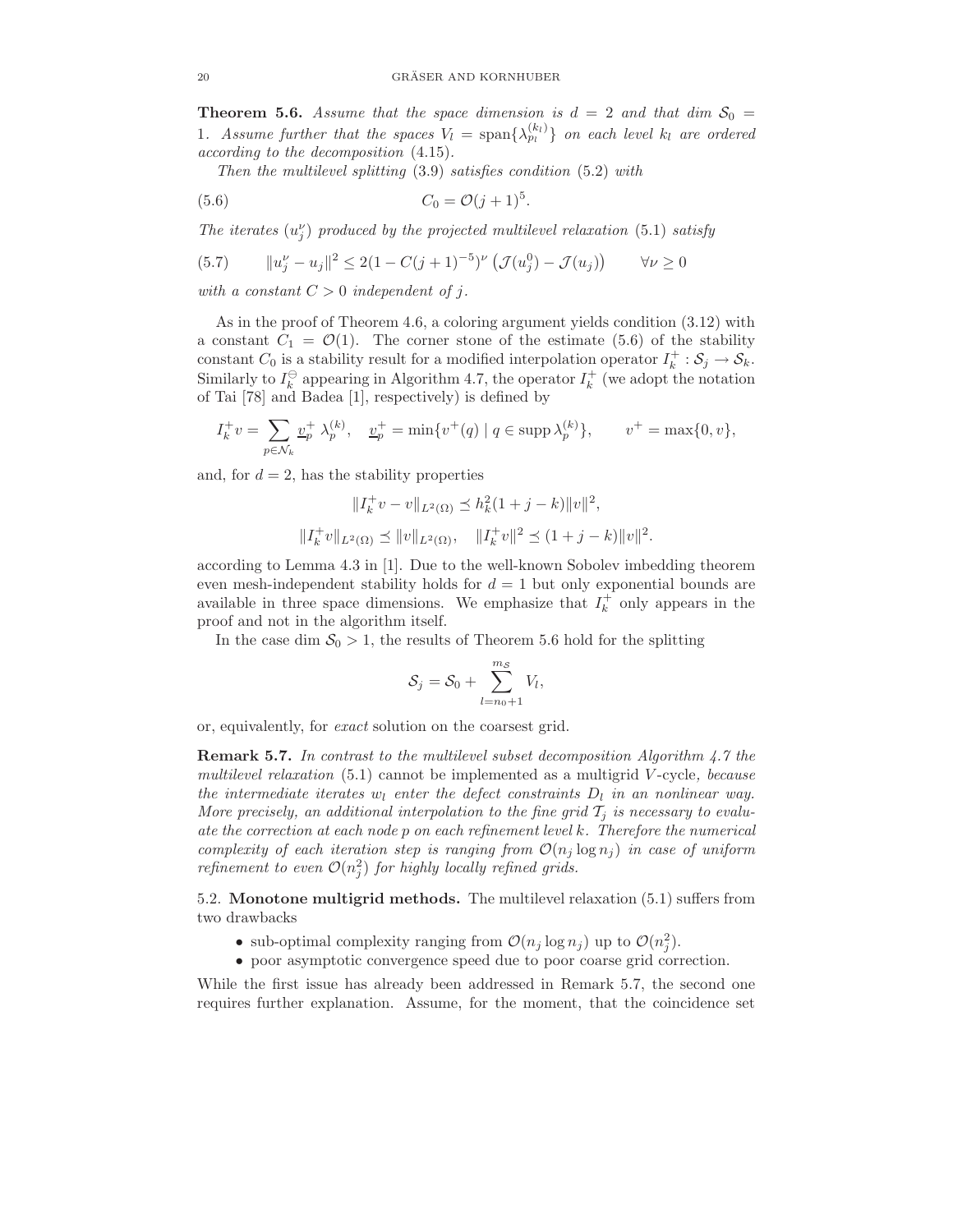**Theorem 5.6.** Assume that the space dimension is  $d = 2$  and that dim  $S_0 =$ 1. Assume further that the spaces  $V_l = \text{span}\{\lambda_{p_l}^{(k_l)}\}$  on each level  $k_l$  are ordered according to the decomposition (4.15).

.

Then the multilevel splitting (3.9) satisfies condition (5.2) with

$$
(5.6) \t C_0 = \mathcal{O}(j+1)^5
$$

The iterates  $(u_j^{\nu})$  produced by the projected multilevel relaxation (5.1) satisfy

(5.7) 
$$
||u_j^{\nu} - u_j||^2 \le 2(1 - C(j+1)^{-5})^{\nu} \left( \mathcal{J}(u_j^0) - \mathcal{J}(u_j) \right) \qquad \forall \nu \ge 0
$$

with a constant  $C > 0$  independent of j.

As in the proof of Theorem 4.6, a coloring argument yields condition (3.12) with a constant  $C_1 = \mathcal{O}(1)$ . The corner stone of the estimate (5.6) of the stability constant  $C_0$  is a stability result for a modified interpolation operator  $I_k^+$  :  $S_j \to S_k$ . Similarly to  $I_k^{\ominus}$  appearing in Algorithm 4.7, the operator  $I_k^+$  (we adopt the notation of Tai [78] and Badea [1], respectively) is defined by

$$
I_k^+ v = \sum_{p \in \mathcal{N}_k} \underline{v}_p^+ \ \lambda_p^{(k)}, \quad \underline{v}_p^+ = \min \{ v^+(q) \mid q \in \text{supp } \lambda_p^{(k)} \}, \qquad v^+ = \max \{ 0, v \},
$$

and, for  $d = 2$ , has the stability properties

$$
||I_k^+ v - v||_{L^2(\Omega)} \le h_k^2 (1+j-k) ||v||^2,
$$
  

$$
||I_k^+ v||_{L^2(\Omega)} \le ||v||_{L^2(\Omega)}, \quad ||I_k^+ v||^2 \le (1+j-k) ||v||^2
$$

.

according to Lemma 4.3 in [1]. Due to the well-known Sobolev imbedding theorem even mesh-independent stability holds for  $d = 1$  but only exponential bounds are available in three space dimensions. We emphasize that  $I_k^+$  only appears in the proof and not in the algorithm itself.

In the case dim  $S_0 > 1$ , the results of Theorem 5.6 hold for the splitting

$$
\mathcal{S}_j = \mathcal{S}_0 + \sum_{l=n_0+1}^{m_{\mathcal{S}}} V_l,
$$

or, equivalently, for exact solution on the coarsest grid.

Remark 5.7. In contrast to the multilevel subset decomposition Algorithm 4.7 the multilevel relaxation  $(5.1)$  cannot be implemented as a multigrid V-cycle, because the intermediate iterates  $w_l$  enter the defect constraints  $D_l$  in an nonlinear way. More precisely, an additional interpolation to the fine grid  $T_i$  is necessary to evaluate the correction at each node  $p$  on each refinement level  $k$ . Therefore the numerical complexity of each iteration step is ranging from  $\mathcal{O}(n_j \log n_j)$  in case of uniform refinement to even  $\mathcal{O}(n_j^2)$  for highly locally refined grids.

5.2. Monotone multigrid methods. The multilevel relaxation (5.1) suffers from two drawbacks

- sub-optimal complexity ranging from  $\mathcal{O}(n_j \log n_j)$  up to  $\mathcal{O}(n_j^2)$ .
- poor asymptotic convergence speed due to poor coarse grid correction.

While the first issue has already been addressed in Remark 5.7, the second one requires further explanation. Assume, for the moment, that the coincidence set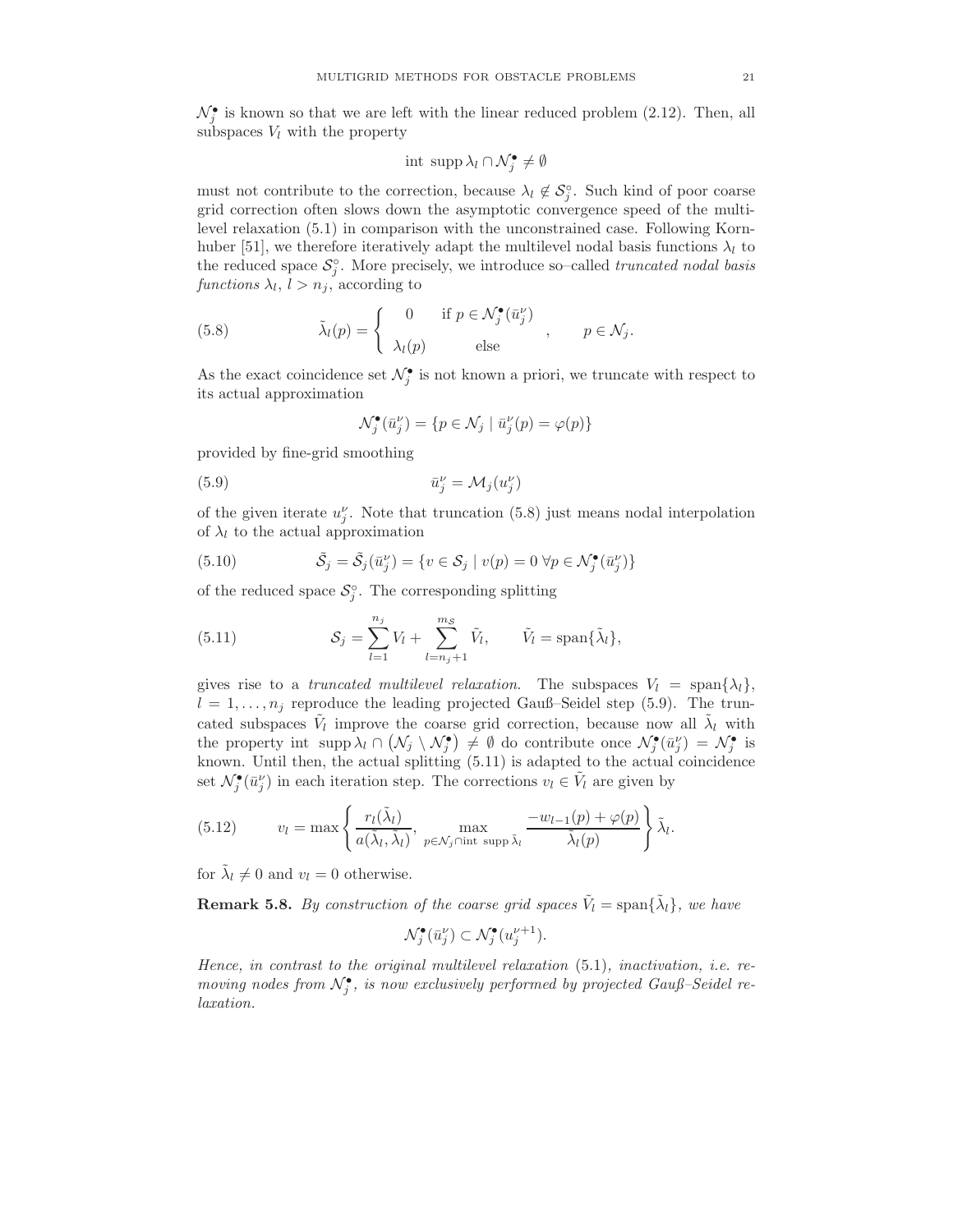$\mathcal{N}_{j}^{\bullet}$  is known so that we are left with the linear reduced problem (2.12). Then, all subspaces  $V_l$  with the property

$$
\text{int } \operatorname{supp} \lambda_l \cap \mathcal{N}_j^{\bullet} \neq \emptyset
$$

must not contribute to the correction, because  $\lambda_l \notin S_j^{\circ}$ . Such kind of poor coarse grid correction often slows down the asymptotic convergence speed of the multilevel relaxation (5.1) in comparison with the unconstrained case. Following Kornhuber [51], we therefore iteratively adapt the multilevel nodal basis functions  $\lambda_l$  to the reduced space  $S_j^{\circ}$ . More precisely, we introduce so–called *truncated nodal basis* functions  $\lambda_l$ ,  $l > n_j$ , according to

(5.8) 
$$
\tilde{\lambda}_l(p) = \begin{cases} 0 & \text{if } p \in \mathcal{N}_j^{\bullet}(\bar{u}_j^{\nu}) \\ \lambda_l(p) & \text{else} \end{cases}, \quad p \in \mathcal{N}_j.
$$

As the exact coincidence set  $\mathcal{N}_j^{\bullet}$  is not known a priori, we truncate with respect to its actual approximation

$$
\mathcal{N}_j^{\bullet}(\bar{u}_j^{\nu}) = \{ p \in \mathcal{N}_j \mid \bar{u}_j^{\nu}(p) = \varphi(p) \}
$$

provided by fine-grid smoothing

(5.9) 
$$
\bar{u}_j^{\nu} = \mathcal{M}_j(u_j^{\nu})
$$

of the given iterate  $u_j^{\nu}$ . Note that truncation (5.8) just means nodal interpolation of  $\lambda_l$  to the actual approximation

(5.10) 
$$
\tilde{S}_j = \tilde{S}_j(\bar{u}_j^{\nu}) = \{v \in S_j \mid v(p) = 0 \,\forall p \in \mathcal{N}_j^{\bullet}(\bar{u}_j^{\nu})\}
$$

of the reduced space  $S_j^{\circ}$ . The corresponding splitting

(5.11) 
$$
\mathcal{S}_j = \sum_{l=1}^{n_j} V_l + \sum_{l=n_j+1}^{m\mathcal{S}} \tilde{V}_l, \qquad \tilde{V}_l = \text{span}\{\tilde{\lambda}_l\},
$$

gives rise to a truncated multilevel relaxation. The subspaces  $V_l = \text{span}\{\lambda_l\},\$  $l = 1, \ldots, n_j$  reproduce the leading projected Gauß–Seidel step (5.9). The truncated subspaces  $\tilde{V}_l$  improve the coarse grid correction, because now all  $\tilde{\lambda}_l$  with the property int supp  $\lambda_l \cap (\mathcal{N}_j \setminus \mathcal{N}_j^{\bullet}) \neq \emptyset$  do contribute once  $\mathcal{N}_j^{\bullet}(\bar{u}_j^{\nu}) = \mathcal{N}_j^{\bullet}$  is known. Until then, the actual splitting (5.11) is adapted to the actual coincidence set  $\mathcal{N}_{j}^{\bullet}(\bar{u}_{j}^{\nu})$  in each iteration step. The corrections  $v_{l} \in \tilde{V}_{l}$  are given by

(5.12) 
$$
v_l = \max \left\{ \frac{r_l(\tilde{\lambda}_l)}{a(\tilde{\lambda}_l, \tilde{\lambda}_l)}, \max_{p \in \mathcal{N}_j \cap \text{int } \text{ supp } \tilde{\lambda}_l} \frac{-w_{l-1}(p) + \varphi(p)}{\tilde{\lambda}_l(p)} \right\} \tilde{\lambda}_l.
$$

for  $\tilde{\lambda}_l \neq 0$  and  $v_l = 0$  otherwise.

**Remark 5.8.** By construction of the coarse grid spaces  $\tilde{V}_l = \text{span}\{\tilde{\lambda}_l\}$ , we have

$$
\mathcal{N}_j^{\bullet}(\bar{u}_j^{\nu}) \subset \mathcal{N}_j^{\bullet}(u_j^{\nu+1}).
$$

Hence, in contrast to the original multilevel relaxation (5.1), inactivation, i.e. removing nodes from  $\mathcal{N}_j^{\bullet}$ , is now exclusively performed by projected Gauß–Seidel relaxation.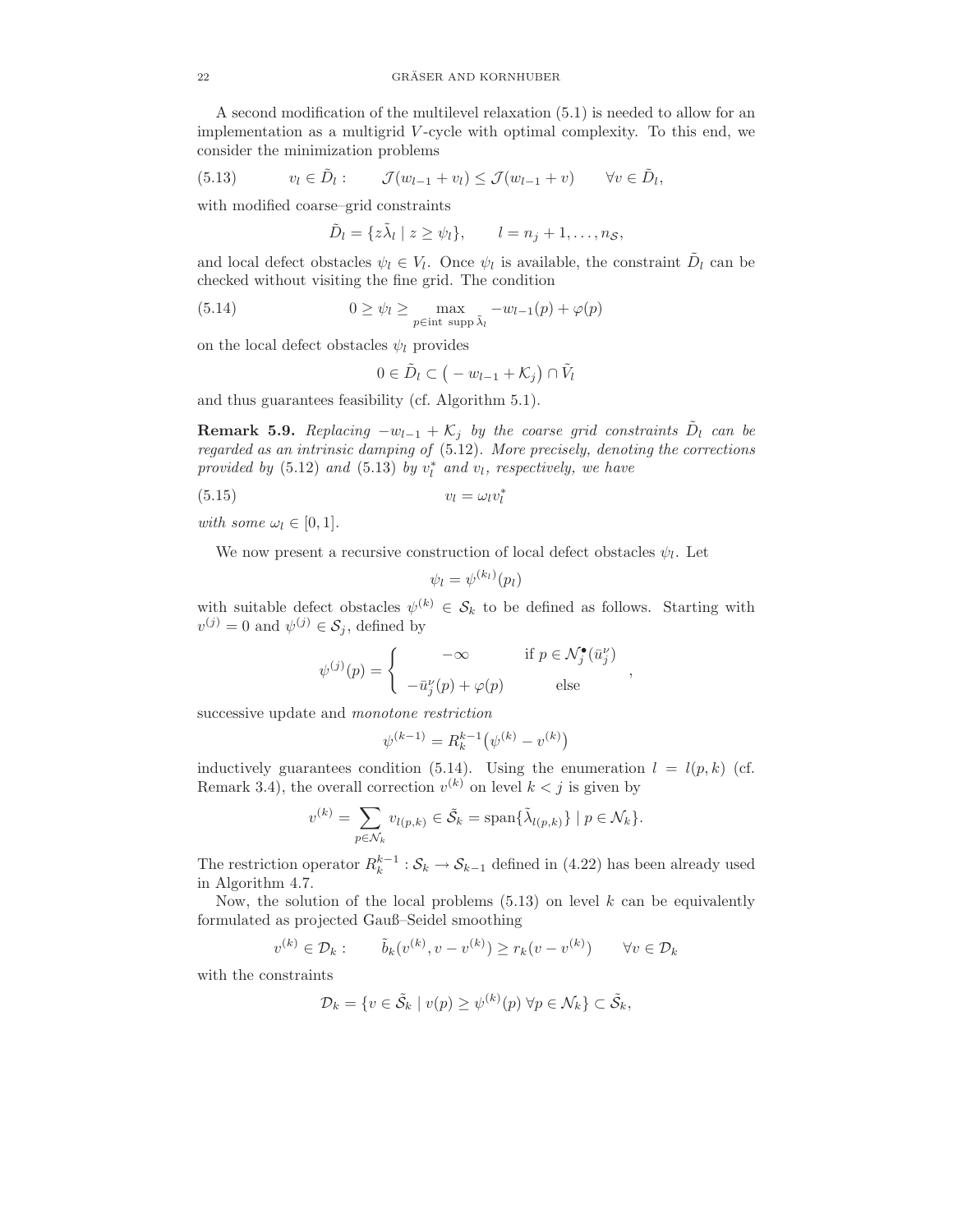A second modification of the multilevel relaxation (5.1) is needed to allow for an implementation as a multigrid V -cycle with optimal complexity. To this end, we consider the minimization problems

(5.13) 
$$
v_l \in \tilde{D}_l: \qquad \mathcal{J}(w_{l-1} + v_l) \leq \mathcal{J}(w_{l-1} + v) \qquad \forall v \in \tilde{D}_l,
$$

with modified coarse–grid constraints

$$
\tilde{D}_l = \{ z \tilde{\lambda}_l \mid z \ge \psi_l \}, \qquad l = n_j + 1, \dots, n_{\mathcal{S}},
$$

and local defect obstacles  $\psi_l \in V_l$ . Once  $\psi_l$  is available, the constraint  $\tilde{D}_l$  can be checked without visiting the fine grid. The condition

(5.14) 
$$
0 \geq \psi_l \geq \max_{p \in \text{int } \operatorname{supp} \tilde{\lambda}_l} -w_{l-1}(p) + \varphi(p)
$$

on the local defect obstacles  $\psi_l$  provides

$$
0\in \tilde{D}_l\subset\big(-w_{l-1}+\mathcal{K}_j\big)\cap \tilde{V}_l
$$

and thus guarantees feasibility (cf. Algorithm 5.1).

**Remark 5.9.** Replacing  $-w_{l-1} + \mathcal{K}_j$  by the coarse grid constraints  $\tilde{D}_l$  can be regarded as an intrinsic damping of (5.12). More precisely, denoting the corrections provided by  $(5.12)$  and  $(5.13)$  by  $v_l^*$  and  $v_l$ , respectively, we have

$$
(5.15) \t v_l = \omega_l v_l^*
$$

with some  $\omega_l \in [0, 1]$ .

We now present a recursive construction of local defect obstacles  $\psi_l$ . Let

$$
\psi_l = \psi^{(k_l)}(p_l)
$$

with suitable defect obstacles  $\psi^{(k)} \in \mathcal{S}_k$  to be defined as follows. Starting with  $v^{(j)} = 0$  and  $\psi^{(j)} \in S_j$ , defined by

$$
\psi^{(j)}(p) = \begin{cases}\n-\infty & \text{if } p \in \mathcal{N}_j^{\bullet}(\bar{u}_j^{\nu}) \\
-\bar{u}_j^{\nu}(p) + \varphi(p) & \text{else}\n\end{cases}
$$

,

successive update and monotone restriction

$$
\psi^{(k-1)} = R_k^{k-1} \big( \psi^{(k)} - v^{(k)} \big)
$$

inductively guarantees condition (5.14). Using the enumeration  $l = l(p, k)$  (cf. Remark 3.4), the overall correction  $v^{(k)}$  on level  $k < j$  is given by

$$
v^{(k)} = \sum_{p \in \mathcal{N}_k} v_{l(p,k)} \in \tilde{\mathcal{S}}_k = \text{span}\{\tilde{\lambda}_{l(p,k)}\} \mid p \in \mathcal{N}_k\}.
$$

The restriction operator  $R_k^{k-1}$ :  $S_k \to S_{k-1}$  defined in (4.22) has been already used in Algorithm 4.7.

Now, the solution of the local problems  $(5.13)$  on level k can be equivalently formulated as projected Gauß–Seidel smoothing

$$
v^{(k)} \in \mathcal{D}_k: \qquad \tilde{b}_k(v^{(k)}, v - v^{(k)}) \ge r_k(v - v^{(k)}) \qquad \forall v \in \mathcal{D}_k
$$

with the constraints

$$
\mathcal{D}_k = \{ v \in \tilde{\mathcal{S}}_k \mid v(p) \ge \psi^{(k)}(p) \,\forall p \in \mathcal{N}_k \} \subset \tilde{\mathcal{S}}_k,
$$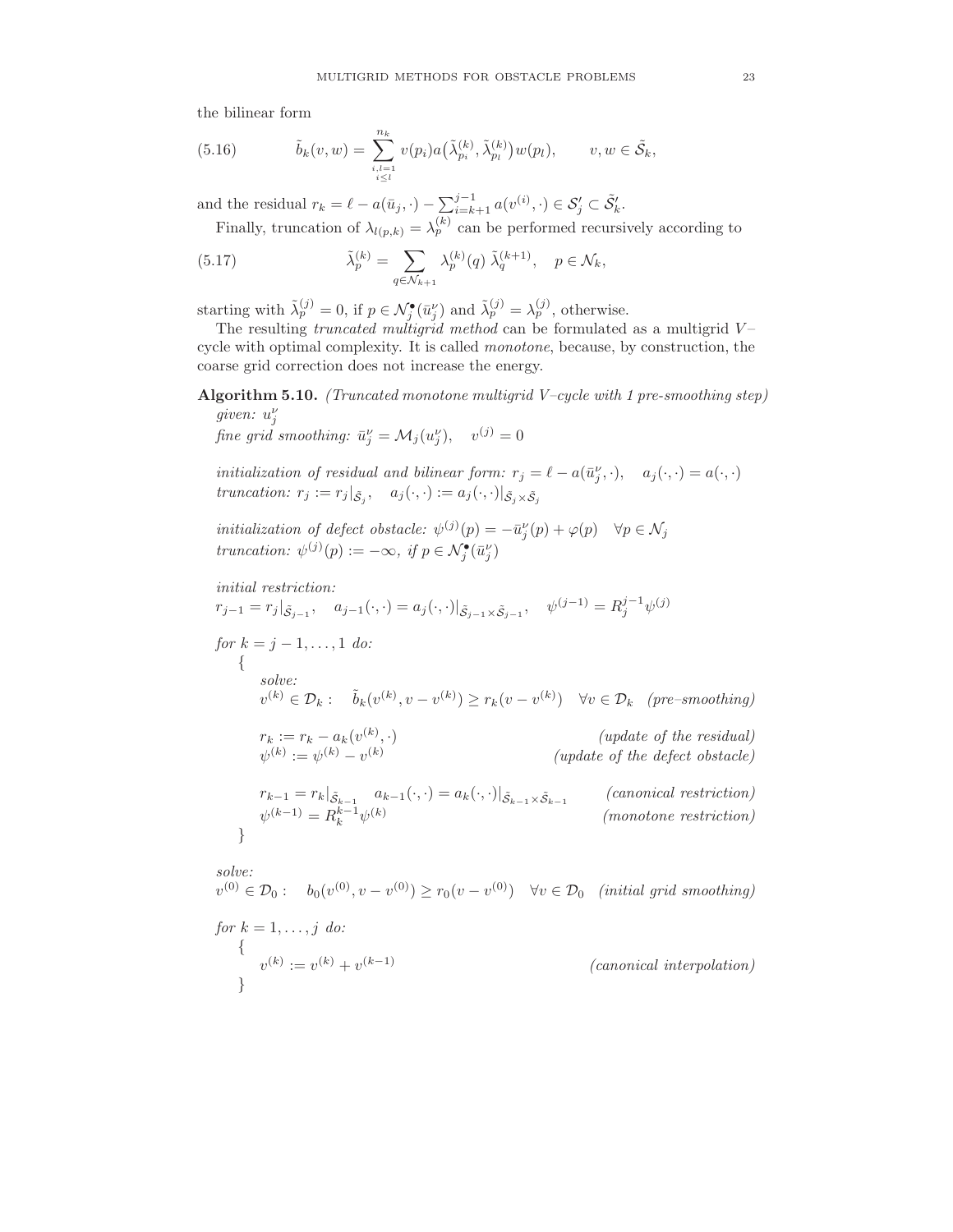the bilinear form

(5.16) 
$$
\tilde{b}_k(v,w) = \sum_{\substack{i,l=1 \ i \leq l}}^{n_k} v(p_i) a(\tilde{\lambda}_{p_i}^{(k)}, \tilde{\lambda}_{p_l}^{(k)}) w(p_l), \qquad v, w \in \tilde{\mathcal{S}}_k,
$$

and the residual  $r_k = \ell - a(\bar{u}_j, \cdot) - \sum_{i=k+1}^{j-1} a(v^{(i)}, \cdot) \in \mathcal{S}'_j \subset \tilde{\mathcal{S}}'_k$ .

Finally, truncation of  $\lambda_{l(p,k)} = \lambda_p^{(k)}$  can be performed recursively according to

(5.17) 
$$
\tilde{\lambda}_p^{(k)} = \sum_{q \in \mathcal{N}_{k+1}} \lambda_p^{(k)}(q) \tilde{\lambda}_q^{(k+1)}, \quad p \in \mathcal{N}_k,
$$

starting with  $\tilde{\lambda}_p^{(j)} = 0$ , if  $p \in \mathcal{N}_j^{\bullet}(\bar{u}_j^{\nu})$  and  $\tilde{\lambda}_p^{(j)} = \lambda_p^{(j)}$ , otherwise.

The resulting *truncated multigrid method* can be formulated as a multigrid  $V$ cycle with optimal complexity. It is called monotone, because, by construction, the coarse grid correction does not increase the energy.

Algorithm 5.10. (Truncated monotone multigrid V–cycle with 1 pre-smoothing step) given:  $u_j^{\nu}$ 

fine grid smoothing:  $\bar{u}_j^{\nu} = \mathcal{M}_j(u_j^{\nu}), \quad v^{(j)} = 0$ 

initialization of residual and bilinear form:  $r_j = \ell - a(\bar{u}_j^{\nu}, \cdot), \quad a_j(\cdot, \cdot) = a(\cdot, \cdot)$ truncation:  $r_j := r_j |_{\tilde{S}_j}, \quad a_j(\cdot, \cdot) := a_j(\cdot, \cdot) |_{\tilde{S}_j \times \tilde{S}_j}$ 

initialization of defect obstacle:  $\psi^{(j)}(p) = -\bar{u}_j^{\nu}(p) + \varphi(p) \quad \forall p \in \mathcal{N}_j$ truncation:  $\psi^{(j)}(p) := -\infty$ , if  $p \in \mathcal{N}_j^{\bullet}(\bar{u}_j^{\nu})$ 

initial restriction:  $r_{j-1} = r_j |_{\tilde{S}_{j-1}}, \quad a_{j-1}(\cdot, \cdot) = a_j(\cdot, \cdot)|_{\tilde{S}_{j-1} \times \tilde{S}_{j-1}}, \quad \psi^{(j-1)} = R_j^{j-1} \psi^{(j)}$ for  $k = j - 1, ..., 1$  do: { solve:  $v^{(k)} \in \mathcal{D}_k: \quad \tilde{b}_k(v^{(k)}, v - v^{(k)}) \ge r_k(v - v^{(k)}) \quad \forall v \in \mathcal{D}_k \quad (pre-smoothing)$  $r_k := r_k - a_k(v^{(k)})$  $(update of the residual)$  $\psi^{(k)} := \psi^{(k)} - v^{(k)}$ (update of the defect obstacle)  $r_{k-1} = r_k |_{\tilde{S}_{k-1}} \quad a_{k-1}(\cdot, \cdot) = a_k(\cdot, \cdot) |_{\tilde{S}_{k-1} \times \tilde{S}_{k-1}}$ (canonical restriction)  $\psi^{(k-1)} = R_k^{k-1} \psi^{(k)}$ (monotone restriction)

solve:

}

 $v^{(0)} \in \mathcal{D}_0: \quad b_0(v^{(0)}, v - v^{(0)}) \ge r_0(v - v^{(0)}) \quad \forall v \in \mathcal{D}_0 \quad (initial \; grid \; smoothing)$ 

for 
$$
k = 1, ..., j
$$
 do:  
\n
$$
\{v^{(k)} := v^{(k)} + v^{(k-1)} \qquad (canonical interpolation)
$$
\n
$$
\}
$$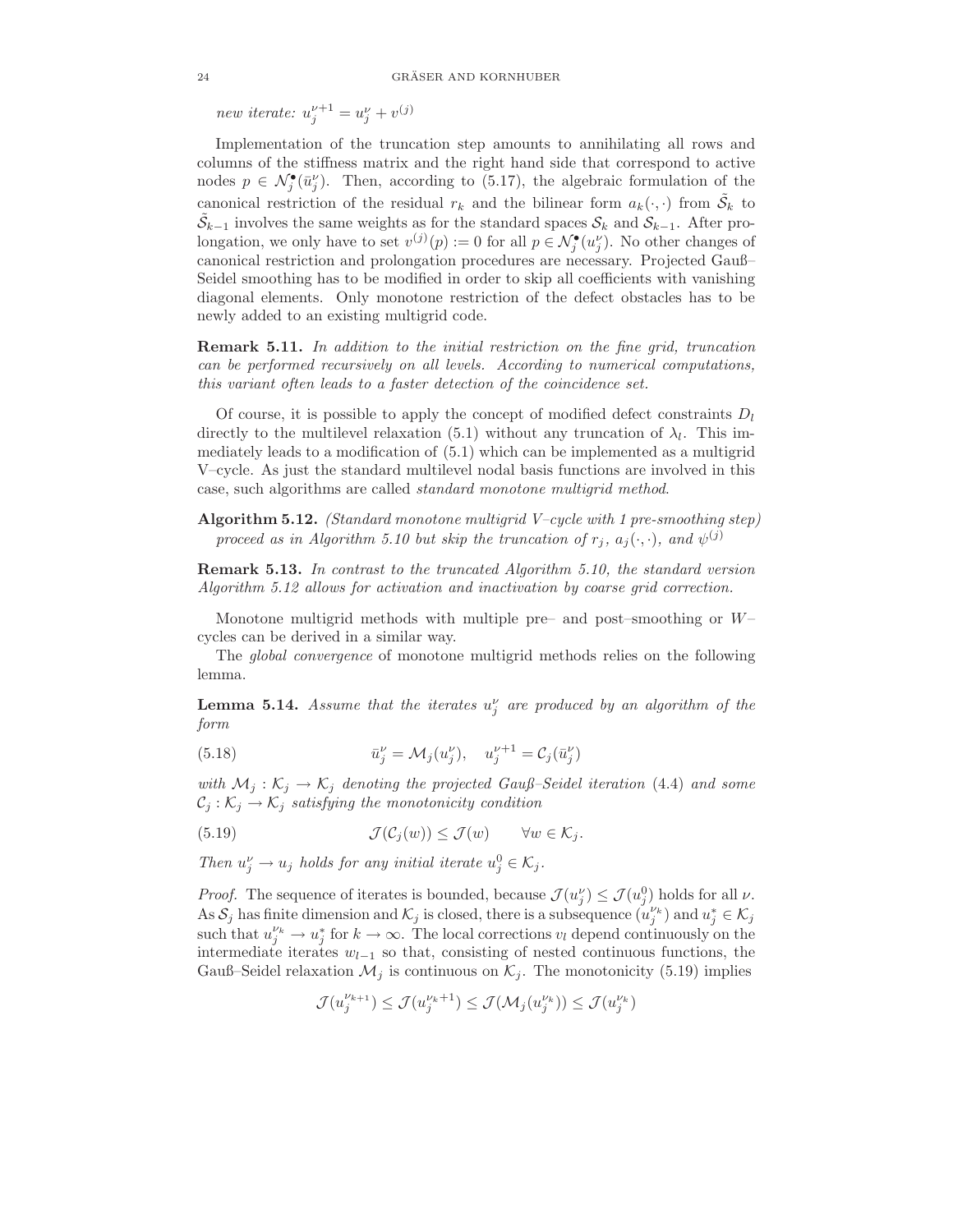new iterate:  $u_j^{\nu+1} = u_j^{\nu} + v^{(j)}$ 

Implementation of the truncation step amounts to annihilating all rows and columns of the stiffness matrix and the right hand side that correspond to active nodes  $p \in \mathcal{N}_{j}^{\bullet}(\bar{u}_{j}^{\nu})$ . Then, according to (5.17), the algebraic formulation of the canonical restriction of the residual  $r_k$  and the bilinear form  $a_k(\cdot, \cdot)$  from  $\tilde{S}_k$  to  $\tilde{S}_{k-1}$  involves the same weights as for the standard spaces  $S_k$  and  $S_{k-1}$ . After prolongation, we only have to set  $v^{(j)}(p) := 0$  for all  $p \in \mathcal{N}_j^{\bullet}(u_j^{\nu})$ . No other changes of canonical restriction and prolongation procedures are necessary. Projected Gauß– Seidel smoothing has to be modified in order to skip all coefficients with vanishing diagonal elements. Only monotone restriction of the defect obstacles has to be newly added to an existing multigrid code.

Remark 5.11. In addition to the initial restriction on the fine grid, truncation can be performed recursively on all levels. According to numerical computations, this variant often leads to a faster detection of the coincidence set.

Of course, it is possible to apply the concept of modified defect constraints  $D_l$ directly to the multilevel relaxation (5.1) without any truncation of  $\lambda_l$ . This immediately leads to a modification of (5.1) which can be implemented as a multigrid V–cycle. As just the standard multilevel nodal basis functions are involved in this case, such algorithms are called standard monotone multigrid method.

Algorithm 5.12. *(Standard monotone multigrid V–cycle with 1 pre-smoothing step)* proceed as in Algorithm 5.10 but skip the truncation of  $r_j$ ,  $a_j(\cdot, \cdot)$ , and  $\psi^{(j)}$ 

Remark 5.13. In contrast to the truncated Algorithm 5.10, the standard version Algorithm 5.12 allows for activation and inactivation by coarse grid correction.

Monotone multigrid methods with multiple pre– and post–smoothing or  $W$ – cycles can be derived in a similar way.

The global convergence of monotone multigrid methods relies on the following lemma.

**Lemma 5.14.** Assume that the iterates  $u_j^{\nu}$  are produced by an algorithm of the form

(5.18) 
$$
\bar{u}_j^{\nu} = \mathcal{M}_j(u_j^{\nu}), \quad u_j^{\nu+1} = \mathcal{C}_j(\bar{u}_j^{\nu})
$$

with  $\mathcal{M}_j : \mathcal{K}_j \to \mathcal{K}_j$  denoting the projected Gauß–Seidel iteration (4.4) and some  $C_j: \mathcal{K}_j \to \mathcal{K}_j$  satisfying the monotonicity condition

(5.19) 
$$
\mathcal{J}(\mathcal{C}_j(w)) \leq \mathcal{J}(w) \quad \forall w \in \mathcal{K}_j.
$$

Then  $u_j^{\nu} \to u_j$  holds for any initial iterate  $u_j^0 \in \mathcal{K}_j$ .

*Proof.* The sequence of iterates is bounded, because  $\mathcal{J}(u_j^{\nu}) \leq \mathcal{J}(u_j^0)$  holds for all  $\nu$ . As  $S_j$  has finite dimension and  $\mathcal{K}_j$  is closed, there is a subsequence  $(u_j^{\nu_k})$  and  $u_j^* \in \mathcal{K}_j$ such that  $u_j^{\nu_k} \to u_j^*$  for  $k \to \infty$ . The local corrections  $v_l$  depend continuously on the intermediate iterates  $w_{l-1}$  so that, consisting of nested continuous functions, the Gauß–Seidel relaxation  $\mathcal{M}_j$  is continuous on  $\mathcal{K}_j$ . The monotonicity (5.19) implies

$$
\mathcal{J}(u^{\nu_{k+1}}_{j}) \leq \mathcal{J}(u^{\nu_{k}+1}_{j}) \leq \mathcal{J}(\mathcal{M}_{j}(u^{\nu_{k}}_{j})) \leq \mathcal{J}(u^{\nu_{k}}_{j})
$$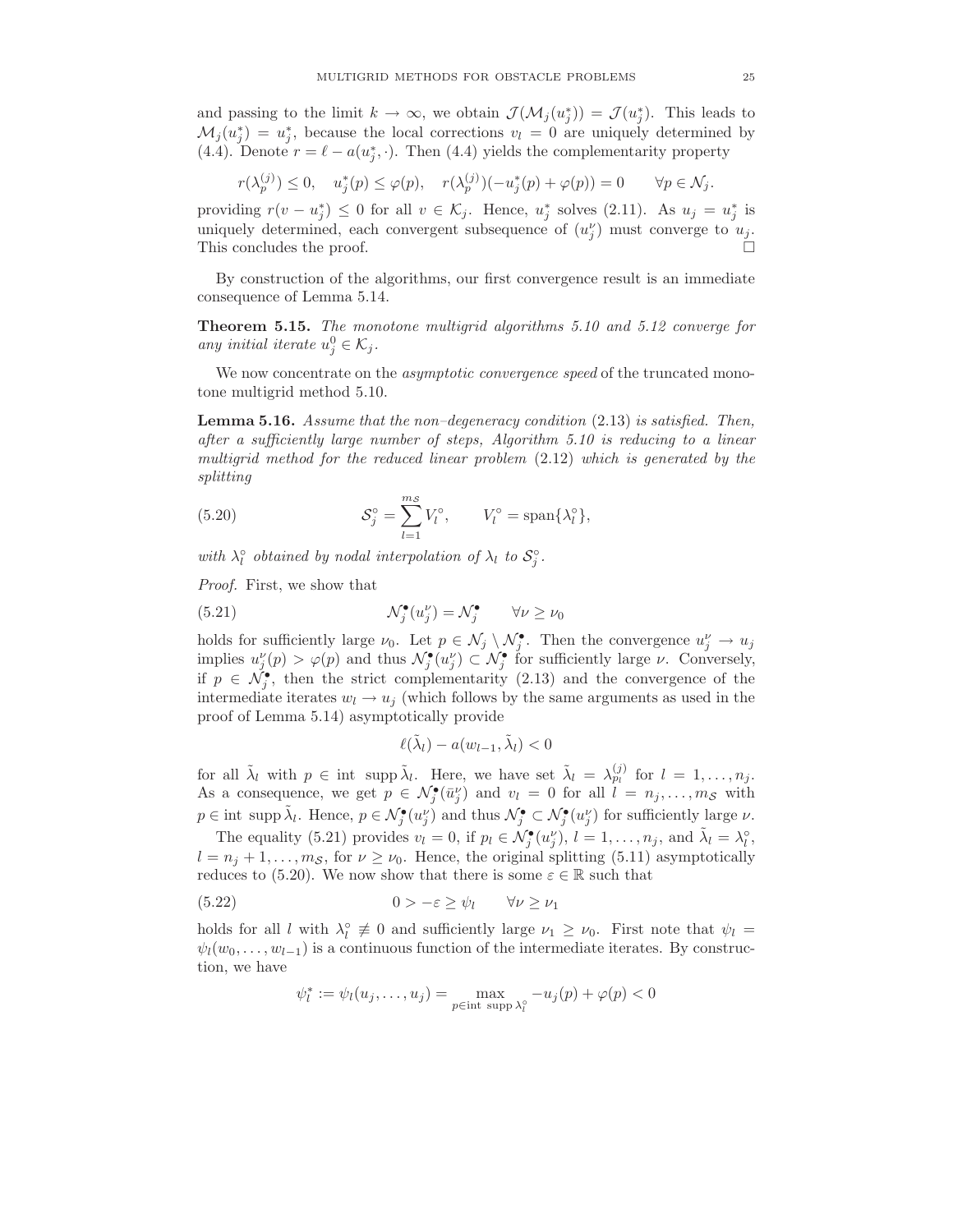and passing to the limit  $k \to \infty$ , we obtain  $\mathcal{J}(\mathcal{M}_j(u_j^*)) = \mathcal{J}(u_j^*)$ . This leads to  $\mathcal{M}_j(u_j^*) = u_j^*$ , because the local corrections  $v_l = 0$  are uniquely determined by (4.4). Denote  $r = \ell - a(u_j^*, \cdot)$ . Then (4.4) yields the complementarity property

$$
r(\lambda_p^{(j)}) \le 0, \quad u_j^*(p) \le \varphi(p), \quad r(\lambda_p^{(j)}) (-u_j^*(p) + \varphi(p)) = 0 \qquad \forall p \in \mathcal{N}_j.
$$

providing  $r(v - u_j^*) \leq 0$  for all  $v \in \mathcal{K}_j$ . Hence,  $u_j^*$  solves (2.11). As  $u_j = u_j^*$  is uniquely determined, each convergent subsequence of  $(u_j^{\nu})$  must converge to  $u_j$ . This concludes the proof.

By construction of the algorithms, our first convergence result is an immediate consequence of Lemma 5.14.

Theorem 5.15. The monotone multigrid algorithms 5.10 and 5.12 converge for any initial iterate  $u_j^0 \in \mathcal{K}_j$ .

We now concentrate on the *asymptotic convergence speed* of the truncated monotone multigrid method 5.10.

Lemma 5.16. Assume that the non–degeneracy condition (2.13) is satisfied. Then, after a sufficiently large number of steps, Algorithm 5.10 is reducing to a linear multigrid method for the reduced linear problem (2.12) which is generated by the splitting

(5.20) 
$$
\mathcal{S}_j^{\circ} = \sum_{l=1}^{m_{\mathcal{S}}} V_l^{\circ}, \qquad V_l^{\circ} = \text{span}\{\lambda_l^{\circ}\},
$$

with  $\lambda_l^{\circ}$  obtained by nodal interpolation of  $\lambda_l$  to  $S_j^{\circ}$ .

Proof. First, we show that

(5.21) 
$$
\mathcal{N}_j^{\bullet}(u_j^{\nu}) = \mathcal{N}_j^{\bullet} \qquad \forall \nu \ge \nu_0
$$

holds for sufficiently large  $\nu_0$ . Let  $p \in \mathcal{N}_j \setminus \mathcal{N}_j^{\bullet}$ . Then the convergence  $u_j^{\nu} \to u_j$ implies  $u_j^{\nu}(p) > \varphi(p)$  and thus  $\mathcal{N}_j^{\bullet}(u_j^{\nu}) \subset \mathcal{N}_j^{\bullet}$  for sufficiently large  $\nu$ . Conversely, if  $p \in \tilde{\mathcal{N}_j}$ , then the strict complementarity (2.13) and the convergence of the intermediate iterates  $w_l \rightarrow u_j$  (which follows by the same arguments as used in the proof of Lemma 5.14) asymptotically provide

$$
\ell(\tilde{\lambda}_l) - a(w_{l-1}, \tilde{\lambda}_l) < 0
$$

for all  $\tilde{\lambda}_l$  with  $p \in \text{int } \text{supp } \tilde{\lambda}_l$ . Here, we have set  $\tilde{\lambda}_l = \lambda_{p_l}^{(j)}$  for  $l = 1, \ldots, n_j$ . As a consequence, we get  $p \in \mathcal{N}_j^{\bullet}(\bar{u}_j^{\nu})$  and  $v_l = 0$  for all  $l = n_j, \ldots, m_{\mathcal{S}}$  with  $p \in \text{int } \text{supp } \tilde{\lambda}_l$ . Hence,  $p \in \mathcal{N}_j^{\bullet}(u_j^{\nu})$  and thus  $\mathcal{N}_j^{\bullet} \subset \mathcal{N}_j^{\bullet}(u_j^{\nu})$  for sufficiently large  $\nu$ .

The equality (5.21) provides  $v_l = 0$ , if  $p_l \in \mathcal{N}_j^{\bullet}(u_j^{\nu}), l = 1, \ldots, n_j$ , and  $\tilde{\lambda}_l = \lambda_l^{\circ}$ ,  $l = n_j + 1, \ldots, m_\mathcal{S}$ , for  $\nu \geq \nu_0$ . Hence, the original splitting (5.11) asymptotically reduces to (5.20). We now show that there is some  $\varepsilon \in \mathbb{R}$  such that

(5.22) 
$$
0 > -\varepsilon \ge \psi_l \qquad \forall \nu \ge \nu_1
$$

holds for all l with  $\lambda_l^{\circ} \neq 0$  and sufficiently large  $\nu_1 \geq \nu_0$ . First note that  $\psi_l =$  $\psi_l(w_0, \ldots, w_{l-1})$  is a continuous function of the intermediate iterates. By construction, we have

$$
\psi_l^* := \psi_l(u_j, \dots, u_j) = \max_{p \in \text{int } \text{supp } \lambda_l^{\circ}} -u_j(p) + \varphi(p) < 0
$$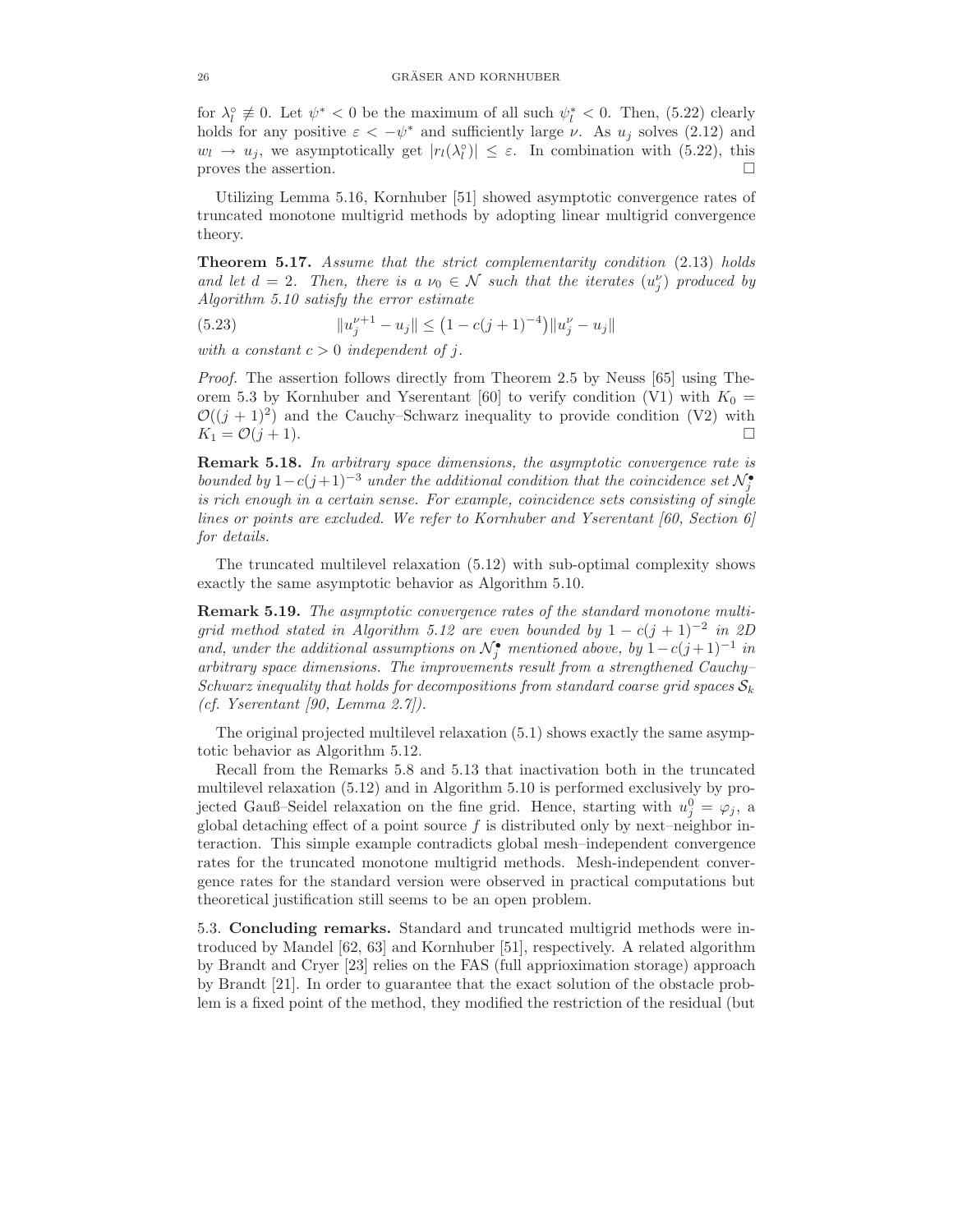for  $\lambda_l^{\circ} \neq 0$ . Let  $\psi^* < 0$  be the maximum of all such  $\psi_l^* < 0$ . Then, (5.22) clearly holds for any positive  $\varepsilon < -\psi^*$  and sufficiently large  $\nu$ . As  $u_j$  solves (2.12) and  $w_l \to u_j$ , we asymptotically get  $|r_l(\lambda_l^{\circ})| \leq \varepsilon$ . In combination with (5.22), this proves the assertion.  $\Box$ 

Utilizing Lemma 5.16, Kornhuber [51] showed asymptotic convergence rates of truncated monotone multigrid methods by adopting linear multigrid convergence theory.

Theorem 5.17. Assume that the strict complementarity condition (2.13) holds and let  $d = 2$ . Then, there is a  $\nu_0 \in \mathcal{N}$  such that the iterates  $(u_j^{\nu})$  produced by Algorithm 5.10 satisfy the error estimate

(5.23) 
$$
||u_j^{\nu+1} - u_j|| \le (1 - c(j+1)^{-4}) ||u_j^{\nu} - u_j||
$$

with a constant  $c > 0$  independent of j.

Proof. The assertion follows directly from Theorem 2.5 by Neuss [65] using Theorem 5.3 by Kornhuber and Yserentant [60] to verify condition (V1) with  $K_0 =$  $\mathcal{O}((j + 1)^2)$  and the Cauchy–Schwarz inequality to provide condition (V2) with  $K_1 = \mathcal{O}(j+1).$ 

Remark 5.18. In arbitrary space dimensions, the asymptotic convergence rate is bounded by  $1 - c(j+1)^{-3}$  under the additional condition that the coincidence set  $\mathcal{N}^{\bullet}_{j}$ is rich enough in a certain sense. For example, coincidence sets consisting of single lines or points are excluded. We refer to Kornhuber and Yserentant  $[60, Section 6]$ for details.

The truncated multilevel relaxation (5.12) with sub-optimal complexity shows exactly the same asymptotic behavior as Algorithm 5.10.

Remark 5.19. The asymptotic convergence rates of the standard monotone multigrid method stated in Algorithm 5.12 are even bounded by  $1 - c(j + 1)^{-2}$  in 2D and, under the additional assumptions on  $\mathcal{N}_j^{\bullet}$  mentioned above, by  $1-c(j+1)^{-1}$  in arbitrary space dimensions. The improvements result from a strengthened Cauchy– Schwarz inequality that holds for decompositions from standard coarse grid spaces  $S_k$ (cf. Yserentant [90, Lemma  $2.7$ ]).

The original projected multilevel relaxation (5.1) shows exactly the same asymptotic behavior as Algorithm 5.12.

Recall from the Remarks 5.8 and 5.13 that inactivation both in the truncated multilevel relaxation (5.12) and in Algorithm 5.10 is performed exclusively by projected Gauß–Seidel relaxation on the fine grid. Hence, starting with  $u_j^0 = \varphi_j$ , a global detaching effect of a point source  $f$  is distributed only by next–neighbor interaction. This simple example contradicts global mesh–independent convergence rates for the truncated monotone multigrid methods. Mesh-independent convergence rates for the standard version were observed in practical computations but theoretical justification still seems to be an open problem.

5.3. Concluding remarks. Standard and truncated multigrid methods were introduced by Mandel [62, 63] and Kornhuber [51], respectively. A related algorithm by Brandt and Cryer [23] relies on the FAS (full apprioximation storage) approach by Brandt [21]. In order to guarantee that the exact solution of the obstacle problem is a fixed point of the method, they modified the restriction of the residual (but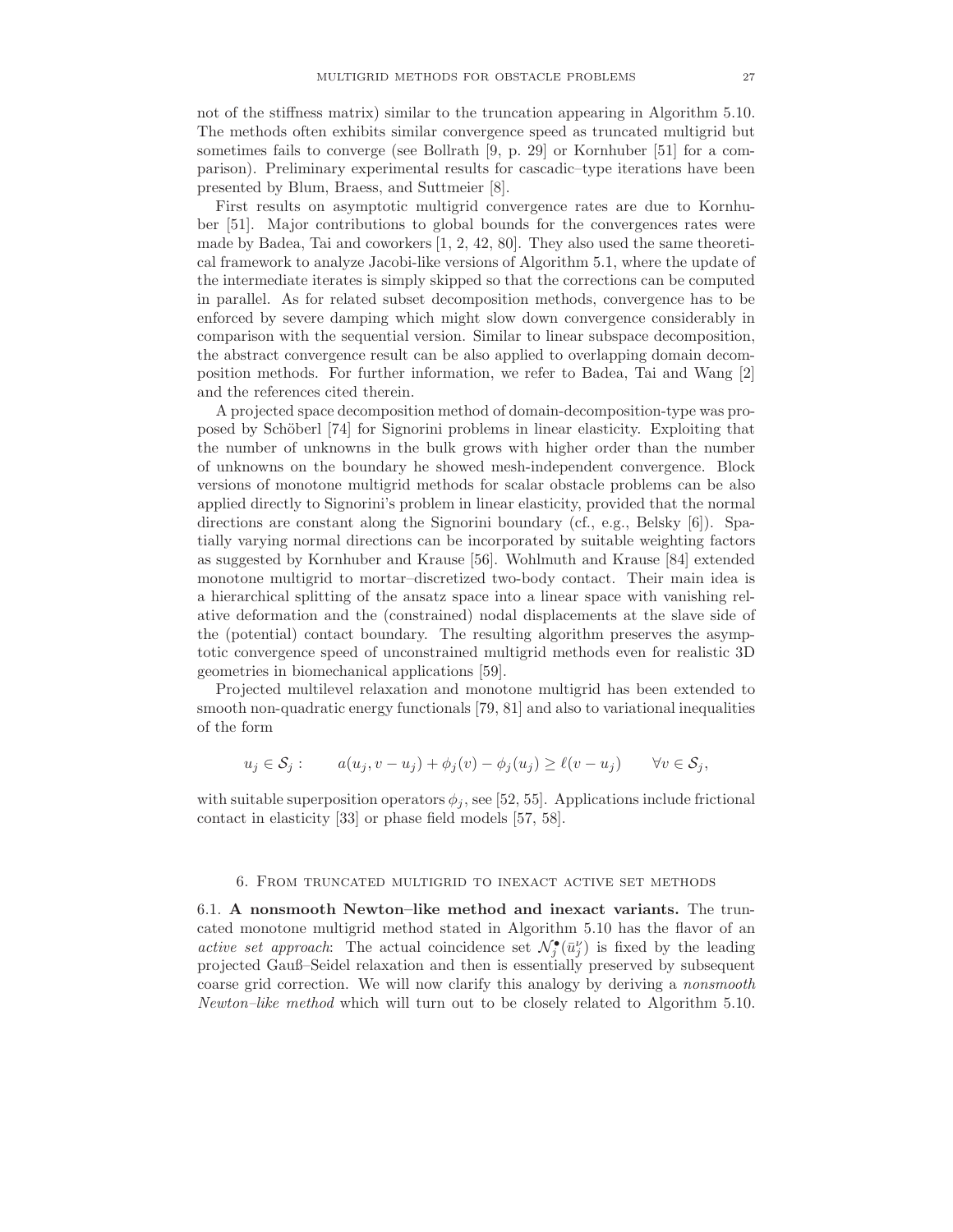not of the stiffness matrix) similar to the truncation appearing in Algorithm 5.10. The methods often exhibits similar convergence speed as truncated multigrid but sometimes fails to converge (see Bollrath [9, p. 29] or Kornhuber [51] for a comparison). Preliminary experimental results for cascadic–type iterations have been presented by Blum, Braess, and Suttmeier [8].

First results on asymptotic multigrid convergence rates are due to Kornhuber [51]. Major contributions to global bounds for the convergences rates were made by Badea, Tai and coworkers [1, 2, 42, 80]. They also used the same theoretical framework to analyze Jacobi-like versions of Algorithm 5.1, where the update of the intermediate iterates is simply skipped so that the corrections can be computed in parallel. As for related subset decomposition methods, convergence has to be enforced by severe damping which might slow down convergence considerably in comparison with the sequential version. Similar to linear subspace decomposition, the abstract convergence result can be also applied to overlapping domain decomposition methods. For further information, we refer to Badea, Tai and Wang [2] and the references cited therein.

A projected space decomposition method of domain-decomposition-type was proposed by Schöberl [74] for Signorini problems in linear elasticity. Exploiting that the number of unknowns in the bulk grows with higher order than the number of unknowns on the boundary he showed mesh-independent convergence. Block versions of monotone multigrid methods for scalar obstacle problems can be also applied directly to Signorini's problem in linear elasticity, provided that the normal directions are constant along the Signorini boundary (cf., e.g., Belsky [6]). Spatially varying normal directions can be incorporated by suitable weighting factors as suggested by Kornhuber and Krause [56]. Wohlmuth and Krause [84] extended monotone multigrid to mortar–discretized two-body contact. Their main idea is a hierarchical splitting of the ansatz space into a linear space with vanishing relative deformation and the (constrained) nodal displacements at the slave side of the (potential) contact boundary. The resulting algorithm preserves the asymptotic convergence speed of unconstrained multigrid methods even for realistic 3D geometries in biomechanical applications [59].

Projected multilevel relaxation and monotone multigrid has been extended to smooth non-quadratic energy functionals [79, 81] and also to variational inequalities of the form

$$
u_j \in S_j
$$
:  $a(u_j, v - u_j) + \phi_j(v) - \phi_j(u_j) \ge \ell(v - u_j)$   $\forall v \in S_j$ ,

with suitable superposition operators  $\phi_j$ , see [52, 55]. Applications include frictional contact in elasticity [33] or phase field models [57, 58].

#### 6. From truncated multigrid to inexact active set methods

6.1. A nonsmooth Newton–like method and inexact variants. The truncated monotone multigrid method stated in Algorithm 5.10 has the flavor of an active set approach: The actual coincidence set  $\mathcal{N}_j^{\bullet}(\bar{u}_j^{\nu})$  is fixed by the leading projected Gauß–Seidel relaxation and then is essentially preserved by subsequent coarse grid correction. We will now clarify this analogy by deriving a nonsmooth Newton–like method which will turn out to be closely related to Algorithm 5.10.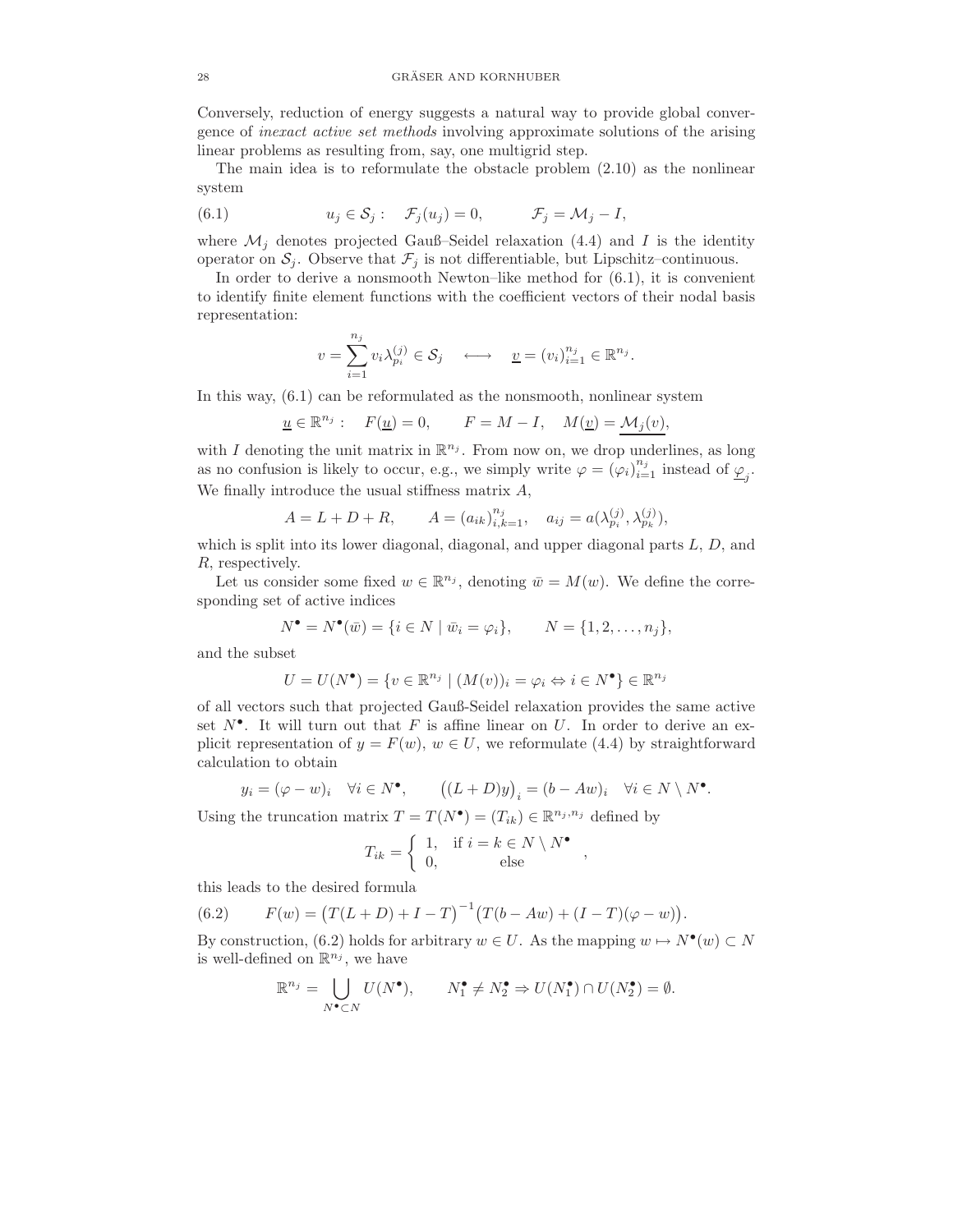Conversely, reduction of energy suggests a natural way to provide global convergence of inexact active set methods involving approximate solutions of the arising linear problems as resulting from, say, one multigrid step.

The main idea is to reformulate the obstacle problem (2.10) as the nonlinear system

(6.1) 
$$
u_j \in \mathcal{S}_j: \quad \mathcal{F}_j(u_j) = 0, \qquad \mathcal{F}_j = \mathcal{M}_j - I,
$$

where  $\mathcal{M}_j$  denotes projected Gauß–Seidel relaxation (4.4) and I is the identity operator on  $S_j$ . Observe that  $\mathcal{F}_j$  is not differentiable, but Lipschitz–continuous.

In order to derive a nonsmooth Newton–like method for (6.1), it is convenient to identify finite element functions with the coefficient vectors of their nodal basis representation:

$$
v = \sum_{i=1}^{n_j} v_i \lambda_{p_i}^{(j)} \in \mathcal{S}_j \quad \longleftrightarrow \quad \underline{v} = (v_i)_{i=1}^{n_j} \in \mathbb{R}^{n_j}.
$$

In this way, (6.1) can be reformulated as the nonsmooth, nonlinear system

$$
\underline{u}\in\mathbb{R}^{n_j}:\quad F(\underline{u})=0,\qquad F=M-I,\quad M(\underline{v})=\underline{\mathcal{M}_j(v)},
$$

with I denoting the unit matrix in  $\mathbb{R}^{n_j}$ . From now on, we drop underlines, as long as no confusion is likely to occur, e.g., we simply write  $\varphi = (\varphi_i)_{i=1}^{n_j}$  instead of  $\underline{\varphi}_j$ . We finally introduce the usual stiffness matrix A,

$$
A = L + D + R
$$
,  $A = (a_{ik})_{i,k=1}^{n_j}$ ,  $a_{ij} = a(\lambda_{p_i}^{(j)}, \lambda_{p_k}^{(j)})$ ,

which is split into its lower diagonal, diagonal, and upper diagonal parts  $L, D$ , and R, respectively.

Let us consider some fixed  $w \in \mathbb{R}^{n_j}$ , denoting  $\bar{w} = M(w)$ . We define the corresponding set of active indices

$$
N^{\bullet} = N^{\bullet}(\bar{w}) = \{ i \in N \mid \bar{w}_i = \varphi_i \}, \qquad N = \{ 1, 2, \dots, n_j \},
$$

and the subset

$$
U = U(N^{\bullet}) = \{ v \in \mathbb{R}^{n_j} \mid (M(v))_i = \varphi_i \Leftrightarrow i \in N^{\bullet} \} \in \mathbb{R}^{n_j}
$$

of all vectors such that projected Gauß-Seidel relaxation provides the same active set  $N^{\bullet}$ . It will turn out that F is affine linear on U. In order to derive an explicit representation of  $y = F(w)$ ,  $w \in U$ , we reformulate (4.4) by straightforward calculation to obtain

$$
y_i = (\varphi - w)_i \quad \forall i \in N^{\bullet}, \qquad ((L+D)y)_i = (b - Aw)_i \quad \forall i \in N \setminus N^{\bullet}.
$$

Using the truncation matrix  $T = T(N^{\bullet}) = (T_{ik}) \in \mathbb{R}^{n_j, n_j}$  defined by

$$
T_{ik} = \begin{cases} 1, & \text{if } i = k \in N \setminus N^{\bullet} \\ 0, & \text{else} \end{cases},
$$

this leads to the desired formula

(6.2) 
$$
F(w) = (T(L+D) + I - T)^{-1} (T(b-Aw) + (I - T)(\varphi - w)).
$$

By construction, (6.2) holds for arbitrary  $w \in U$ . As the mapping  $w \mapsto N^{\bullet}(w) \subset N$ is well-defined on  $\mathbb{R}^{n_j}$ , we have

$$
\mathbb{R}^{n_j} = \bigcup_{N^{\bullet} \subset N} U(N^{\bullet}), \qquad N_1^{\bullet} \neq N_2^{\bullet} \Rightarrow U(N_1^{\bullet}) \cap U(N_2^{\bullet}) = \emptyset.
$$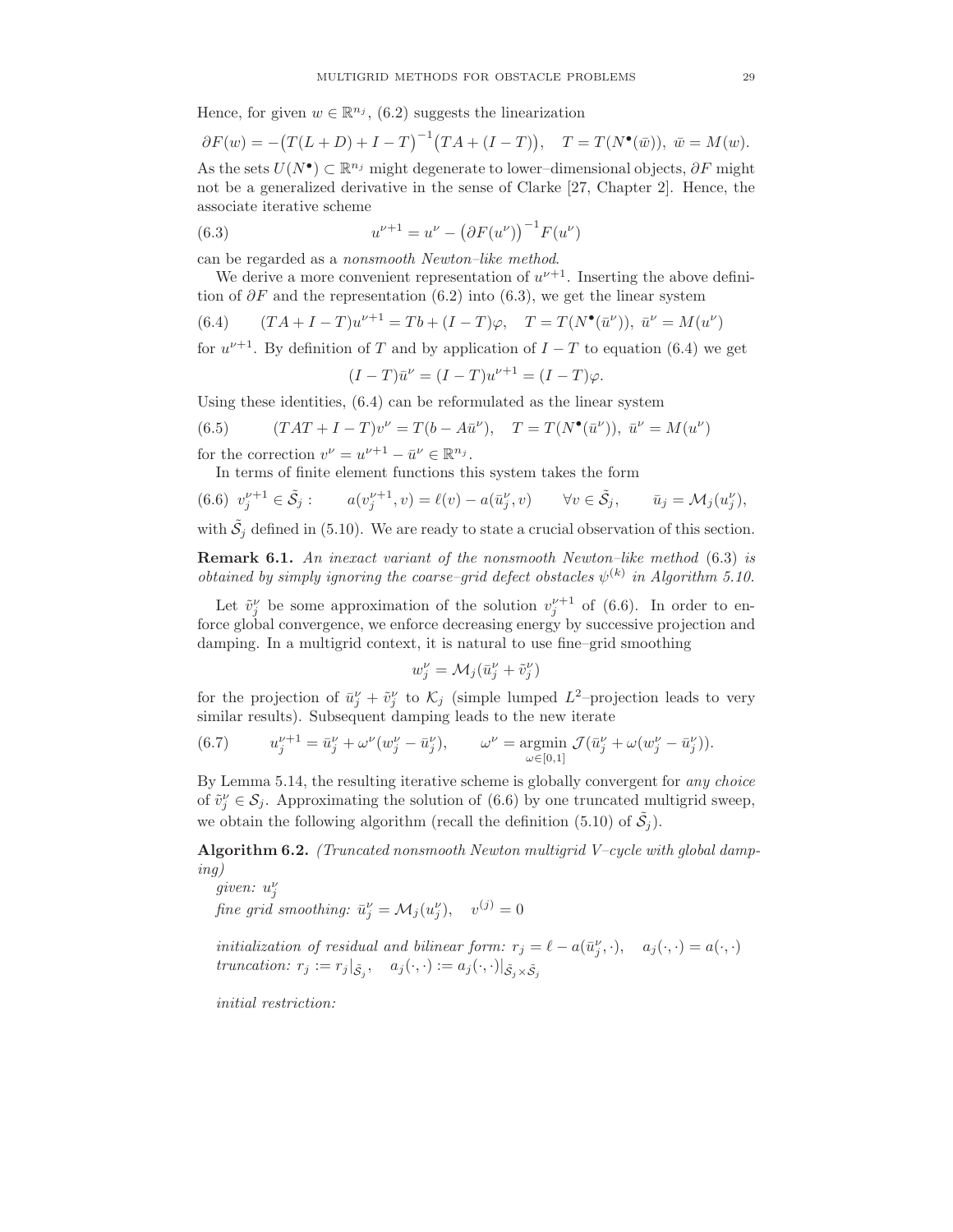Hence, for given  $w \in \mathbb{R}^{n_j}$ , (6.2) suggests the linearization

$$
\partial F(w) = -(T(L+D) + I - T)^{-1} (TA + (I - T)), \quad T = T(N^{\bullet}(\bar{w})), \quad \bar{w} = M(w).
$$
  
As the sets  $U(N^{\bullet}) \subset \mathbb{R}^{n_j}$  might degenerate to lower-dimensional objects,  $\partial F$  might  
not be a generalized derivative in the sense of Clarke [27, Chapter 2]. Hence, the

not be a generalized derivative in the sense of Clarke [27, Chapter 2]. Hence, the associate iterative scheme

(6.3) 
$$
u^{\nu+1} = u^{\nu} - (\partial F(u^{\nu}))^{-1} F(u^{\nu})
$$

can be regarded as a nonsmooth Newton–like method.

We derive a more convenient representation of  $u^{\nu+1}$ . Inserting the above definition of  $\partial F$  and the representation (6.2) into (6.3), we get the linear system

(6.4) 
$$
(TA + I - T)u^{\nu+1} = Tb + (I - T)\varphi, \quad T = T(N^{\bullet}(\bar{u}^{\nu})), \quad \bar{u}^{\nu} = M(u^{\nu})
$$

for  $u^{\nu+1}$ . By definition of T and by application of  $I - T$  to equation (6.4) we get

$$
(I - T)\bar{u}^{\nu} = (I - T)u^{\nu+1} = (I - T)\varphi.
$$

Using these identities, (6.4) can be reformulated as the linear system

(6.5) 
$$
(TAT + I - T)v^{\nu} = T(b - A\bar{u}^{\nu}), \quad T = T(N^{\bullet}(\bar{u}^{\nu})), \quad \bar{u}^{\nu} = M(u^{\nu})
$$

for the correction  $v^{\nu} = u^{\nu+1} - \bar{u}^{\nu} \in \mathbb{R}^{n_j}$ .

In terms of finite element functions this system takes the form

$$
(6.6) \ v_j^{\nu+1} \in \tilde{S}_j: \qquad a(v_j^{\nu+1}, v) = \ell(v) - a(\bar{u}_j^{\nu}, v) \qquad \forall v \in \tilde{S}_j, \qquad \bar{u}_j = \mathcal{M}_j(u_j^{\nu}),
$$

with  $\tilde{S}_j$  defined in (5.10). We are ready to state a crucial observation of this section.

Remark 6.1. An inexact variant of the nonsmooth Newton–like method (6.3) is obtained by simply ignoring the coarse-grid defect obstacles  $\psi^{(k)}$  in Algorithm 5.10.

Let  $\tilde{v}_j^{\nu}$  be some approximation of the solution  $v_j^{\nu+1}$  of (6.6). In order to enforce global convergence, we enforce decreasing energy by successive projection and damping. In a multigrid context, it is natural to use fine–grid smoothing

$$
w_j^{\nu} = \mathcal{M}_j(\bar{u}_j^{\nu} + \tilde{v}_j^{\nu})
$$

for the projection of  $\bar{u}_j^{\nu} + \tilde{v}_j^{\nu}$  to  $\mathcal{K}_j$  (simple lumped  $L^2$ -projection leads to very similar results). Subsequent damping leads to the new iterate

(6.7) 
$$
u_j^{\nu+1} = \bar{u}_j^{\nu} + \omega^{\nu} (w_j^{\nu} - \bar{u}_j^{\nu}), \qquad \omega^{\nu} = \underset{\omega \in [0,1]}{\text{argmin}} \mathcal{J}(\bar{u}_j^{\nu} + \omega (w_j^{\nu} - \bar{u}_j^{\nu})).
$$

By Lemma 5.14, the resulting iterative scheme is globally convergent for any choice of  $\tilde{v}_j^{\nu} \in \mathcal{S}_j$ . Approximating the solution of (6.6) by one truncated multigrid sweep, we obtain the following algorithm (recall the definition (5.10) of  $\tilde{S}_j$ ).

Algorithm 6.2. (Truncated nonsmooth Newton multigrid V–cycle with global damping)

given:  $u_j^{\nu}$ fine grid smoothing:  $\bar{u}_j^{\nu} = \mathcal{M}_j(u_j^{\nu}), \quad v^{(j)} = 0$ 

initialization of residual and bilinear form:  $r_j = \ell - a(\bar{u}_j^{\nu}, \cdot), \quad a_j(\cdot, \cdot) = a(\cdot, \cdot)$ truncation:  $r_j := r_j |_{\tilde{S}_j}, \quad a_j(\cdot, \cdot) := a_j(\cdot, \cdot) |_{\tilde{S}_j \times \tilde{S}_j}$ 

initial restriction: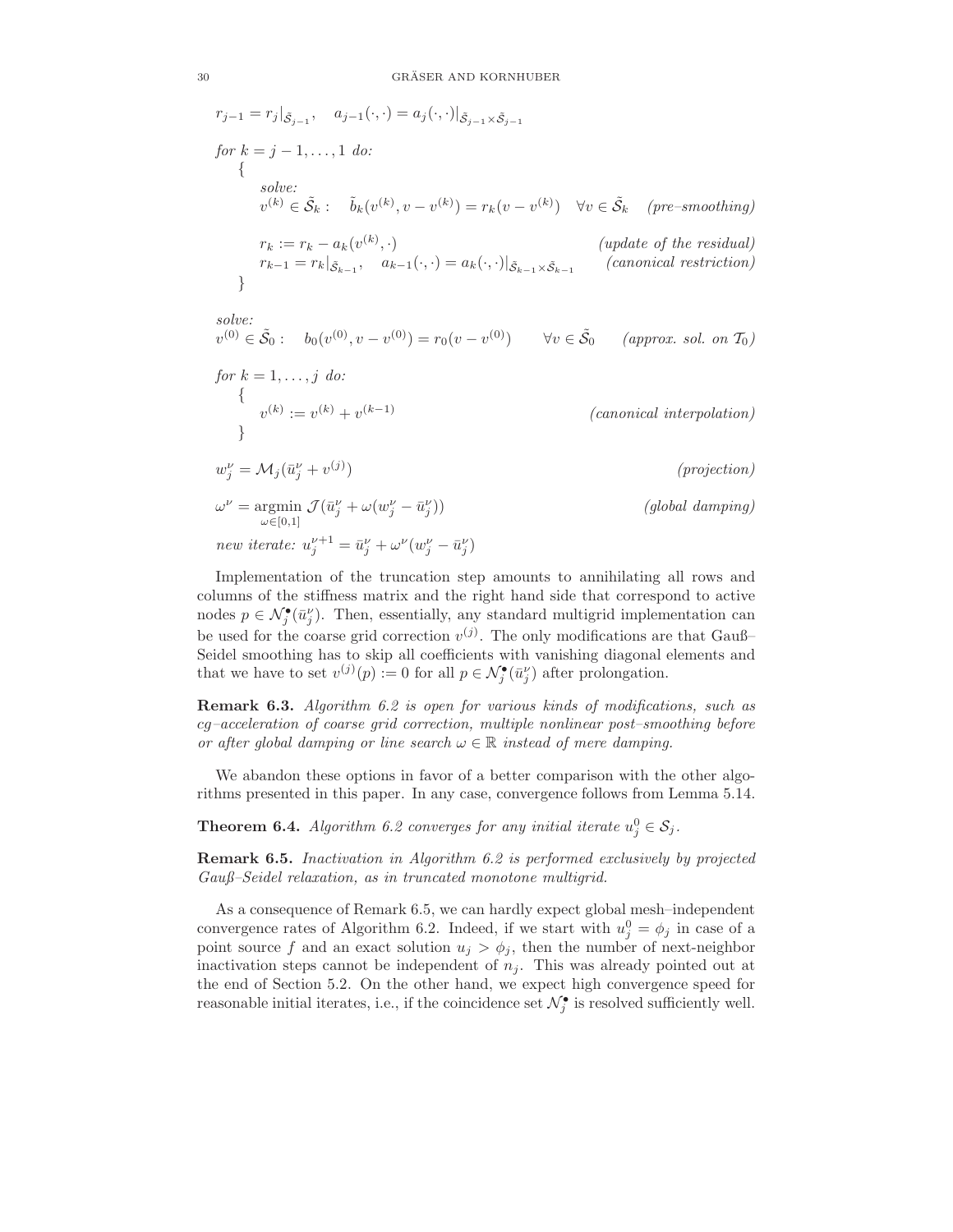$$
r_{j-1} = r_j |_{\tilde{S}_{j-1}}, \quad a_{j-1}(\cdot, \cdot) = a_j(\cdot, \cdot)|_{\tilde{S}_{j-1} \times \tilde{S}_{j-1}}
$$
  
\nfor  $k = j - 1, ..., 1$  do:  
\n{  
\n
$$
solve:\n
$$
v^{(k)} \in \tilde{S}_k : \quad \tilde{b}_k(v^{(k)}, v - v^{(k)}) = r_k(v - v^{(k)}) \quad \forall v \in \tilde{S}_k \quad (pre-smoothing)
$$
  
\n
$$
r_k := r_k - a_k(v^{(k)}, \cdot)
$$
  
\n
$$
r_{k-1} = r_k |_{\tilde{S}_{k-1}}, \quad a_{k-1}(\cdot, \cdot) = a_k(\cdot, \cdot)|_{\tilde{S}_{k-1} \times \tilde{S}_{k-1}} \quad (canonical restriction)
$$
$$

solve:  $v^{(0)} \in \tilde{S}_0: b_0(v^{(0)}, v - v^{(0)}) = r_0(v - v^{(0)}) \quad \forall v \in \tilde{S}_0 \quad (approx. \; sol. \; on \; T_0)$ 

for 
$$
k = 1, ..., j
$$
 do:  
\n
$$
\{v^{(k)} := v^{(k)} + v^{(k-1)} \}
$$
\n
$$
\{vw''_j = M_j(\bar{u}_j^{\nu} + v^{(j)})\}
$$
\n
$$
\omega^{\nu} = \underset{\omega \in [0,1]}{\operatorname{argmin}} \mathcal{J}(\bar{u}_j^{\nu} + \omega(w_j^{\nu} - \bar{u}_j^{\nu}))
$$
\n
$$
(global damping)
$$

new iterate:  $u_j^{\nu+1} = \bar{u}_j^{\nu} + \omega^{\nu} (w_j^{\nu} - \bar{u}_j^{\nu})$ 

Implementation of the truncation step amounts to annihilating all rows and columns of the stiffness matrix and the right hand side that correspond to active nodes  $p \in \mathcal{N}_j^{\bullet}(\bar{u}_j^{\nu})$ . Then, essentially, any standard multigrid implementation can be used for the coarse grid correction  $v^{(j)}$ . The only modifications are that Gauß-Seidel smoothing has to skip all coefficients with vanishing diagonal elements and that we have to set  $v^{(j)}(p) := 0$  for all  $p \in \mathcal{N}_j^{\bullet}(\bar{u}_j^{\nu})$  after prolongation.

Remark 6.3. Algorithm 6.2 is open for various kinds of modifications, such as cg–acceleration of coarse grid correction, multiple nonlinear post–smoothing before or after global damping or line search  $\omega \in \mathbb{R}$  instead of mere damping.

We abandon these options in favor of a better comparison with the other algorithms presented in this paper. In any case, convergence follows from Lemma 5.14.

**Theorem 6.4.** Algorithm 6.2 converges for any initial iterate  $u_j^0 \in S_j$ .

Remark 6.5. Inactivation in Algorithm 6.2 is performed exclusively by projected Gauß–Seidel relaxation, as in truncated monotone multigrid.

As a consequence of Remark 6.5, we can hardly expect global mesh–independent convergence rates of Algorithm 6.2. Indeed, if we start with  $u_j^0 = \phi_j$  in case of a point source f and an exact solution  $u_j > \phi_j$ , then the number of next-neighbor inactivation steps cannot be independent of  $n_j$ . This was already pointed out at the end of Section 5.2. On the other hand, we expect high convergence speed for reasonable initial iterates, i.e., if the coincidence set  $\mathcal{N}^{\bullet}_j$  is resolved sufficiently well.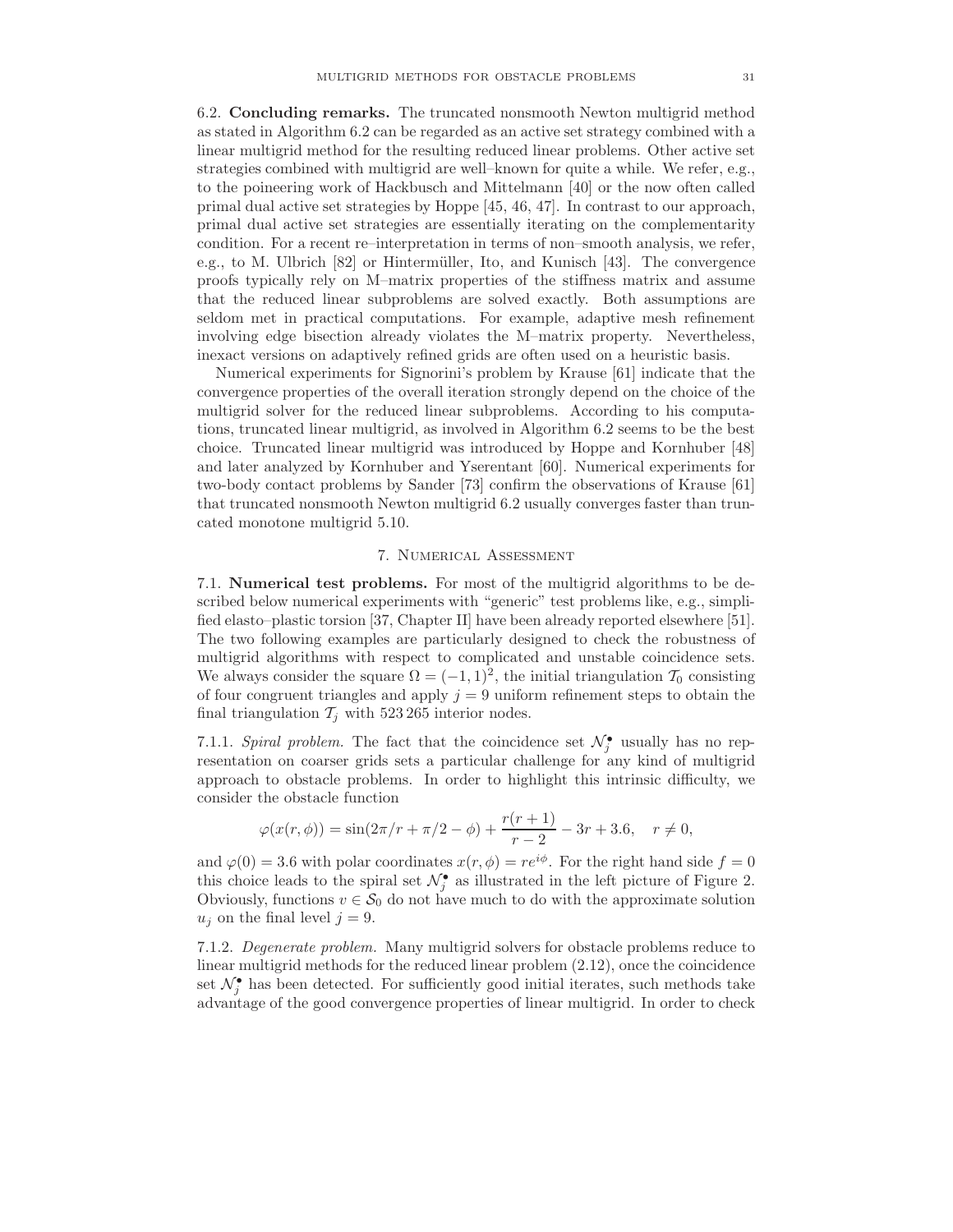6.2. Concluding remarks. The truncated nonsmooth Newton multigrid method as stated in Algorithm 6.2 can be regarded as an active set strategy combined with a linear multigrid method for the resulting reduced linear problems. Other active set strategies combined with multigrid are well–known for quite a while. We refer, e.g., to the poineering work of Hackbusch and Mittelmann [40] or the now often called primal dual active set strategies by Hoppe [45, 46, 47]. In contrast to our approach, primal dual active set strategies are essentially iterating on the complementarity condition. For a recent re–interpretation in terms of non–smooth analysis, we refer, e.g., to M. Ulbrich  $[82]$  or Hintermüller, Ito, and Kunisch  $[43]$ . The convergence proofs typically rely on M–matrix properties of the stiffness matrix and assume that the reduced linear subproblems are solved exactly. Both assumptions are seldom met in practical computations. For example, adaptive mesh refinement involving edge bisection already violates the M–matrix property. Nevertheless, inexact versions on adaptively refined grids are often used on a heuristic basis.

Numerical experiments for Signorini's problem by Krause [61] indicate that the convergence properties of the overall iteration strongly depend on the choice of the multigrid solver for the reduced linear subproblems. According to his computations, truncated linear multigrid, as involved in Algorithm 6.2 seems to be the best choice. Truncated linear multigrid was introduced by Hoppe and Kornhuber [48] and later analyzed by Kornhuber and Yserentant [60]. Numerical experiments for two-body contact problems by Sander [73] confirm the observations of Krause [61] that truncated nonsmooth Newton multigrid 6.2 usually converges faster than truncated monotone multigrid 5.10.

# 7. Numerical Assessment

7.1. Numerical test problems. For most of the multigrid algorithms to be described below numerical experiments with "generic" test problems like, e.g., simplified elasto–plastic torsion [37, Chapter II] have been already reported elsewhere [51]. The two following examples are particularly designed to check the robustness of multigrid algorithms with respect to complicated and unstable coincidence sets. We always consider the square  $\Omega = (-1, 1)^2$ , the initial triangulation  $\mathcal{T}_0$  consisting of four congruent triangles and apply  $j = 9$  uniform refinement steps to obtain the final triangulation  $\mathcal{T}_j$  with 523 265 interior nodes.

7.1.1. Spiral problem. The fact that the coincidence set  $\mathcal{N}_j^{\bullet}$  usually has no representation on coarser grids sets a particular challenge for any kind of multigrid approach to obstacle problems. In order to highlight this intrinsic difficulty, we consider the obstacle function

$$
\varphi(x(r,\phi)) = \sin(2\pi/r + \pi/2 - \phi) + \frac{r(r+1)}{r-2} - 3r + 3.6, \quad r \neq 0,
$$

and  $\varphi(0) = 3.6$  with polar coordinates  $x(r, \phi) = re^{i\phi}$ . For the right hand side  $f = 0$ this choice leads to the spiral set  $\mathcal{N}_{j}^{\bullet}$  as illustrated in the left picture of Figure 2. Obviously, functions  $v \in \mathcal{S}_0$  do not have much to do with the approximate solution  $u_j$  on the final level  $j = 9$ .

7.1.2. Degenerate problem. Many multigrid solvers for obstacle problems reduce to linear multigrid methods for the reduced linear problem (2.12), once the coincidence set  $\mathcal{N}^{\bullet}_j$  has been detected. For sufficiently good initial iterates, such methods take advantage of the good convergence properties of linear multigrid. In order to check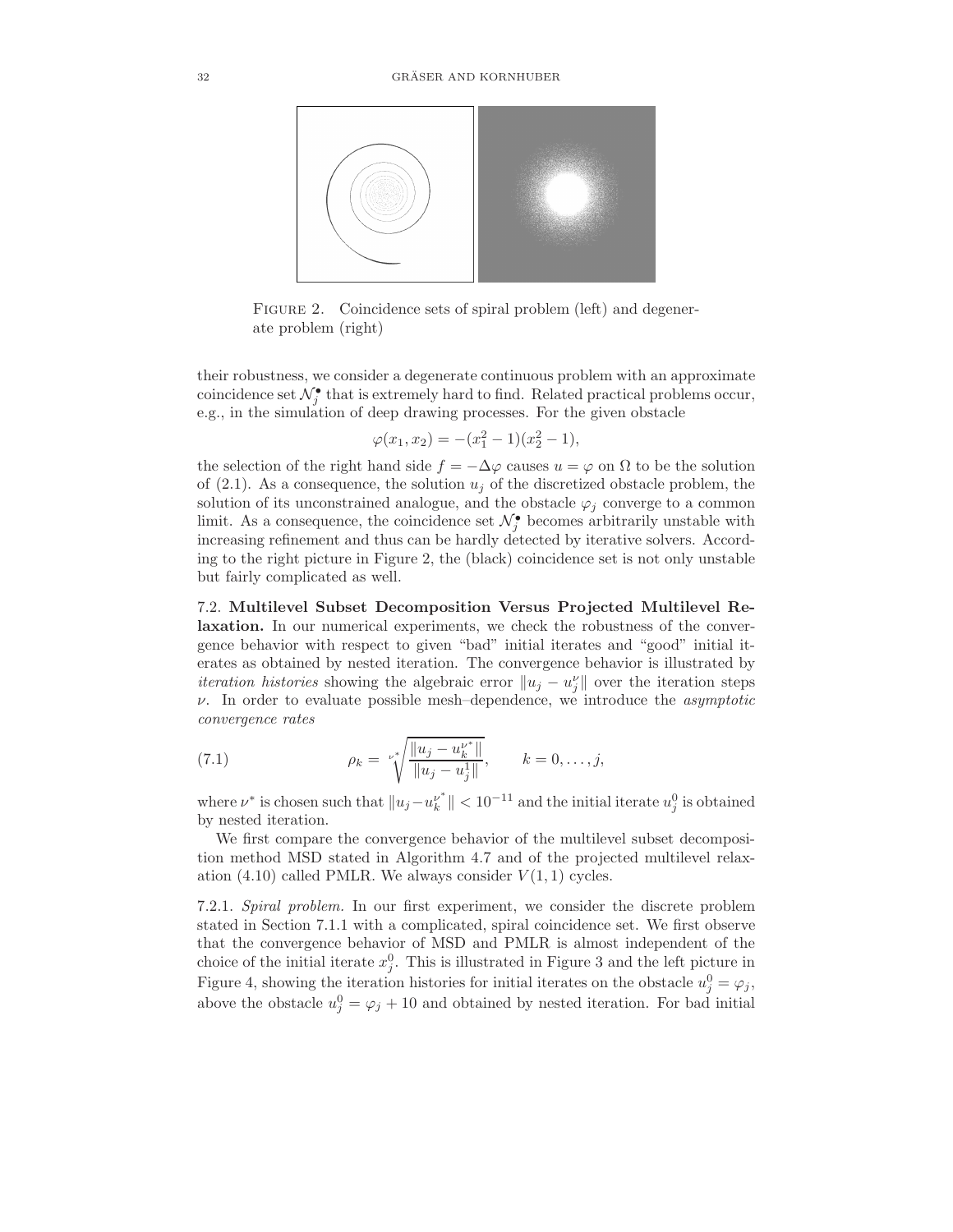

FIGURE 2. Coincidence sets of spiral problem (left) and degenerate problem (right)

their robustness, we consider a degenerate continuous problem with an approximate coincidence set  $\mathcal{N}^{\bullet}_j$  that is extremely hard to find. Related practical problems occur, e.g., in the simulation of deep drawing processes. For the given obstacle

$$
\varphi(x_1, x_2) = -(x_1^2 - 1)(x_2^2 - 1),
$$

the selection of the right hand side  $f = -\Delta \varphi$  causes  $u = \varphi$  on  $\Omega$  to be the solution of (2.1). As a consequence, the solution  $u_j$  of the discretized obstacle problem, the solution of its unconstrained analogue, and the obstacle  $\varphi_i$  converge to a common limit. As a consequence, the coincidence set  $\mathcal{N}_{j}^{\bullet}$  becomes arbitrarily unstable with increasing refinement and thus can be hardly detected by iterative solvers. According to the right picture in Figure 2, the (black) coincidence set is not only unstable but fairly complicated as well.

7.2. Multilevel Subset Decomposition Versus Projected Multilevel Relaxation. In our numerical experiments, we check the robustness of the convergence behavior with respect to given "bad" initial iterates and "good" initial iterates as obtained by nested iteration. The convergence behavior is illustrated by *iteration histories* showing the algebraic error  $||u_j - u_j||$  over the iteration steps  $\nu$ . In order to evaluate possible mesh-dependence, we introduce the *asymptotic* convergence rates

(7.1) 
$$
\rho_k = \sqrt[k]{\frac{\|u_j - u_k^{u^*}\|}{\|u_j - u_j^1\|}}, \qquad k = 0, \dots, j,
$$

where  $\nu^*$  is chosen such that  $||u_j - u_k^{\nu^*}||$  $\| \nu^* \| < 10^{-11}$  and the initial iterate  $u_j^0$  is obtained by nested iteration.

We first compare the convergence behavior of the multilevel subset decomposition method MSD stated in Algorithm 4.7 and of the projected multilevel relaxation (4.10) called PMLR. We always consider  $V(1, 1)$  cycles.

7.2.1. Spiral problem. In our first experiment, we consider the discrete problem stated in Section 7.1.1 with a complicated, spiral coincidence set. We first observe that the convergence behavior of MSD and PMLR is almost independent of the choice of the initial iterate  $x_j^0$ . This is illustrated in Figure 3 and the left picture in Figure 4, showing the iteration histories for initial iterates on the obstacle  $u_j^0 = \varphi_j$ , above the obstacle  $u_j^0 = \varphi_j + 10$  and obtained by nested iteration. For bad initial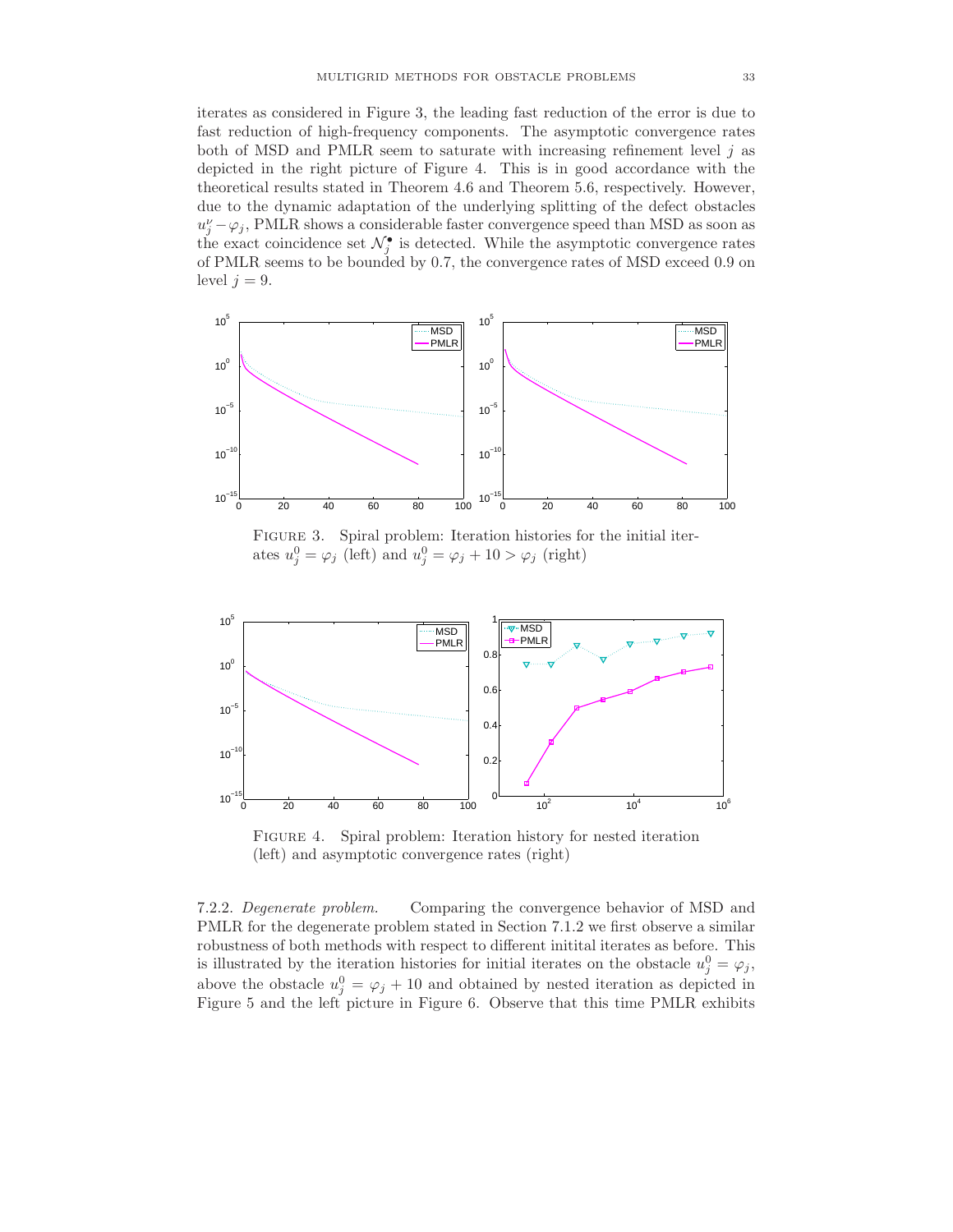iterates as considered in Figure 3, the leading fast reduction of the error is due to fast reduction of high-frequency components. The asymptotic convergence rates both of MSD and PMLR seem to saturate with increasing refinement level  $j$  as depicted in the right picture of Figure 4. This is in good accordance with the theoretical results stated in Theorem 4.6 and Theorem 5.6, respectively. However, due to the dynamic adaptation of the underlying splitting of the defect obstacles  $u_j^{\nu} - \varphi_j$ , PMLR shows a considerable faster convergence speed than MSD as soon as the exact coincidence set  $\mathcal{N}_{j}^{\bullet}$  is detected. While the asymptotic convergence rates of PMLR seems to be bounded by 0.7, the convergence rates of MSD exceed 0.9 on level  $j = 9$ .



Figure 3. Spiral problem: Iteration histories for the initial iterates  $u_j^0 = \varphi_j$  (left) and  $u_j^0 = \varphi_j + 10 > \varphi_j$  (right)



Figure 4. Spiral problem: Iteration history for nested iteration (left) and asymptotic convergence rates (right)

7.2.2. Degenerate problem. Comparing the convergence behavior of MSD and PMLR for the degenerate problem stated in Section 7.1.2 we first observe a similar robustness of both methods with respect to different initital iterates as before. This is illustrated by the iteration histories for initial iterates on the obstacle  $u_j^0 = \varphi_j$ , above the obstacle  $u_j^0 = \varphi_j + 10$  and obtained by nested iteration as depicted in Figure 5 and the left picture in Figure 6. Observe that this time PMLR exhibits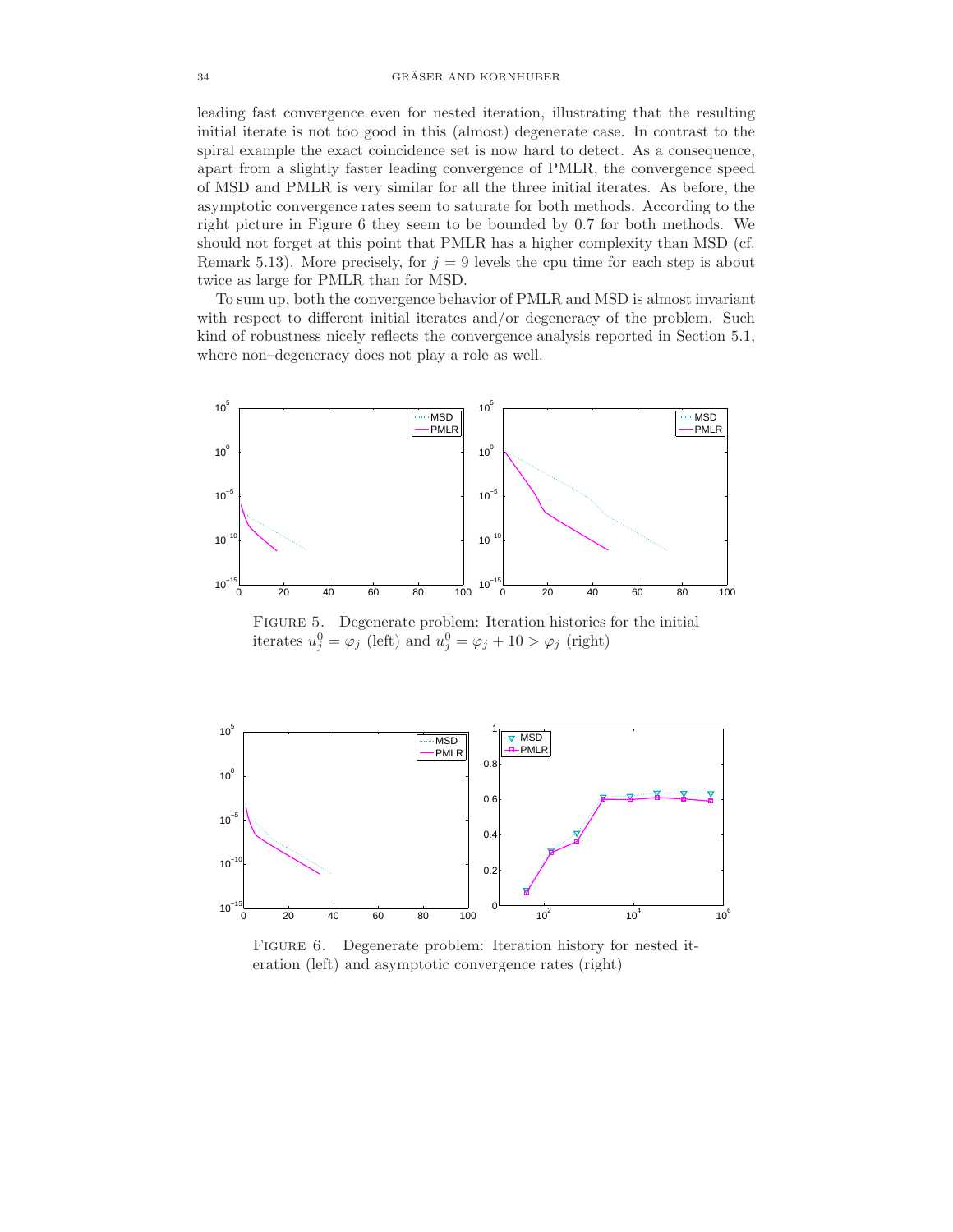leading fast convergence even for nested iteration, illustrating that the resulting initial iterate is not too good in this (almost) degenerate case. In contrast to the spiral example the exact coincidence set is now hard to detect. As a consequence, apart from a slightly faster leading convergence of PMLR, the convergence speed of MSD and PMLR is very similar for all the three initial iterates. As before, the asymptotic convergence rates seem to saturate for both methods. According to the right picture in Figure 6 they seem to be bounded by 0.7 for both methods. We should not forget at this point that PMLR has a higher complexity than MSD (cf. Remark 5.13). More precisely, for  $j = 9$  levels the cpu time for each step is about twice as large for PMLR than for MSD.

To sum up, both the convergence behavior of PMLR and MSD is almost invariant with respect to different initial iterates and/or degeneracy of the problem. Such kind of robustness nicely reflects the convergence analysis reported in Section 5.1, where non–degeneracy does not play a role as well.



Figure 5. Degenerate problem: Iteration histories for the initial iterates  $u_j^0 = \varphi_j$  (left) and  $u_j^0 = \varphi_j + 10 > \varphi_j$  (right)



FIGURE 6. Degenerate problem: Iteration history for nested iteration (left) and asymptotic convergence rates (right)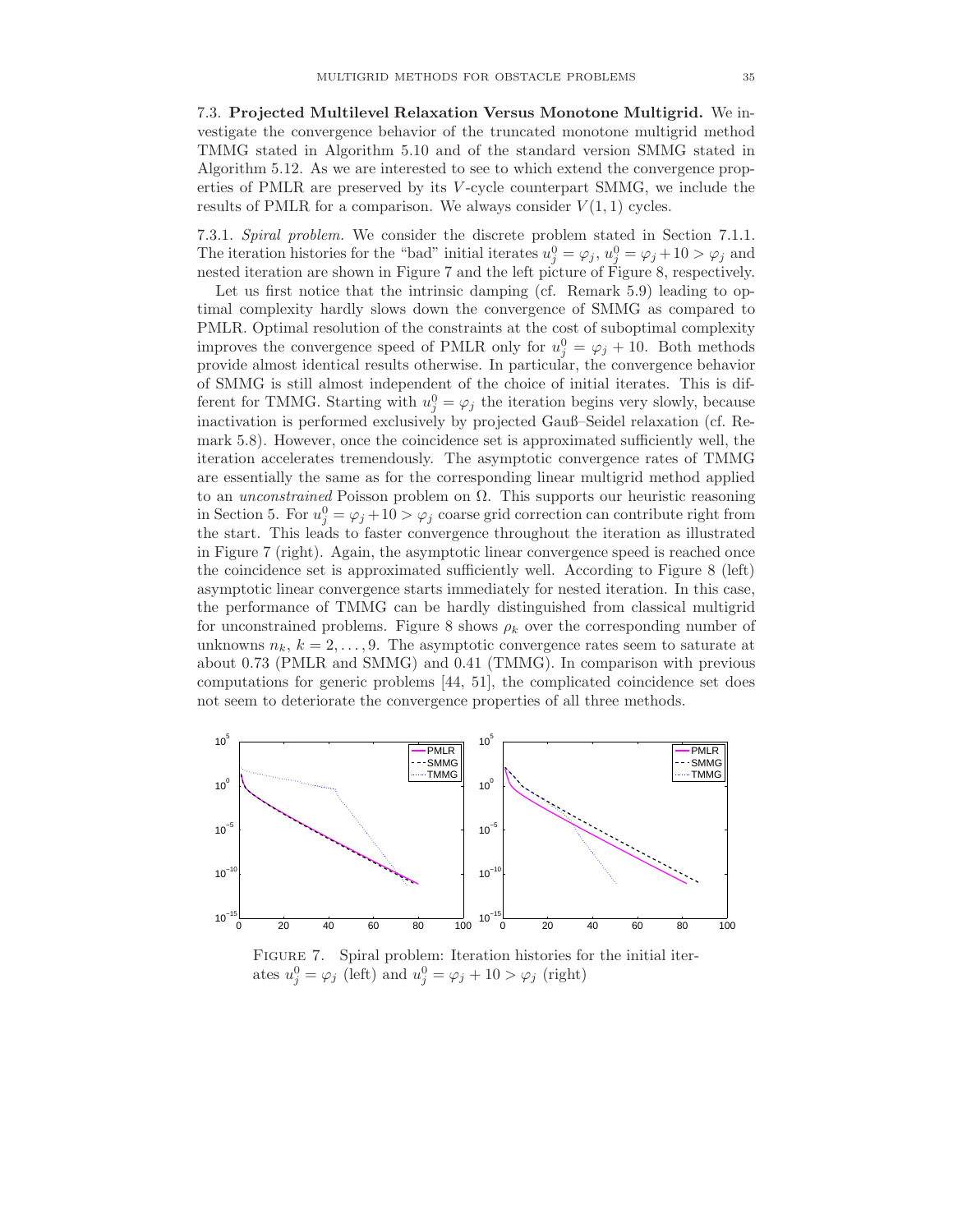7.3. Projected Multilevel Relaxation Versus Monotone Multigrid. We investigate the convergence behavior of the truncated monotone multigrid method TMMG stated in Algorithm 5.10 and of the standard version SMMG stated in Algorithm 5.12. As we are interested to see to which extend the convergence properties of PMLR are preserved by its V -cycle counterpart SMMG, we include the results of PMLR for a comparison. We always consider  $V(1, 1)$  cycles.

7.3.1. Spiral problem. We consider the discrete problem stated in Section 7.1.1. The iteration histories for the "bad" initial iterates  $u_j^0 = \varphi_j$ ,  $u_j^0 = \varphi_j + 10 > \varphi_j$  and nested iteration are shown in Figure 7 and the left picture of Figure 8, respectively.

Let us first notice that the intrinsic damping (cf. Remark 5.9) leading to optimal complexity hardly slows down the convergence of SMMG as compared to PMLR. Optimal resolution of the constraints at the cost of suboptimal complexity improves the convergence speed of PMLR only for  $u_j^0 = \varphi_j + 10$ . Both methods provide almost identical results otherwise. In particular, the convergence behavior of SMMG is still almost independent of the choice of initial iterates. This is different for TMMG. Starting with  $u_j^0 = \varphi_j$  the iteration begins very slowly, because inactivation is performed exclusively by projected Gauß–Seidel relaxation (cf. Remark 5.8). However, once the coincidence set is approximated sufficiently well, the iteration accelerates tremendously. The asymptotic convergence rates of TMMG are essentially the same as for the corresponding linear multigrid method applied to an *unconstrained* Poisson problem on  $\Omega$ . This supports our heuristic reasoning in Section 5. For  $u_j^0 = \varphi_j + 10 > \varphi_j$  coarse grid correction can contribute right from the start. This leads to faster convergence throughout the iteration as illustrated in Figure 7 (right). Again, the asymptotic linear convergence speed is reached once the coincidence set is approximated sufficiently well. According to Figure 8 (left) asymptotic linear convergence starts immediately for nested iteration. In this case, the performance of TMMG can be hardly distinguished from classical multigrid for unconstrained problems. Figure 8 shows  $\rho_k$  over the corresponding number of unknowns  $n_k$ ,  $k = 2, \ldots, 9$ . The asymptotic convergence rates seem to saturate at about 0.73 (PMLR and SMMG) and 0.41 (TMMG). In comparison with previous computations for generic problems [44, 51], the complicated coincidence set does not seem to deteriorate the convergence properties of all three methods.



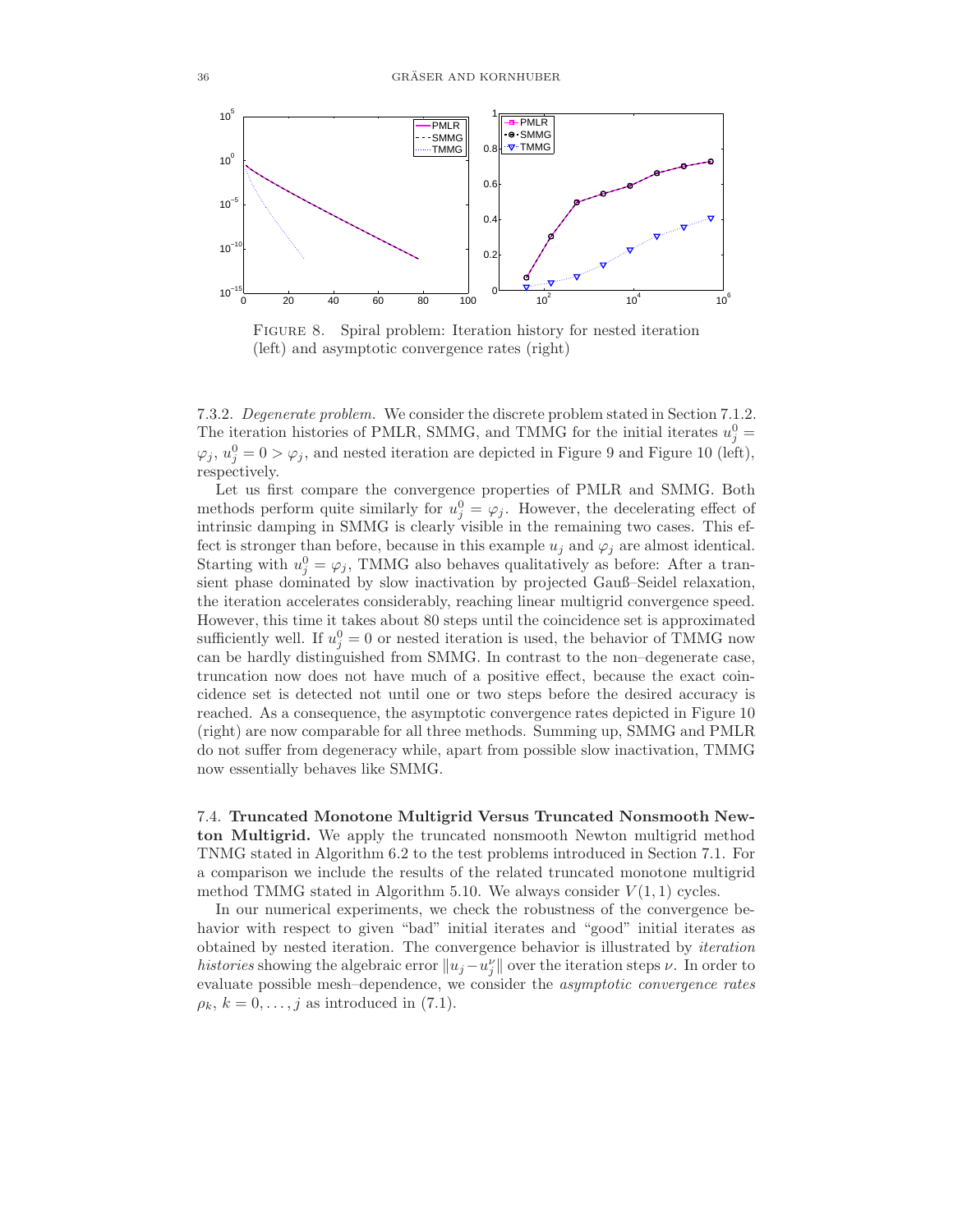

FIGURE 8. Spiral problem: Iteration history for nested iteration (left) and asymptotic convergence rates (right)

7.3.2. Degenerate problem. We consider the discrete problem stated in Section 7.1.2. The iteration histories of PMLR, SMMG, and TMMG for the initial iterates  $u_j^0 =$  $\varphi_j, u_j^0 = 0 > \varphi_j$ , and nested iteration are depicted in Figure 9 and Figure 10 (left), respectively.

Let us first compare the convergence properties of PMLR and SMMG. Both methods perform quite similarly for  $u_j^0 = \varphi_j$ . However, the decelerating effect of intrinsic damping in SMMG is clearly visible in the remaining two cases. This effect is stronger than before, because in this example  $u_j$  and  $\varphi_j$  are almost identical. Starting with  $u_j^0 = \varphi_j$ , TMMG also behaves qualitatively as before: After a transient phase dominated by slow inactivation by projected Gauß–Seidel relaxation, the iteration accelerates considerably, reaching linear multigrid convergence speed. However, this time it takes about 80 steps until the coincidence set is approximated sufficiently well. If  $u_j^0 = 0$  or nested iteration is used, the behavior of TMMG now can be hardly distinguished from SMMG. In contrast to the non–degenerate case, truncation now does not have much of a positive effect, because the exact coincidence set is detected not until one or two steps before the desired accuracy is reached. As a consequence, the asymptotic convergence rates depicted in Figure 10 (right) are now comparable for all three methods. Summing up, SMMG and PMLR do not suffer from degeneracy while, apart from possible slow inactivation, TMMG now essentially behaves like SMMG.

7.4. Truncated Monotone Multigrid Versus Truncated Nonsmooth Newton Multigrid. We apply the truncated nonsmooth Newton multigrid method TNMG stated in Algorithm 6.2 to the test problems introduced in Section 7.1. For a comparison we include the results of the related truncated monotone multigrid method TMMG stated in Algorithm 5.10. We always consider  $V(1,1)$  cycles.

In our numerical experiments, we check the robustness of the convergence behavior with respect to given "bad" initial iterates and "good" initial iterates as obtained by nested iteration. The convergence behavior is illustrated by iteration histories showing the algebraic error  $||u_j - u''_j||$  over the iteration steps  $\nu$ . In order to evaluate possible mesh–dependence, we consider the asymptotic convergence rates  $\rho_k, k = 0, \ldots, j$  as introduced in (7.1).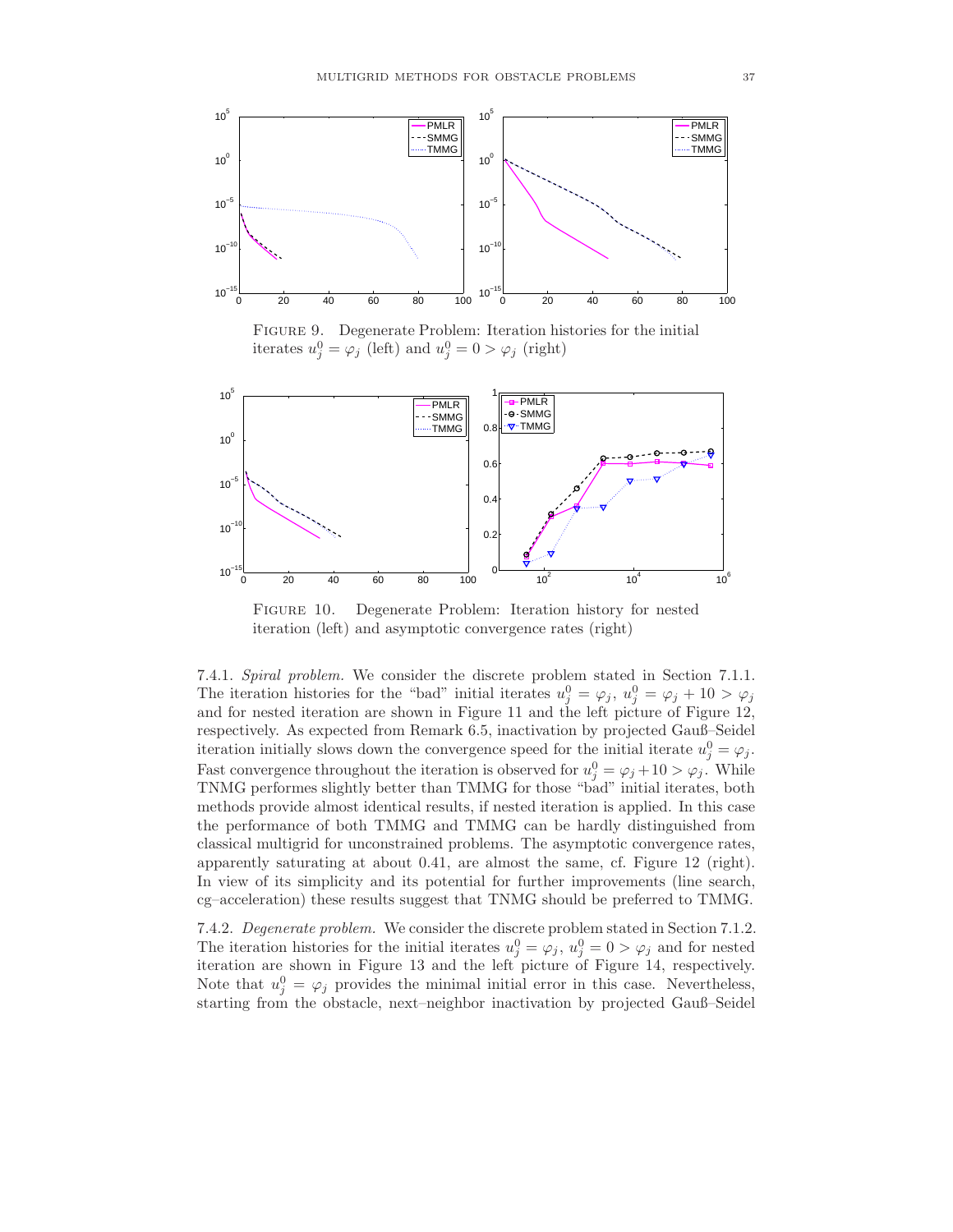

Figure 9. Degenerate Problem: Iteration histories for the initial iterates  $u_j^0 = \varphi_j$  (left) and  $u_j^0 = 0 > \varphi_j$  (right)



FIGURE 10. Degenerate Problem: Iteration history for nested iteration (left) and asymptotic convergence rates (right)

7.4.1. Spiral problem. We consider the discrete problem stated in Section 7.1.1. The iteration histories for the "bad" initial iterates  $u_j^0 = \varphi_j, u_j^0 = \varphi_j + 10 > \varphi_j$ and for nested iteration are shown in Figure 11 and the left picture of Figure 12, respectively. As expected from Remark 6.5, inactivation by projected Gauß–Seidel iteration initially slows down the convergence speed for the initial iterate  $u_j^0 = \varphi_j$ . Fast convergence throughout the iteration is observed for  $u_j^0 = \varphi_j + 10 > \varphi_j$ . While TNMG performes slightly better than TMMG for those "bad" initial iterates, both methods provide almost identical results, if nested iteration is applied. In this case the performance of both TMMG and TMMG can be hardly distinguished from classical multigrid for unconstrained problems. The asymptotic convergence rates, apparently saturating at about 0.41, are almost the same, cf. Figure 12 (right). In view of its simplicity and its potential for further improvements (line search, cg–acceleration) these results suggest that TNMG should be preferred to TMMG.

7.4.2. Degenerate problem. We consider the discrete problem stated in Section 7.1.2. The iteration histories for the initial iterates  $u_j^0 = \varphi_j$ ,  $u_j^0 = 0 > \varphi_j$  and for nested iteration are shown in Figure 13 and the left picture of Figure 14, respectively. Note that  $u_j^0 = \varphi_j$  provides the minimal initial error in this case. Nevertheless, starting from the obstacle, next–neighbor inactivation by projected Gauß–Seidel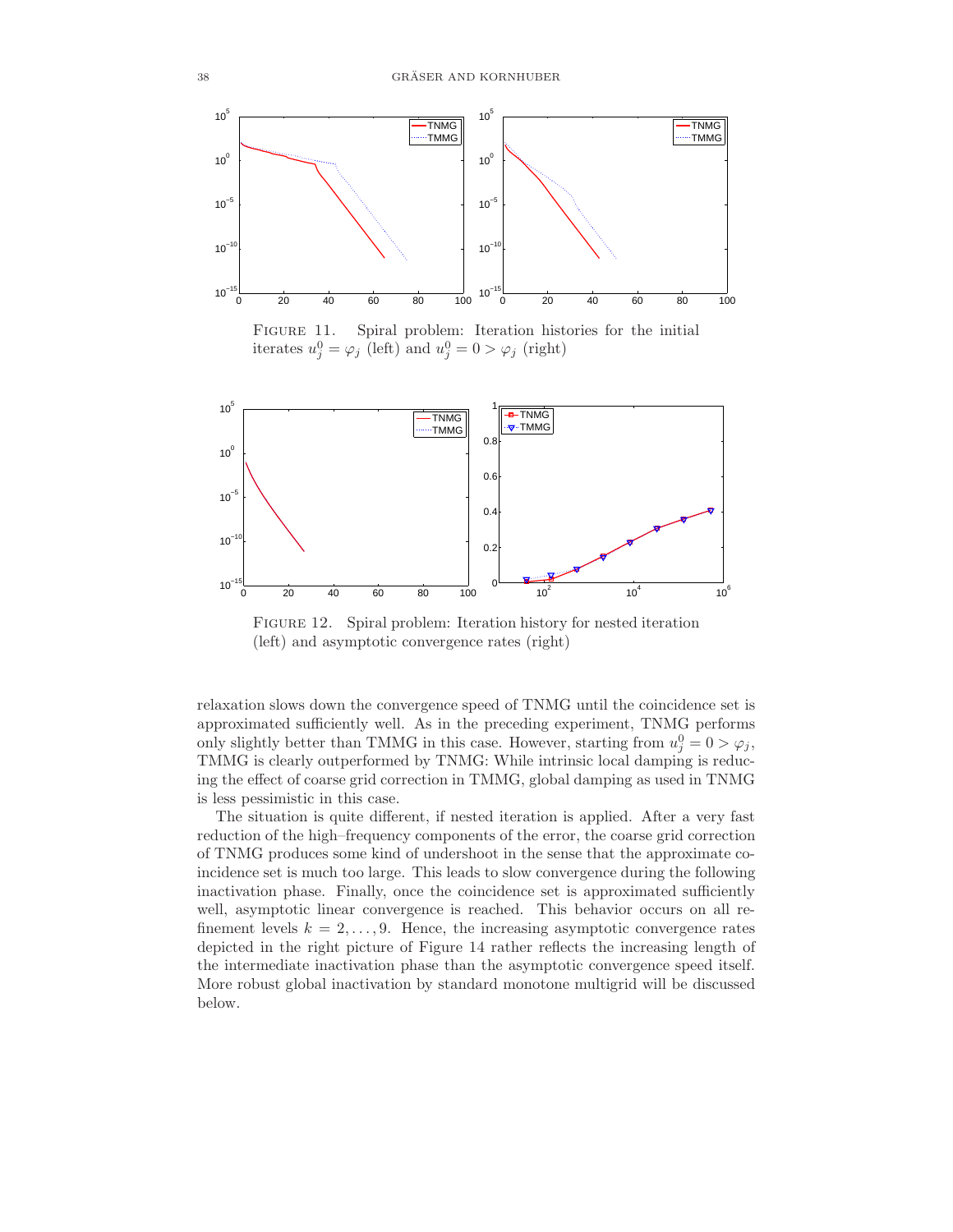

FIGURE 11. Spiral problem: Iteration histories for the initial iterates  $u_j^0 = \varphi_j$  (left) and  $u_j^0 = 0 > \varphi_j$  (right)



FIGURE 12. Spiral problem: Iteration history for nested iteration (left) and asymptotic convergence rates (right)

relaxation slows down the convergence speed of TNMG until the coincidence set is approximated sufficiently well. As in the preceding experiment, TNMG performs only slightly better than TMMG in this case. However, starting from  $u_j^0 = 0 > \varphi_j$ , TMMG is clearly outperformed by TNMG: While intrinsic local damping is reducing the effect of coarse grid correction in TMMG, global damping as used in TNMG is less pessimistic in this case.

The situation is quite different, if nested iteration is applied. After a very fast reduction of the high–frequency components of the error, the coarse grid correction of TNMG produces some kind of undershoot in the sense that the approximate coincidence set is much too large. This leads to slow convergence during the following inactivation phase. Finally, once the coincidence set is approximated sufficiently well, asymptotic linear convergence is reached. This behavior occurs on all refinement levels  $k = 2, \ldots, 9$ . Hence, the increasing asymptotic convergence rates depicted in the right picture of Figure 14 rather reflects the increasing length of the intermediate inactivation phase than the asymptotic convergence speed itself. More robust global inactivation by standard monotone multigrid will be discussed below.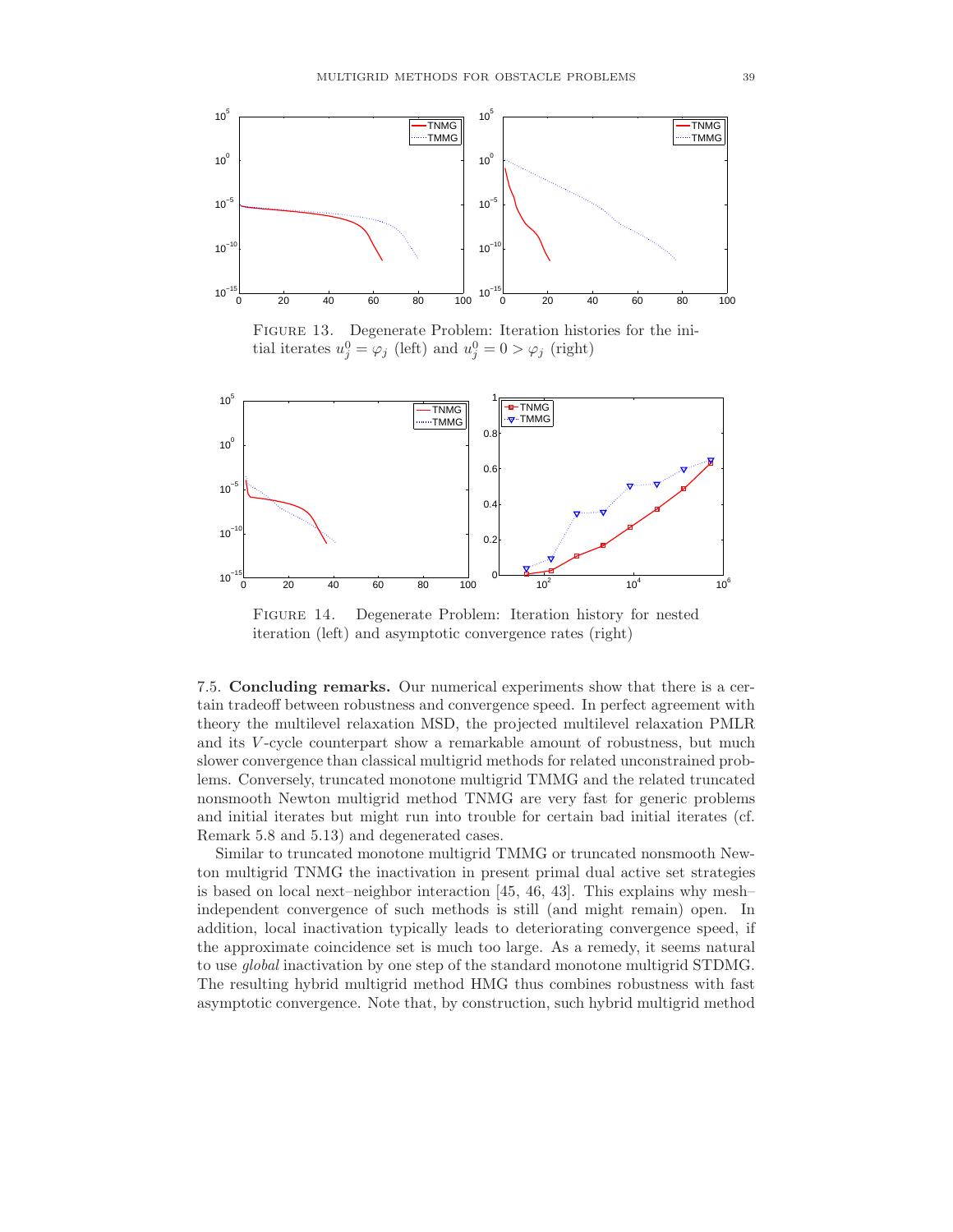

Figure 13. Degenerate Problem: Iteration histories for the initial iterates  $u_j^0 = \varphi_j$  (left) and  $u_j^0 = 0 > \varphi_j$  (right)



FIGURE 14. Degenerate Problem: Iteration history for nested iteration (left) and asymptotic convergence rates (right)

7.5. Concluding remarks. Our numerical experiments show that there is a certain tradeoff between robustness and convergence speed. In perfect agreement with theory the multilevel relaxation MSD, the projected multilevel relaxation PMLR and its V -cycle counterpart show a remarkable amount of robustness, but much slower convergence than classical multigrid methods for related unconstrained problems. Conversely, truncated monotone multigrid TMMG and the related truncated nonsmooth Newton multigrid method TNMG are very fast for generic problems and initial iterates but might run into trouble for certain bad initial iterates (cf. Remark 5.8 and 5.13) and degenerated cases.

Similar to truncated monotone multigrid TMMG or truncated nonsmooth Newton multigrid TNMG the inactivation in present primal dual active set strategies is based on local next–neighbor interaction [45, 46, 43]. This explains why mesh– independent convergence of such methods is still (and might remain) open. In addition, local inactivation typically leads to deteriorating convergence speed, if the approximate coincidence set is much too large. As a remedy, it seems natural to use global inactivation by one step of the standard monotone multigrid STDMG. The resulting hybrid multigrid method HMG thus combines robustness with fast asymptotic convergence. Note that, by construction, such hybrid multigrid method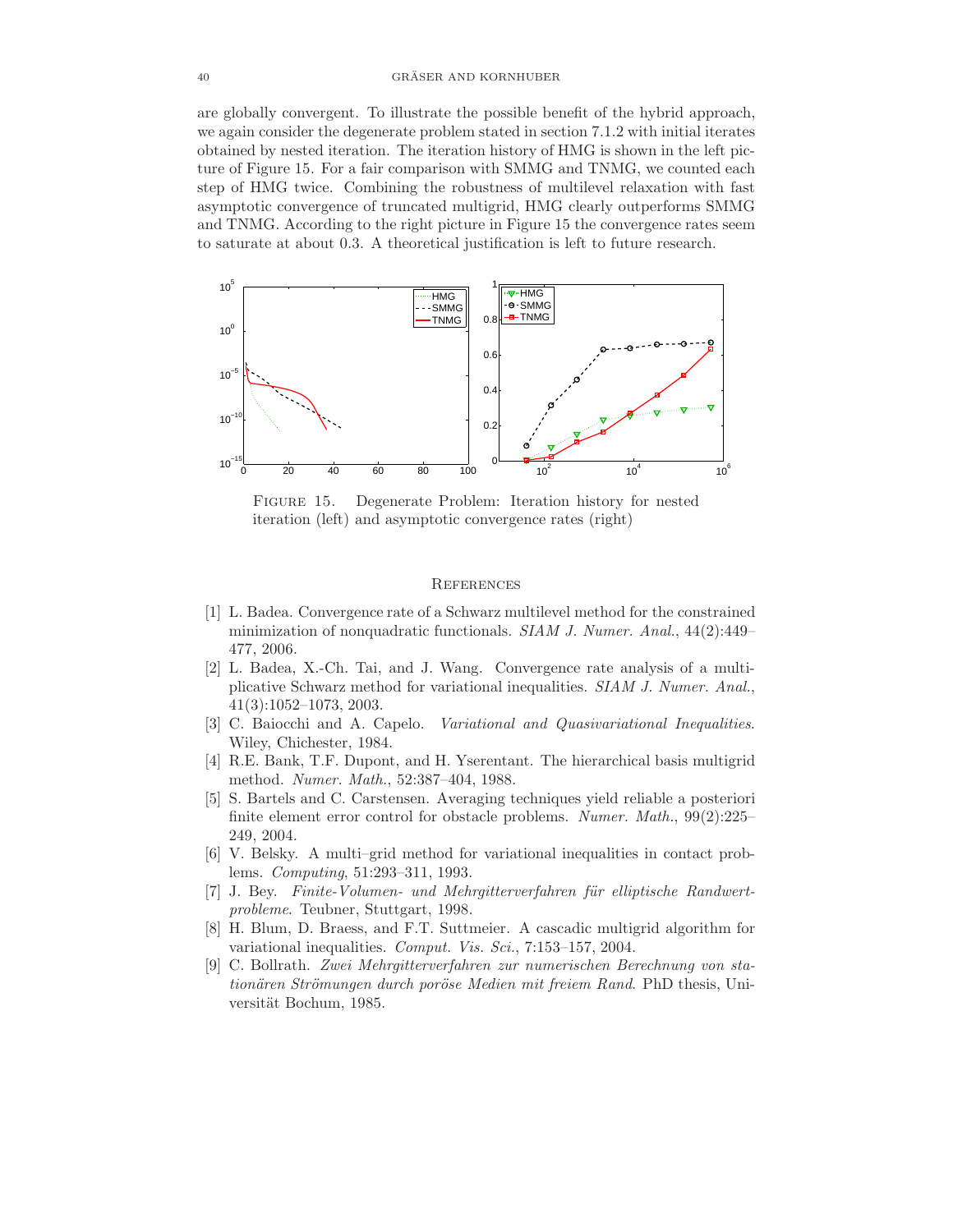are globally convergent. To illustrate the possible benefit of the hybrid approach, we again consider the degenerate problem stated in section 7.1.2 with initial iterates obtained by nested iteration. The iteration history of HMG is shown in the left picture of Figure 15. For a fair comparison with SMMG and TNMG, we counted each step of HMG twice. Combining the robustness of multilevel relaxation with fast asymptotic convergence of truncated multigrid, HMG clearly outperforms SMMG and TNMG. According to the right picture in Figure 15 the convergence rates seem to saturate at about 0.3. A theoretical justification is left to future research.



Figure 15. Degenerate Problem: Iteration history for nested iteration (left) and asymptotic convergence rates (right)

# **REFERENCES**

- [1] L. Badea. Convergence rate of a Schwarz multilevel method for the constrained minimization of nonquadratic functionals. SIAM J. Numer. Anal., 44(2):449– 477, 2006.
- [2] L. Badea, X.-Ch. Tai, and J. Wang. Convergence rate analysis of a multiplicative Schwarz method for variational inequalities. SIAM J. Numer. Anal., 41(3):1052–1073, 2003.
- [3] C. Baiocchi and A. Capelo. Variational and Quasivariational Inequalities. Wiley, Chichester, 1984.
- [4] R.E. Bank, T.F. Dupont, and H. Yserentant. The hierarchical basis multigrid method. Numer. Math., 52:387–404, 1988.
- [5] S. Bartels and C. Carstensen. Averaging techniques yield reliable a posteriori finite element error control for obstacle problems. Numer. Math.,  $99(2):225$ -249, 2004.
- [6] V. Belsky. A multi–grid method for variational inequalities in contact problems. Computing, 51:293–311, 1993.
- [7] J. Bey. Finite-Volumen- und Mehrgitterverfahren für elliptische Randwertprobleme. Teubner, Stuttgart, 1998.
- [8] H. Blum, D. Braess, and F.T. Suttmeier. A cascadic multigrid algorithm for variational inequalities. Comput. Vis. Sci., 7:153–157, 2004.
- [9] C. Bollrath. Zwei Mehrgitterverfahren zur numerischen Berechnung von stationären Strömungen durch poröse Medien mit freiem Rand. PhD thesis, Universität Bochum, 1985.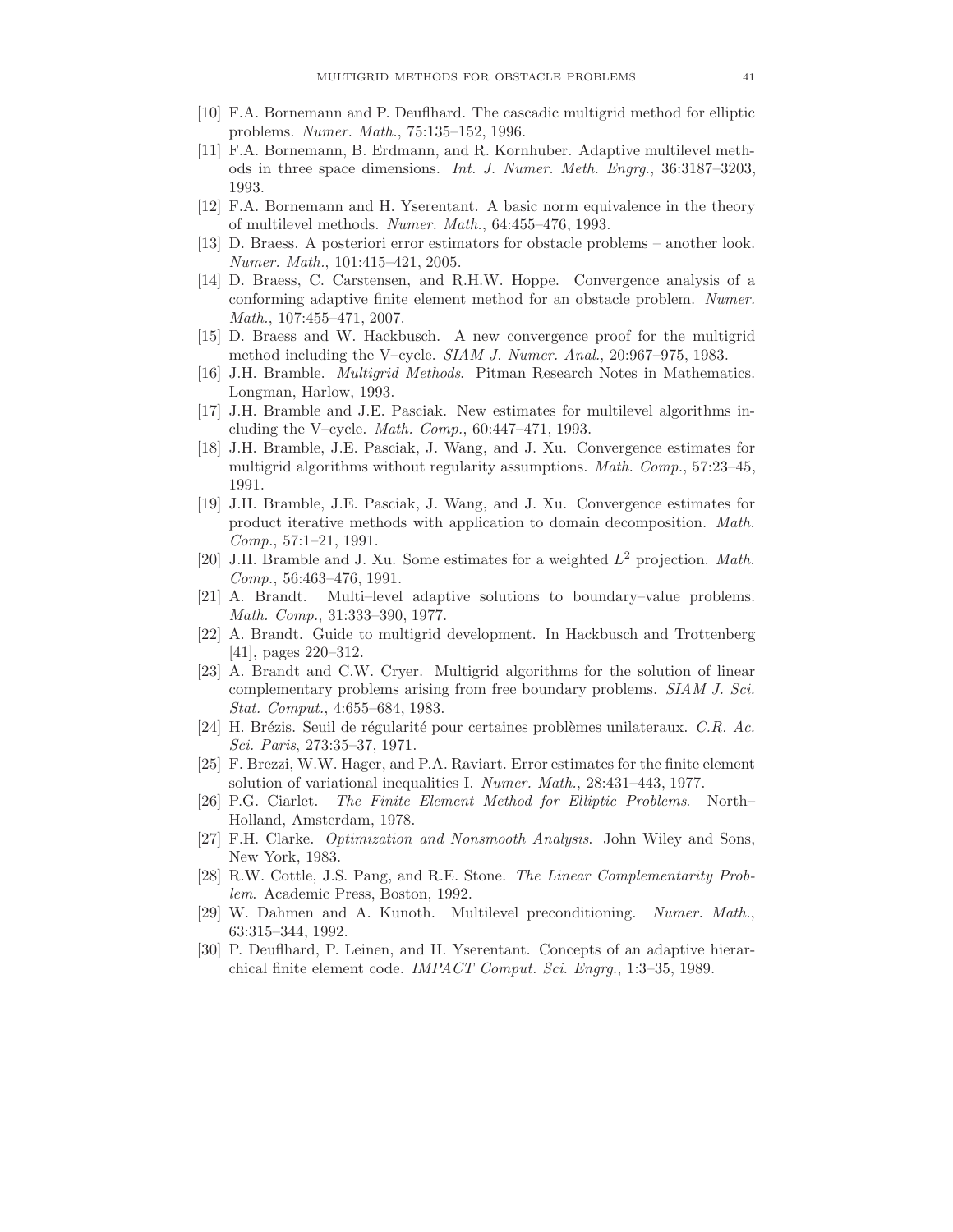- [10] F.A. Bornemann and P. Deuflhard. The cascadic multigrid method for elliptic problems. Numer. Math., 75:135–152, 1996.
- [11] F.A. Bornemann, B. Erdmann, and R. Kornhuber. Adaptive multilevel methods in three space dimensions. Int. J. Numer. Meth. Engrg., 36:3187–3203, 1993.
- [12] F.A. Bornemann and H. Yserentant. A basic norm equivalence in the theory of multilevel methods. Numer. Math., 64:455–476, 1993.
- [13] D. Braess. A posteriori error estimators for obstacle problems another look. Numer. Math., 101:415–421, 2005.
- [14] D. Braess, C. Carstensen, and R.H.W. Hoppe. Convergence analysis of a conforming adaptive finite element method for an obstacle problem. Numer. Math., 107:455–471, 2007.
- [15] D. Braess and W. Hackbusch. A new convergence proof for the multigrid method including the V–cycle. *SIAM J. Numer. Anal.*,  $20:967-975$ , 1983.
- [16] J.H. Bramble. Multigrid Methods. Pitman Research Notes in Mathematics. Longman, Harlow, 1993.
- [17] J.H. Bramble and J.E. Pasciak. New estimates for multilevel algorithms including the V–cycle. *Math. Comp.*,  $60:447-471$ , 1993.
- [18] J.H. Bramble, J.E. Pasciak, J. Wang, and J. Xu. Convergence estimates for multigrid algorithms without regularity assumptions. *Math. Comp.*, 57:23–45, 1991.
- [19] J.H. Bramble, J.E. Pasciak, J. Wang, and J. Xu. Convergence estimates for product iterative methods with application to domain decomposition. Math. Comp., 57:1–21, 1991.
- [20] J.H. Bramble and J. Xu. Some estimates for a weighted  $L^2$  projection. Math. Comp., 56:463–476, 1991.
- [21] A. Brandt. Multi–level adaptive solutions to boundary–value problems. Math. Comp., 31:333–390, 1977.
- [22] A. Brandt. Guide to multigrid development. In Hackbusch and Trottenberg [41], pages 220–312.
- [23] A. Brandt and C.W. Cryer. Multigrid algorithms for the solution of linear complementary problems arising from free boundary problems. SIAM J. Sci. Stat. Comput., 4:655–684, 1983.
- [24] H. Brézis. Seuil de régularité pour certaines problèmes unilateraux. C.R. Ac. Sci. Paris, 273:35–37, 1971.
- [25] F. Brezzi, W.W. Hager, and P.A. Raviart. Error estimates for the finite element solution of variational inequalities I. Numer. Math., 28:431–443, 1977.
- [26] P.G. Ciarlet. The Finite Element Method for Elliptic Problems. North– Holland, Amsterdam, 1978.
- [27] F.H. Clarke. Optimization and Nonsmooth Analysis. John Wiley and Sons, New York, 1983.
- [28] R.W. Cottle, J.S. Pang, and R.E. Stone. The Linear Complementarity Problem. Academic Press, Boston, 1992.
- [29] W. Dahmen and A. Kunoth. Multilevel preconditioning. Numer. Math., 63:315–344, 1992.
- [30] P. Deuflhard, P. Leinen, and H. Yserentant. Concepts of an adaptive hierarchical finite element code. IMPACT Comput. Sci. Engrg., 1:3–35, 1989.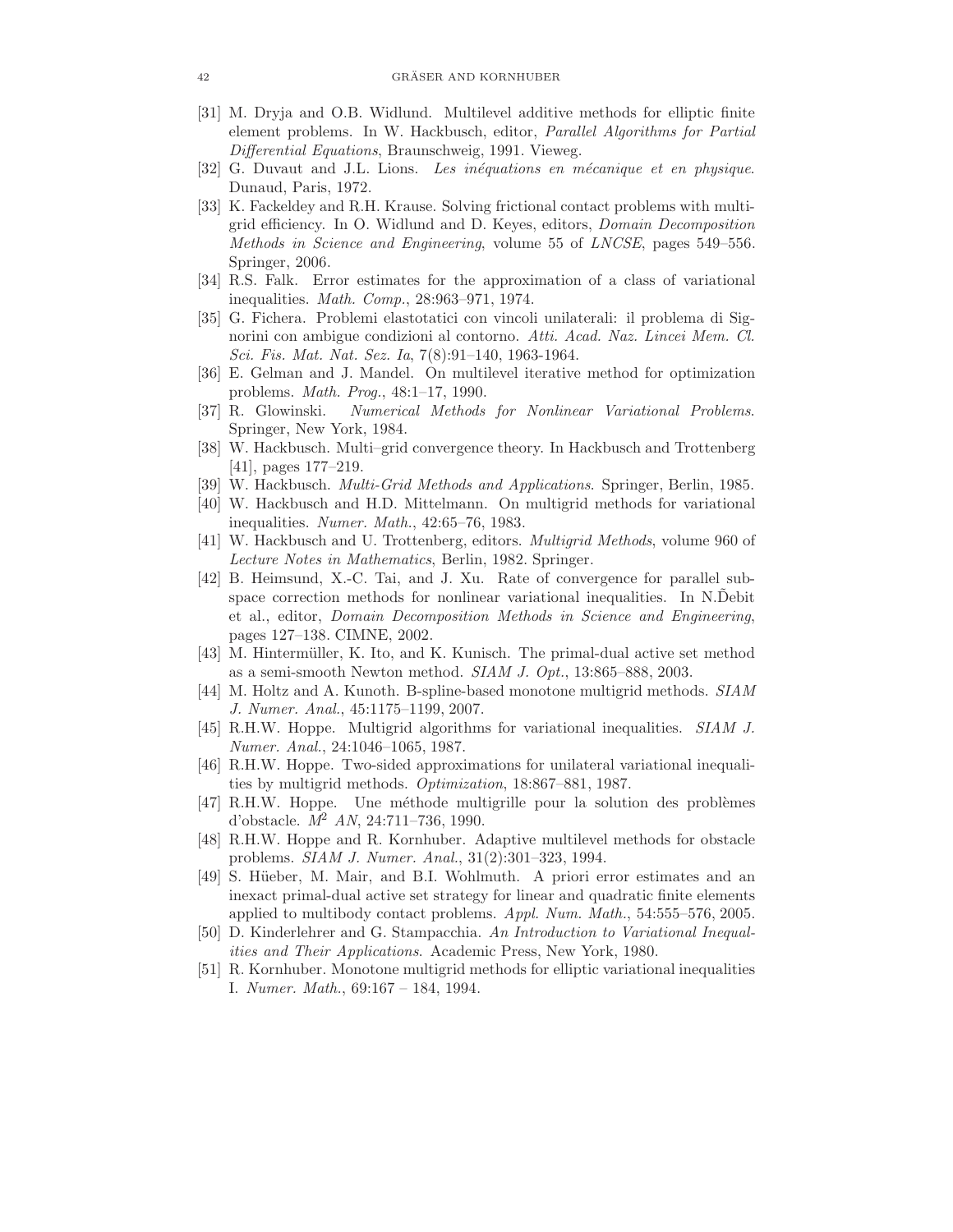- [31] M. Dryja and O.B. Widlund. Multilevel additive methods for elliptic finite element problems. In W. Hackbusch, editor, Parallel Algorithms for Partial Differential Equations, Braunschweig, 1991. Vieweg.
- [32] G. Duvaut and J.L. Lions. Les inéquations en mécanique et en physique. Dunaud, Paris, 1972.
- [33] K. Fackeldey and R.H. Krause. Solving frictional contact problems with multigrid efficiency. In O. Widlund and D. Keyes, editors, Domain Decomposition Methods in Science and Engineering, volume 55 of LNCSE, pages 549–556. Springer, 2006.
- [34] R.S. Falk. Error estimates for the approximation of a class of variational inequalities. Math. Comp., 28:963–971, 1974.
- [35] G. Fichera. Problemi elastotatici con vincoli unilaterali: il problema di Signorini con ambigue condizioni al contorno. Atti. Acad. Naz. Lincei Mem. Cl. Sci. Fis. Mat. Nat. Sez. Ia, 7(8):91–140, 1963-1964.
- [36] E. Gelman and J. Mandel. On multilevel iterative method for optimization problems. Math. Prog., 48:1–17, 1990.
- [37] R. Glowinski. Numerical Methods for Nonlinear Variational Problems. Springer, New York, 1984.
- [38] W. Hackbusch. Multi–grid convergence theory. In Hackbusch and Trottenberg [41], pages 177–219.
- [39] W. Hackbusch. Multi-Grid Methods and Applications. Springer, Berlin, 1985.
- [40] W. Hackbusch and H.D. Mittelmann. On multigrid methods for variational inequalities. Numer. Math., 42:65–76, 1983.
- [41] W. Hackbusch and U. Trottenberg, editors. Multigrid Methods, volume 960 of Lecture Notes in Mathematics, Berlin, 1982. Springer.
- [42] B. Heimsund, X.-C. Tai, and J. Xu. Rate of convergence for parallel subspace correction methods for nonlinear variational inequalities. In N.Debit et al., editor, Domain Decomposition Methods in Science and Engineering, pages 127–138. CIMNE, 2002.
- [43] M. Hintermüller, K. Ito, and K. Kunisch. The primal-dual active set method as a semi-smooth Newton method.  $SIAM J. Opt., 13:865-888, 2003.$
- [44] M. Holtz and A. Kunoth. B-spline-based monotone multigrid methods. SIAM J. Numer. Anal., 45:1175–1199, 2007.
- [45] R.H.W. Hoppe. Multigrid algorithms for variational inequalities. SIAM J. Numer. Anal., 24:1046–1065, 1987.
- [46] R.H.W. Hoppe. Two-sided approximations for unilateral variational inequalities by multigrid methods. Optimization, 18:867–881, 1987.
- [47] R.H.W. Hoppe. Une méthode multigrille pour la solution des problèmes d'obstacle.  $M^2$  AN, 24:711-736, 1990.
- [48] R.H.W. Hoppe and R. Kornhuber. Adaptive multilevel methods for obstacle problems. SIAM J. Numer. Anal., 31(2):301–323, 1994.
- [49] S. Hüeber, M. Mair, and B.I. Wohlmuth. A priori error estimates and an inexact primal-dual active set strategy for linear and quadratic finite elements applied to multibody contact problems. Appl. Num. Math., 54:555-576, 2005.
- [50] D. Kinderlehrer and G. Stampacchia. An Introduction to Variational Inequalities and Their Applications. Academic Press, New York, 1980.
- [51] R. Kornhuber. Monotone multigrid methods for elliptic variational inequalities I. Numer. Math., 69:167 – 184, 1994.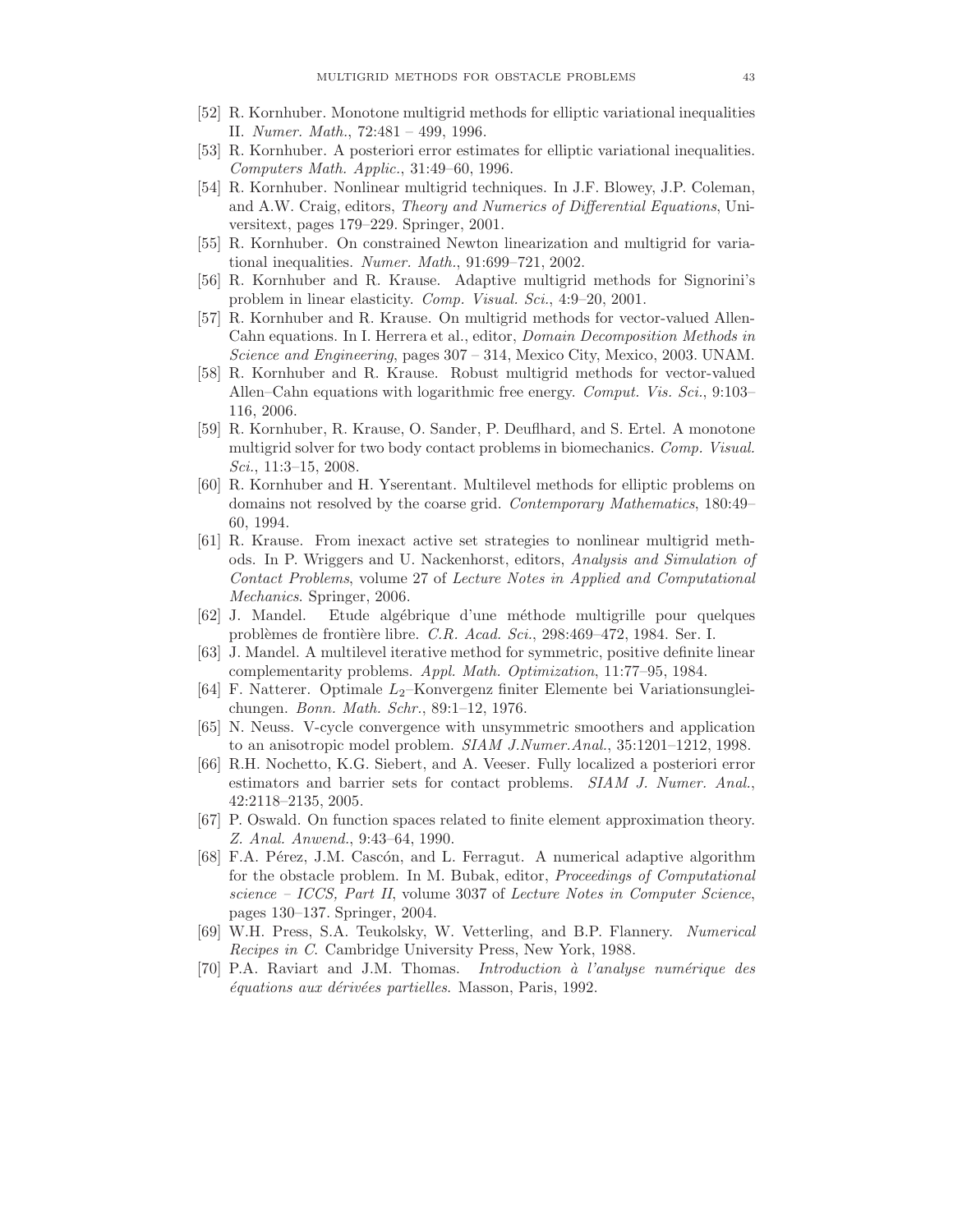- [52] R. Kornhuber. Monotone multigrid methods for elliptic variational inequalities II. Numer. Math., 72:481 – 499, 1996.
- [53] R. Kornhuber. A posteriori error estimates for elliptic variational inequalities. Computers Math. Applic., 31:49–60, 1996.
- [54] R. Kornhuber. Nonlinear multigrid techniques. In J.F. Blowey, J.P. Coleman, and A.W. Craig, editors, Theory and Numerics of Differential Equations, Universitext, pages 179–229. Springer, 2001.
- [55] R. Kornhuber. On constrained Newton linearization and multigrid for variational inequalities. Numer. Math., 91:699–721, 2002.
- [56] R. Kornhuber and R. Krause. Adaptive multigrid methods for Signorini's problem in linear elasticity. Comp. Visual. Sci., 4:9–20, 2001.
- [57] R. Kornhuber and R. Krause. On multigrid methods for vector-valued Allen-Cahn equations. In I. Herrera et al., editor, Domain Decomposition Methods in Science and Engineering, pages 307 – 314, Mexico City, Mexico, 2003. UNAM.
- [58] R. Kornhuber and R. Krause. Robust multigrid methods for vector-valued Allen–Cahn equations with logarithmic free energy. Comput. Vis. Sci., 9:103– 116, 2006.
- [59] R. Kornhuber, R. Krause, O. Sander, P. Deuflhard, and S. Ertel. A monotone multigrid solver for two body contact problems in biomechanics. Comp. Visual. Sci., 11:3–15, 2008.
- [60] R. Kornhuber and H. Yserentant. Multilevel methods for elliptic problems on domains not resolved by the coarse grid. Contemporary Mathematics, 180:49– 60, 1994.
- [61] R. Krause. From inexact active set strategies to nonlinear multigrid methods. In P. Wriggers and U. Nackenhorst, editors, Analysis and Simulation of Contact Problems, volume 27 of Lecture Notes in Applied and Computational Mechanics. Springer, 2006.
- [62] J. Mandel. Etude alg´ebrique d'une m´ethode multigrille pour quelques problèmes de frontière libre. C.R. Acad. Sci., 298:469-472, 1984. Ser. I.
- [63] J. Mandel. A multilevel iterative method for symmetric, positive definite linear complementarity problems. Appl. Math. Optimization, 11:77–95, 1984.
- [64] F. Natterer. Optimale  $L_2$ –Konvergenz finiter Elemente bei Variationsungleichungen. Bonn. Math. Schr., 89:1–12, 1976.
- [65] N. Neuss. V-cycle convergence with unsymmetric smoothers and application to an anisotropic model problem. SIAM J.Numer.Anal., 35:1201–1212, 1998.
- [66] R.H. Nochetto, K.G. Siebert, and A. Veeser. Fully localized a posteriori error estimators and barrier sets for contact problems. SIAM J. Numer. Anal., 42:2118–2135, 2005.
- [67] P. Oswald. On function spaces related to finite element approximation theory. Z. Anal. Anwend., 9:43–64, 1990.
- [68] F.A. Pérez, J.M. Cascón, and L. Ferragut. A numerical adaptive algorithm for the obstacle problem. In M. Bubak, editor, Proceedings of Computational science – ICCS, Part II, volume 3037 of Lecture Notes in Computer Science, pages 130–137. Springer, 2004.
- [69] W.H. Press, S.A. Teukolsky, W. Vetterling, and B.P. Flannery. Numerical Recipes in C. Cambridge University Press, New York, 1988.
- [70] P.A. Raviart and J.M. Thomas. Introduction  $\dot{a}$  l'analyse numérique des  $\'equations aux dérivées partielles. Masson, Paris, 1992.$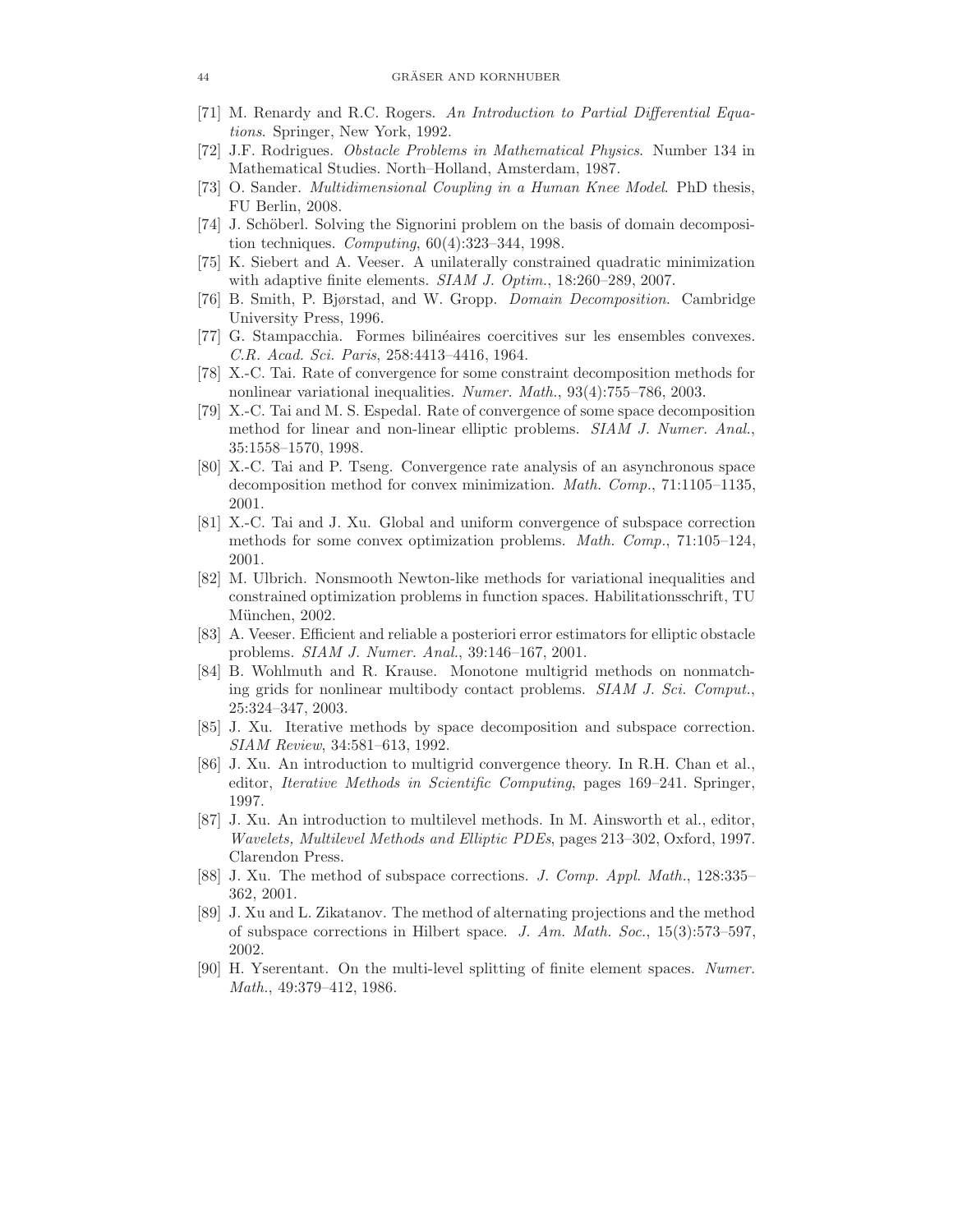- [71] M. Renardy and R.C. Rogers. An Introduction to Partial Differential Equations. Springer, New York, 1992.
- [72] J.F. Rodrigues. Obstacle Problems in Mathematical Physics. Number 134 in Mathematical Studies. North–Holland, Amsterdam, 1987.
- [73] O. Sander. Multidimensional Coupling in a Human Knee Model. PhD thesis, FU Berlin, 2008.
- [74] J. Schöberl. Solving the Signorini problem on the basis of domain decomposition techniques. Computing, 60(4):323–344, 1998.
- [75] K. Siebert and A. Veeser. A unilaterally constrained quadratic minimization with adaptive finite elements. SIAM J. Optim., 18:260–289, 2007.
- [76] B. Smith, P. Bjørstad, and W. Gropp. Domain Decomposition. Cambridge University Press, 1996.
- [77] G. Stampacchia. Formes bilinéaires coercitives sur les ensembles convexes. C.R. Acad. Sci. Paris, 258:4413–4416, 1964.
- [78] X.-C. Tai. Rate of convergence for some constraint decomposition methods for nonlinear variational inequalities. Numer. Math., 93(4):755–786, 2003.
- [79] X.-C. Tai and M. S. Espedal. Rate of convergence of some space decomposition method for linear and non-linear elliptic problems. SIAM J. Numer. Anal., 35:1558–1570, 1998.
- [80] X.-C. Tai and P. Tseng. Convergence rate analysis of an asynchronous space decomposition method for convex minimization. Math. Comp., 71:1105–1135, 2001.
- [81] X.-C. Tai and J. Xu. Global and uniform convergence of subspace correction methods for some convex optimization problems. Math. Comp., 71:105–124, 2001.
- [82] M. Ulbrich. Nonsmooth Newton-like methods for variational inequalities and constrained optimization problems in function spaces. Habilitationsschrift, TU München, 2002.
- [83] A. Veeser. Efficient and reliable a posteriori error estimators for elliptic obstacle problems. SIAM J. Numer. Anal., 39:146–167, 2001.
- [84] B. Wohlmuth and R. Krause. Monotone multigrid methods on nonmatching grids for nonlinear multibody contact problems. SIAM J. Sci. Comput., 25:324–347, 2003.
- [85] J. Xu. Iterative methods by space decomposition and subspace correction. SIAM Review, 34:581–613, 1992.
- [86] J. Xu. An introduction to multigrid convergence theory. In R.H. Chan et al., editor, *Iterative Methods in Scientific Computing*, pages 169–241. Springer, 1997.
- [87] J. Xu. An introduction to multilevel methods. In M. Ainsworth et al., editor, Wavelets, Multilevel Methods and Elliptic PDEs, pages 213–302, Oxford, 1997. Clarendon Press.
- [88] J. Xu. The method of subspace corrections. J. Comp. Appl. Math., 128:335-362, 2001.
- [89] J. Xu and L. Zikatanov. The method of alternating projections and the method of subspace corrections in Hilbert space. J. Am. Math. Soc., 15(3):573–597, 2002.
- [90] H. Yserentant. On the multi-level splitting of finite element spaces. Numer. Math., 49:379–412, 1986.